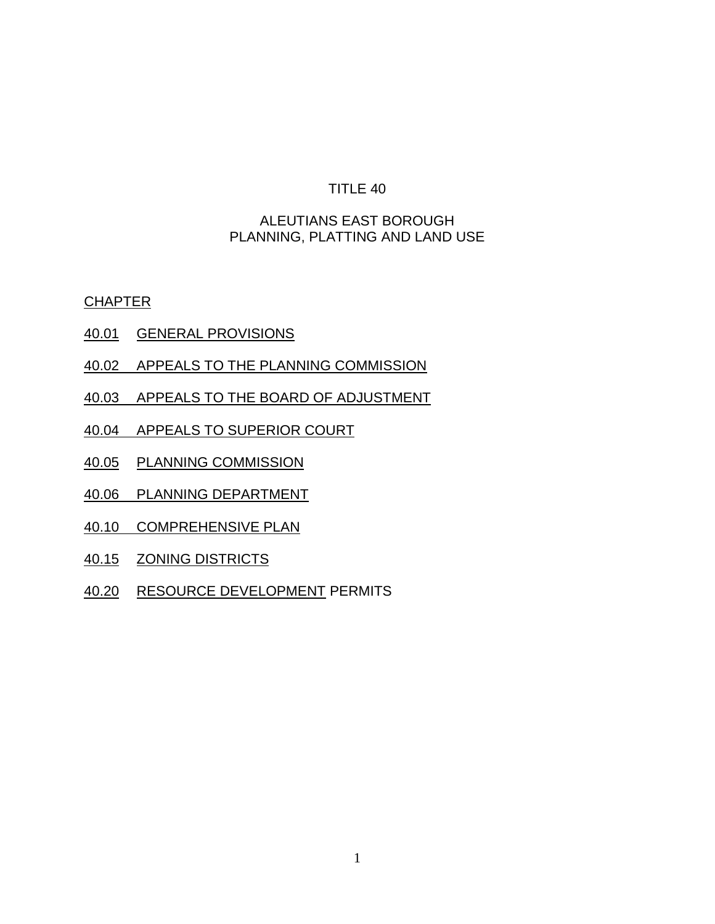## ALEUTIANS EAST BOROUGH PLANNING, PLATTING AND LAND USE

**CHAPTER** 

- 40.01 GENERAL PROVISIONS
- 40.02 APPEALS TO THE PLANNING COMMISSION
- 40.03 APPEALS TO THE BOARD OF ADJUSTMENT
- 40.04 APPEALS TO SUPERIOR COURT
- 40.05 PLANNING COMMISSION
- 40.06 PLANNING DEPARTMENT
- 40.10 COMPREHENSIVE PLAN
- 40.15 ZONING DISTRICTS
- 40.20 RESOURCE DEVELOPMENT PERMITS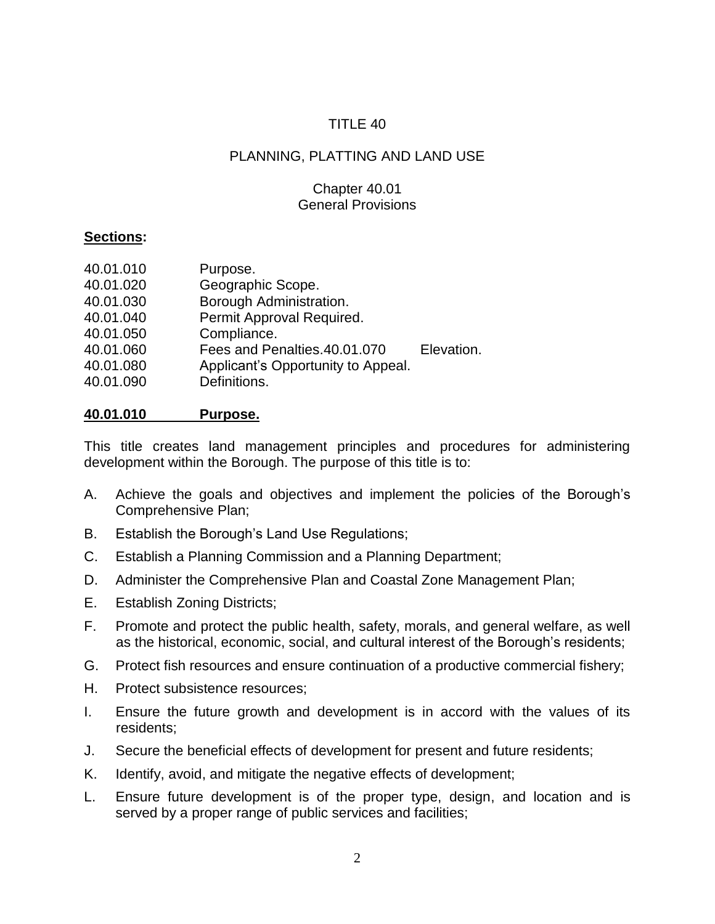# PLANNING, PLATTING AND LAND USE

## Chapter 40.01 General Provisions

## **Sections:**

| 40.01.010<br>Purpose.                           |            |
|-------------------------------------------------|------------|
| Geographic Scope.<br>40.01.020                  |            |
| Borough Administration.<br>40.01.030            |            |
| Permit Approval Required.<br>40.01.040          |            |
| Compliance.<br>40.01.050                        |            |
| Fees and Penalties.40.01.070<br>40.01.060       | Elevation. |
| Applicant's Opportunity to Appeal.<br>40.01.080 |            |
| Definitions.<br>40.01.090                       |            |

## **40.01.010 Purpose.**

This title creates land management principles and procedures for administering development within the Borough. The purpose of this title is to:

- A. Achieve the goals and objectives and implement the policies of the Borough's Comprehensive Plan;
- B. Establish the Borough's Land Use Regulations;
- C. Establish a Planning Commission and a Planning Department;
- D. Administer the Comprehensive Plan and Coastal Zone Management Plan;
- E. Establish Zoning Districts;
- F. Promote and protect the public health, safety, morals, and general welfare, as well as the historical, economic, social, and cultural interest of the Borough's residents;
- G. Protect fish resources and ensure continuation of a productive commercial fishery;
- H. Protect subsistence resources;
- I. Ensure the future growth and development is in accord with the values of its residents;
- J. Secure the beneficial effects of development for present and future residents;
- K. Identify, avoid, and mitigate the negative effects of development;
- L. Ensure future development is of the proper type, design, and location and is served by a proper range of public services and facilities;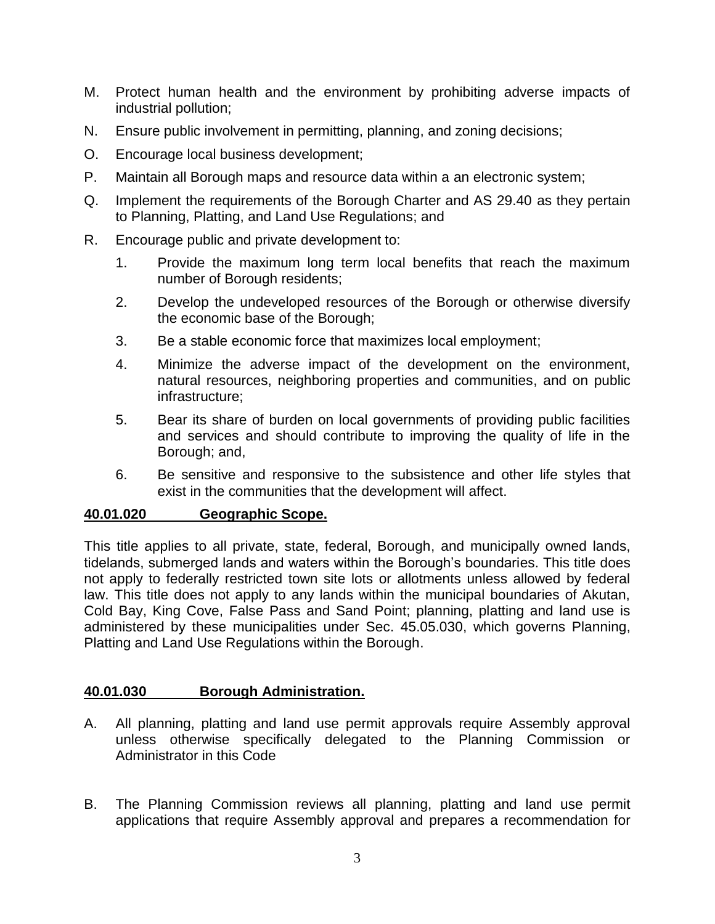- M. Protect human health and the environment by prohibiting adverse impacts of industrial pollution;
- N. Ensure public involvement in permitting, planning, and zoning decisions;
- O. Encourage local business development;
- P. Maintain all Borough maps and resource data within a an electronic system;
- Q. Implement the requirements of the Borough Charter and AS 29.40 as they pertain to Planning, Platting, and Land Use Regulations; and
- R. Encourage public and private development to:
	- 1. Provide the maximum long term local benefits that reach the maximum number of Borough residents;
	- 2. Develop the undeveloped resources of the Borough or otherwise diversify the economic base of the Borough;
	- 3. Be a stable economic force that maximizes local employment;
	- 4. Minimize the adverse impact of the development on the environment, natural resources, neighboring properties and communities, and on public infrastructure;
	- 5. Bear its share of burden on local governments of providing public facilities and services and should contribute to improving the quality of life in the Borough; and,
	- 6. Be sensitive and responsive to the subsistence and other life styles that exist in the communities that the development will affect.

## **40.01.020 Geographic Scope.**

This title applies to all private, state, federal, Borough, and municipally owned lands, tidelands, submerged lands and waters within the Borough's boundaries. This title does not apply to federally restricted town site lots or allotments unless allowed by federal law. This title does not apply to any lands within the municipal boundaries of Akutan, Cold Bay, King Cove, False Pass and Sand Point; planning, platting and land use is administered by these municipalities under Sec. 45.05.030, which governs Planning, Platting and Land Use Regulations within the Borough.

## **40.01.030 Borough Administration.**

- A. All planning, platting and land use permit approvals require Assembly approval unless otherwise specifically delegated to the Planning Commission or Administrator in this Code
- B. The Planning Commission reviews all planning, platting and land use permit applications that require Assembly approval and prepares a recommendation for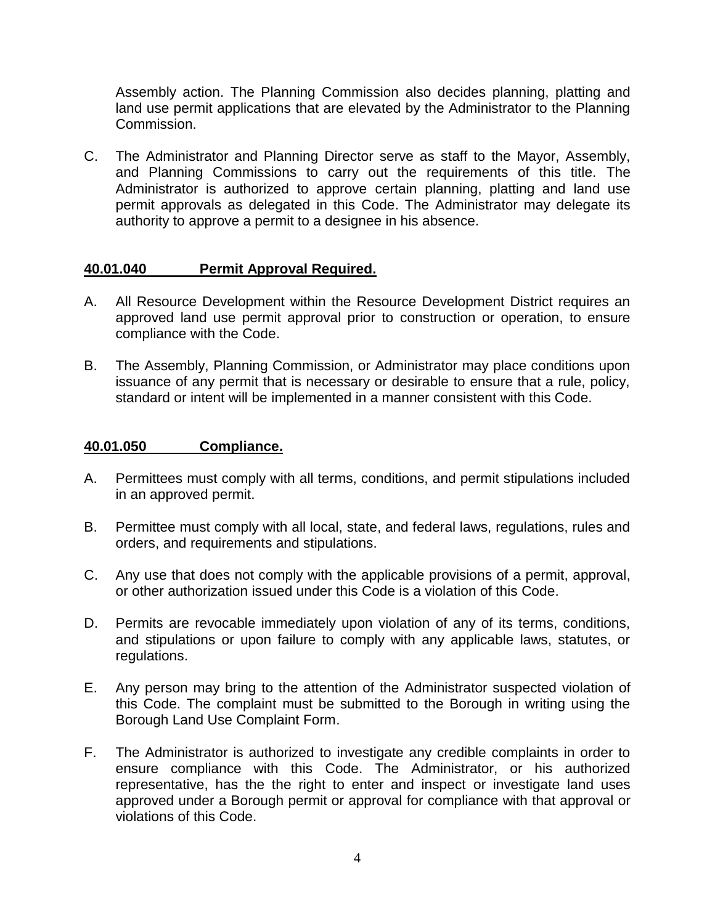Assembly action. The Planning Commission also decides planning, platting and land use permit applications that are elevated by the Administrator to the Planning Commission.

C. The Administrator and Planning Director serve as staff to the Mayor, Assembly, and Planning Commissions to carry out the requirements of this title. The Administrator is authorized to approve certain planning, platting and land use permit approvals as delegated in this Code. The Administrator may delegate its authority to approve a permit to a designee in his absence.

## **40.01.040 Permit Approval Required.**

- A. All Resource Development within the Resource Development District requires an approved land use permit approval prior to construction or operation, to ensure compliance with the Code.
- B. The Assembly, Planning Commission, or Administrator may place conditions upon issuance of any permit that is necessary or desirable to ensure that a rule, policy, standard or intent will be implemented in a manner consistent with this Code.

## **40.01.050 Compliance.**

- A. Permittees must comply with all terms, conditions, and permit stipulations included in an approved permit.
- B. Permittee must comply with all local, state, and federal laws, regulations, rules and orders, and requirements and stipulations.
- C. Any use that does not comply with the applicable provisions of a permit, approval, or other authorization issued under this Code is a violation of this Code.
- D. Permits are revocable immediately upon violation of any of its terms, conditions, and stipulations or upon failure to comply with any applicable laws, statutes, or regulations.
- E. Any person may bring to the attention of the Administrator suspected violation of this Code. The complaint must be submitted to the Borough in writing using the Borough Land Use Complaint Form.
- F. The Administrator is authorized to investigate any credible complaints in order to ensure compliance with this Code. The Administrator, or his authorized representative, has the the right to enter and inspect or investigate land uses approved under a Borough permit or approval for compliance with that approval or violations of this Code.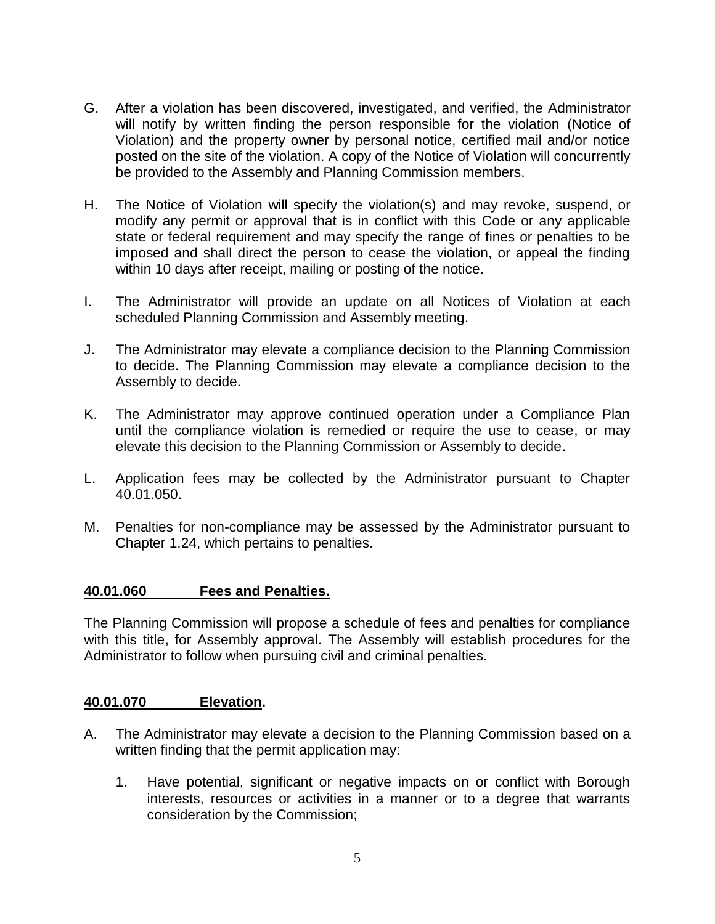- G. After a violation has been discovered, investigated, and verified, the Administrator will notify by written finding the person responsible for the violation (Notice of Violation) and the property owner by personal notice, certified mail and/or notice posted on the site of the violation. A copy of the Notice of Violation will concurrently be provided to the Assembly and Planning Commission members.
- H. The Notice of Violation will specify the violation(s) and may revoke, suspend, or modify any permit or approval that is in conflict with this Code or any applicable state or federal requirement and may specify the range of fines or penalties to be imposed and shall direct the person to cease the violation, or appeal the finding within 10 days after receipt, mailing or posting of the notice.
- I. The Administrator will provide an update on all Notices of Violation at each scheduled Planning Commission and Assembly meeting.
- J. The Administrator may elevate a compliance decision to the Planning Commission to decide. The Planning Commission may elevate a compliance decision to the Assembly to decide.
- K. The Administrator may approve continued operation under a Compliance Plan until the compliance violation is remedied or require the use to cease, or may elevate this decision to the Planning Commission or Assembly to decide.
- L. Application fees may be collected by the Administrator pursuant to Chapter 40.01.050.
- M. Penalties for non-compliance may be assessed by the Administrator pursuant to Chapter 1.24, which pertains to penalties.

## **40.01.060 Fees and Penalties.**

The Planning Commission will propose a schedule of fees and penalties for compliance with this title, for Assembly approval. The Assembly will establish procedures for the Administrator to follow when pursuing civil and criminal penalties.

#### **40.01.070 Elevation.**

- A. The Administrator may elevate a decision to the Planning Commission based on a written finding that the permit application may:
	- 1. Have potential, significant or negative impacts on or conflict with Borough interests, resources or activities in a manner or to a degree that warrants consideration by the Commission;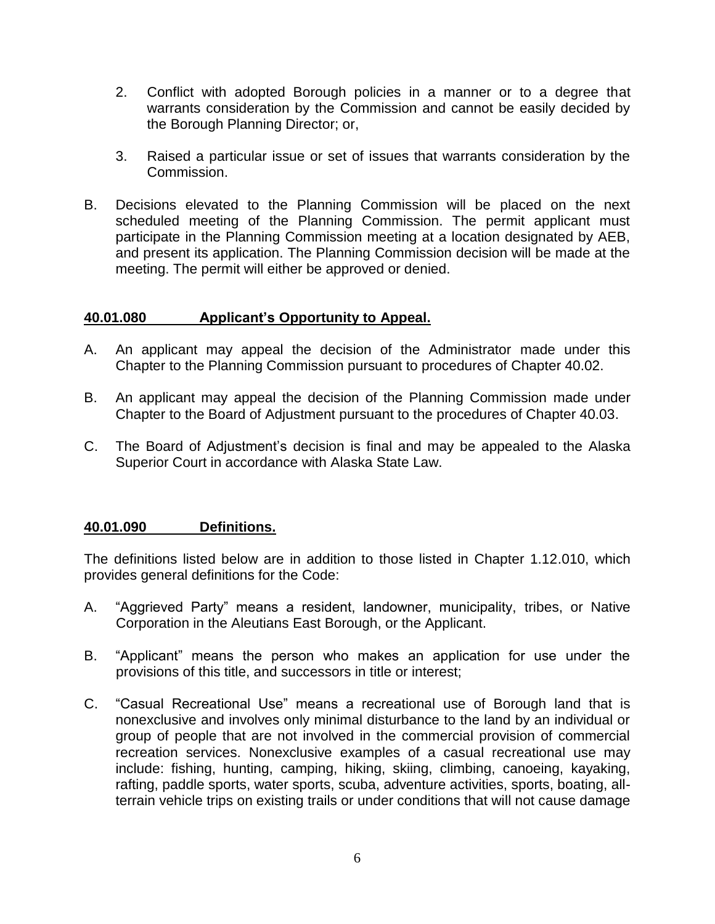- 2. Conflict with adopted Borough policies in a manner or to a degree that warrants consideration by the Commission and cannot be easily decided by the Borough Planning Director; or,
- 3. Raised a particular issue or set of issues that warrants consideration by the Commission.
- B. Decisions elevated to the Planning Commission will be placed on the next scheduled meeting of the Planning Commission. The permit applicant must participate in the Planning Commission meeting at a location designated by AEB, and present its application. The Planning Commission decision will be made at the meeting. The permit will either be approved or denied.

## **40.01.080 Applicant's Opportunity to Appeal.**

- A. An applicant may appeal the decision of the Administrator made under this Chapter to the Planning Commission pursuant to procedures of Chapter 40.02.
- B. An applicant may appeal the decision of the Planning Commission made under Chapter to the Board of Adjustment pursuant to the procedures of Chapter 40.03.
- C. The Board of Adjustment's decision is final and may be appealed to the Alaska Superior Court in accordance with Alaska State Law.

## **40.01.090 Definitions.**

The definitions listed below are in addition to those listed in Chapter 1.12.010, which provides general definitions for the Code:

- A. "Aggrieved Party" means a resident, landowner, municipality, tribes, or Native Corporation in the Aleutians East Borough, or the Applicant.
- B. "Applicant" means the person who makes an application for use under the provisions of this title, and successors in title or interest;
- C. "Casual Recreational Use" means a recreational use of Borough land that is nonexclusive and involves only minimal disturbance to the land by an individual or group of people that are not involved in the commercial provision of commercial recreation services. Nonexclusive examples of a casual recreational use may include: fishing, hunting, camping, hiking, skiing, climbing, canoeing, kayaking, rafting, paddle sports, water sports, scuba, adventure activities, sports, boating, allterrain vehicle trips on existing trails or under conditions that will not cause damage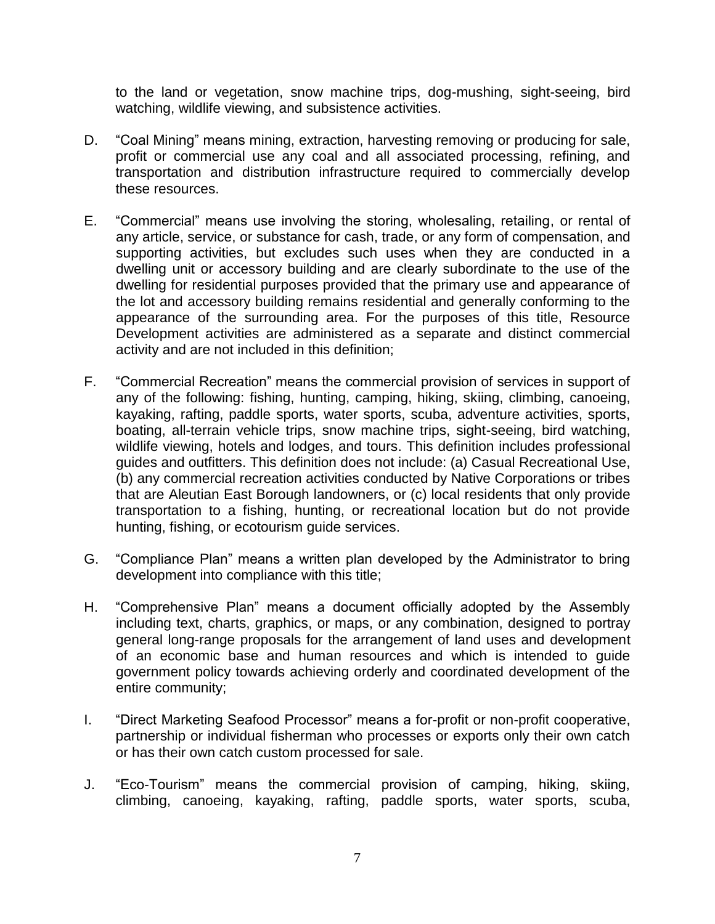to the land or vegetation, snow machine trips, dog-mushing, sight-seeing, bird watching, wildlife viewing, and subsistence activities.

- D. "Coal Mining" means mining, extraction, harvesting removing or producing for sale, profit or commercial use any coal and all associated processing, refining, and transportation and distribution infrastructure required to commercially develop these resources.
- E. "Commercial" means use involving the storing, wholesaling, retailing, or rental of any article, service, or substance for cash, trade, or any form of compensation, and supporting activities, but excludes such uses when they are conducted in a dwelling unit or accessory building and are clearly subordinate to the use of the dwelling for residential purposes provided that the primary use and appearance of the lot and accessory building remains residential and generally conforming to the appearance of the surrounding area. For the purposes of this title, Resource Development activities are administered as a separate and distinct commercial activity and are not included in this definition;
- F. "Commercial Recreation" means the commercial provision of services in support of any of the following: fishing, hunting, camping, hiking, skiing, climbing, canoeing, kayaking, rafting, paddle sports, water sports, scuba, adventure activities, sports, boating, all-terrain vehicle trips, snow machine trips, sight-seeing, bird watching, wildlife viewing, hotels and lodges, and tours. This definition includes professional guides and outfitters. This definition does not include: (a) Casual Recreational Use, (b) any commercial recreation activities conducted by Native Corporations or tribes that are Aleutian East Borough landowners, or (c) local residents that only provide transportation to a fishing, hunting, or recreational location but do not provide hunting, fishing, or ecotourism guide services.
- G. "Compliance Plan" means a written plan developed by the Administrator to bring development into compliance with this title;
- H. "Comprehensive Plan" means a document officially adopted by the Assembly including text, charts, graphics, or maps, or any combination, designed to portray general long-range proposals for the arrangement of land uses and development of an economic base and human resources and which is intended to guide government policy towards achieving orderly and coordinated development of the entire community;
- I. "Direct Marketing Seafood Processor" means a for-profit or non-profit cooperative, partnership or individual fisherman who processes or exports only their own catch or has their own catch custom processed for sale.
- J. "Eco-Tourism" means the commercial provision of camping, hiking, skiing, climbing, canoeing, kayaking, rafting, paddle sports, water sports, scuba,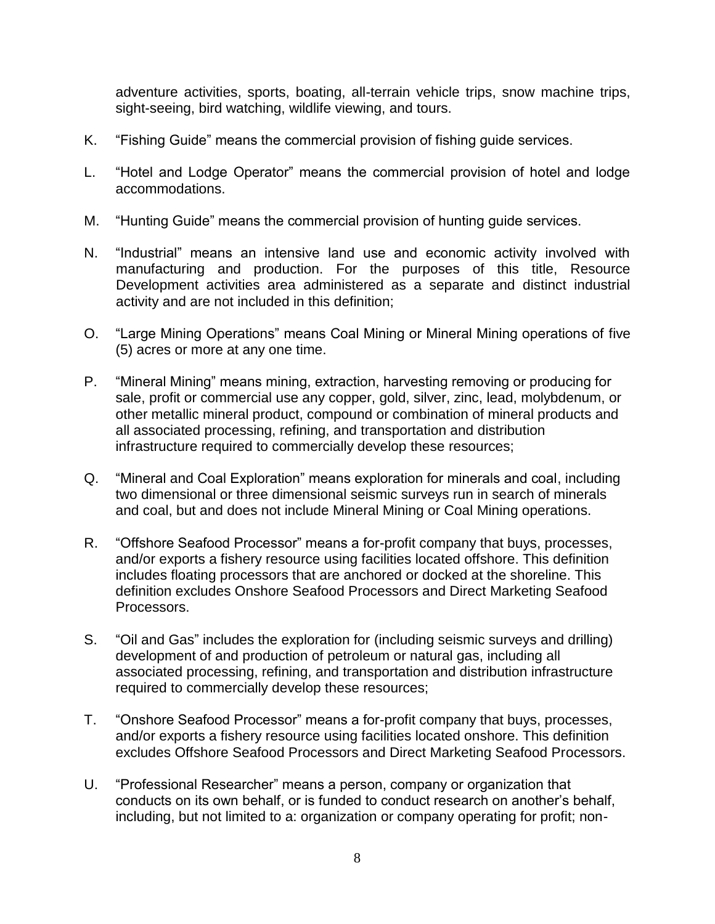adventure activities, sports, boating, all-terrain vehicle trips, snow machine trips, sight-seeing, bird watching, wildlife viewing, and tours.

- K. "Fishing Guide" means the commercial provision of fishing guide services.
- L. "Hotel and Lodge Operator" means the commercial provision of hotel and lodge accommodations.
- M. "Hunting Guide" means the commercial provision of hunting guide services.
- N. "Industrial" means an intensive land use and economic activity involved with manufacturing and production. For the purposes of this title, Resource Development activities area administered as a separate and distinct industrial activity and are not included in this definition;
- O. "Large Mining Operations" means Coal Mining or Mineral Mining operations of five (5) acres or more at any one time.
- P. "Mineral Mining" means mining, extraction, harvesting removing or producing for sale, profit or commercial use any copper, gold, silver, zinc, lead, molybdenum, or other metallic mineral product, compound or combination of mineral products and all associated processing, refining, and transportation and distribution infrastructure required to commercially develop these resources;
- Q. "Mineral and Coal Exploration" means exploration for minerals and coal, including two dimensional or three dimensional seismic surveys run in search of minerals and coal, but and does not include Mineral Mining or Coal Mining operations.
- R. "Offshore Seafood Processor" means a for-profit company that buys, processes, and/or exports a fishery resource using facilities located offshore. This definition includes floating processors that are anchored or docked at the shoreline. This definition excludes Onshore Seafood Processors and Direct Marketing Seafood Processors.
- S. "Oil and Gas" includes the exploration for (including seismic surveys and drilling) development of and production of petroleum or natural gas, including all associated processing, refining, and transportation and distribution infrastructure required to commercially develop these resources;
- T. "Onshore Seafood Processor" means a for-profit company that buys, processes, and/or exports a fishery resource using facilities located onshore. This definition excludes Offshore Seafood Processors and Direct Marketing Seafood Processors.
- U. "Professional Researcher" means a person, company or organization that conducts on its own behalf, or is funded to conduct research on another's behalf, including, but not limited to a: organization or company operating for profit; non-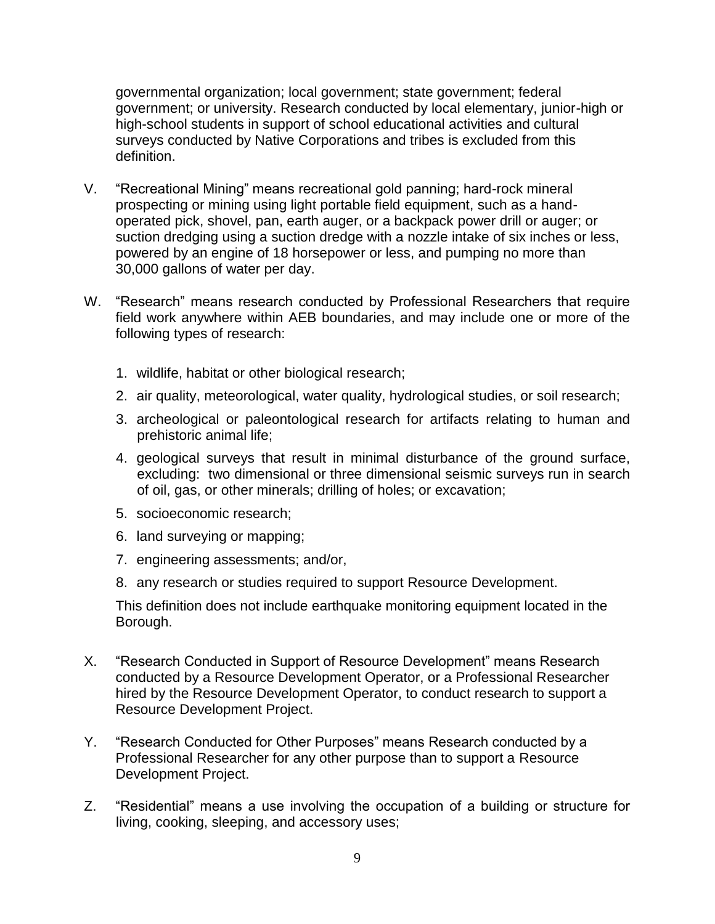governmental organization; local government; state government; federal government; or university. Research conducted by local elementary, junior-high or high-school students in support of school educational activities and cultural surveys conducted by Native Corporations and tribes is excluded from this definition.

- V. "Recreational Mining" means recreational gold panning; hard-rock mineral prospecting or mining using light portable field equipment, such as a handoperated pick, shovel, pan, earth auger, or a backpack power drill or auger; or suction dredging using a suction dredge with a nozzle intake of six inches or less, powered by an engine of 18 horsepower or less, and pumping no more than 30,000 gallons of water per day.
- W. "Research" means research conducted by Professional Researchers that require field work anywhere within AEB boundaries, and may include one or more of the following types of research:
	- 1. wildlife, habitat or other biological research;
	- 2. air quality, meteorological, water quality, hydrological studies, or soil research;
	- 3. archeological or paleontological research for artifacts relating to human and prehistoric animal life;
	- 4. geological surveys that result in minimal disturbance of the ground surface, excluding: two dimensional or three dimensional seismic surveys run in search of oil, gas, or other minerals; drilling of holes; or excavation;
	- 5. socioeconomic research;
	- 6. land surveying or mapping;
	- 7. engineering assessments; and/or,
	- 8. any research or studies required to support Resource Development.

This definition does not include earthquake monitoring equipment located in the Borough.

- X. "Research Conducted in Support of Resource Development" means Research conducted by a Resource Development Operator, or a Professional Researcher hired by the Resource Development Operator, to conduct research to support a Resource Development Project.
- Y. "Research Conducted for Other Purposes" means Research conducted by a Professional Researcher for any other purpose than to support a Resource Development Project.
- Z. "Residential" means a use involving the occupation of a building or structure for living, cooking, sleeping, and accessory uses;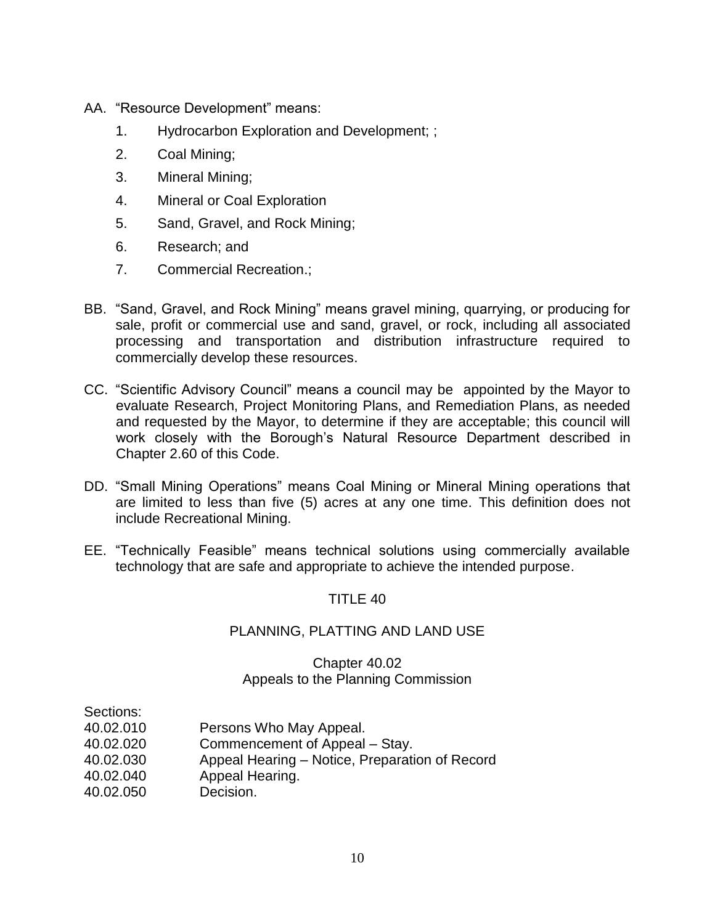- AA. "Resource Development" means:
	- 1. Hydrocarbon Exploration and Development; ;
	- 2. Coal Mining;
	- 3. Mineral Mining;
	- 4. Mineral or Coal Exploration
	- 5. Sand, Gravel, and Rock Mining;
	- 6. Research; and
	- 7. Commercial Recreation.;
- BB. "Sand, Gravel, and Rock Mining" means gravel mining, quarrying, or producing for sale, profit or commercial use and sand, gravel, or rock, including all associated processing and transportation and distribution infrastructure required to commercially develop these resources.
- CC. "Scientific Advisory Council" means a council may be appointed by the Mayor to evaluate Research, Project Monitoring Plans, and Remediation Plans, as needed and requested by the Mayor, to determine if they are acceptable; this council will work closely with the Borough's Natural Resource Department described in Chapter 2.60 of this Code.
- DD. "Small Mining Operations" means Coal Mining or Mineral Mining operations that are limited to less than five (5) acres at any one time. This definition does not include Recreational Mining.
- EE. "Technically Feasible" means technical solutions using commercially available technology that are safe and appropriate to achieve the intended purpose.

## PLANNING, PLATTING AND LAND USE

## Chapter 40.02 Appeals to the Planning Commission

- Sections: 40.02.010 Persons Who May Appeal.
- 40.02.020 Commencement of Appeal Stay.
- 40.02.030 Appeal Hearing Notice, Preparation of Record
- 40.02.040 Appeal Hearing.
- 40.02.050 Decision.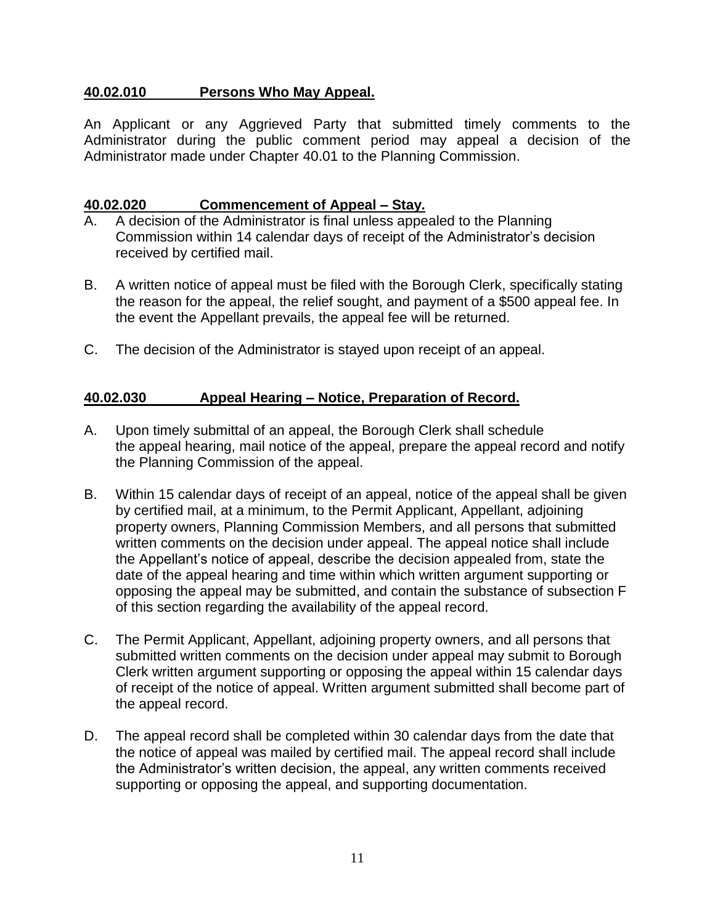## **40.02.010 Persons Who May Appeal.**

An Applicant or any Aggrieved Party that submitted timely comments to the Administrator during the public comment period may appeal a decision of the Administrator made under Chapter 40.01 to the Planning Commission.

## **40.02.020 Commencement of Appeal – Stay.**

- A. A decision of the Administrator is final unless appealed to the Planning Commission within 14 calendar days of receipt of the Administrator's decision received by certified mail.
- B. A written notice of appeal must be filed with the Borough Clerk, specifically stating the reason for the appeal, the relief sought, and payment of a \$500 appeal fee. In the event the Appellant prevails, the appeal fee will be returned.
- C. The decision of the Administrator is stayed upon receipt of an appeal.

## **40.02.030 Appeal Hearing – Notice, Preparation of Record.**

- A. Upon timely submittal of an appeal, the Borough Clerk shall schedule the appeal hearing, mail notice of the appeal, prepare the appeal record and notify the Planning Commission of the appeal.
- B. Within 15 calendar days of receipt of an appeal, notice of the appeal shall be given by certified mail, at a minimum, to the Permit Applicant, Appellant, adjoining property owners, Planning Commission Members, and all persons that submitted written comments on the decision under appeal. The appeal notice shall include the Appellant's notice of appeal, describe the decision appealed from, state the date of the appeal hearing and time within which written argument supporting or opposing the appeal may be submitted, and contain the substance of subsection F of this section regarding the availability of the appeal record.
- C. The Permit Applicant, Appellant, adjoining property owners, and all persons that submitted written comments on the decision under appeal may submit to Borough Clerk written argument supporting or opposing the appeal within 15 calendar days of receipt of the notice of appeal. Written argument submitted shall become part of the appeal record.
- D. The appeal record shall be completed within 30 calendar days from the date that the notice of appeal was mailed by certified mail. The appeal record shall include the Administrator's written decision, the appeal, any written comments received supporting or opposing the appeal, and supporting documentation.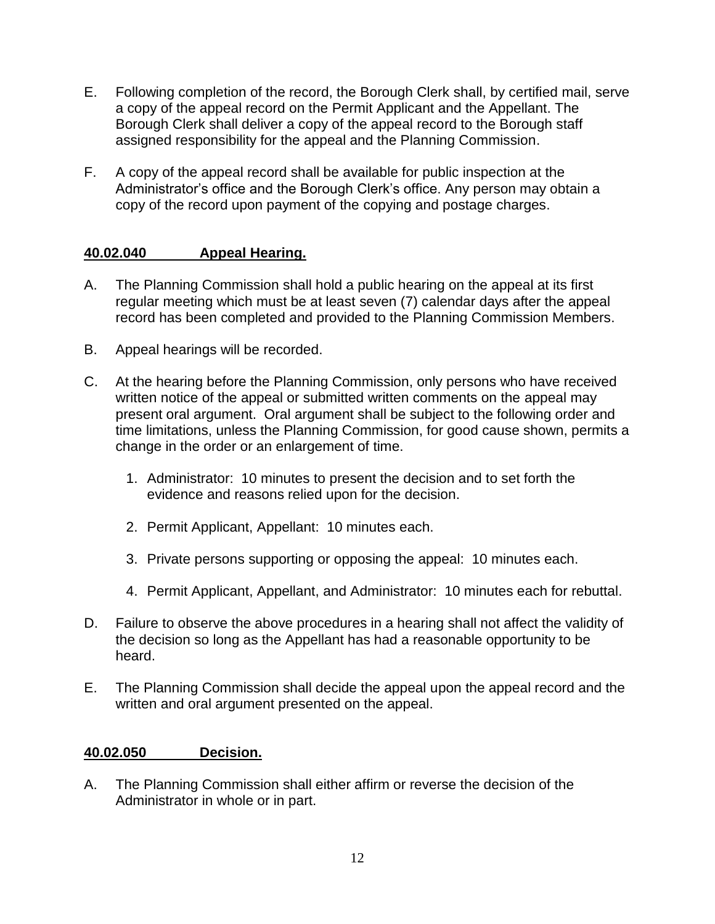- E. Following completion of the record, the Borough Clerk shall, by certified mail, serve a copy of the appeal record on the Permit Applicant and the Appellant. The Borough Clerk shall deliver a copy of the appeal record to the Borough staff assigned responsibility for the appeal and the Planning Commission.
- F. A copy of the appeal record shall be available for public inspection at the Administrator's office and the Borough Clerk's office. Any person may obtain a copy of the record upon payment of the copying and postage charges.

## **40.02.040 Appeal Hearing.**

- A. The Planning Commission shall hold a public hearing on the appeal at its first regular meeting which must be at least seven (7) calendar days after the appeal record has been completed and provided to the Planning Commission Members.
- B. Appeal hearings will be recorded.
- C. At the hearing before the Planning Commission, only persons who have received written notice of the appeal or submitted written comments on the appeal may present oral argument. Oral argument shall be subject to the following order and time limitations, unless the Planning Commission, for good cause shown, permits a change in the order or an enlargement of time.
	- 1. Administrator: 10 minutes to present the decision and to set forth the evidence and reasons relied upon for the decision.
	- 2. Permit Applicant, Appellant: 10 minutes each.
	- 3. Private persons supporting or opposing the appeal: 10 minutes each.
	- 4. Permit Applicant, Appellant, and Administrator: 10 minutes each for rebuttal.
- D. Failure to observe the above procedures in a hearing shall not affect the validity of the decision so long as the Appellant has had a reasonable opportunity to be heard.
- E. The Planning Commission shall decide the appeal upon the appeal record and the written and oral argument presented on the appeal.

## **40.02.050 Decision.**

A. The Planning Commission shall either affirm or reverse the decision of the Administrator in whole or in part.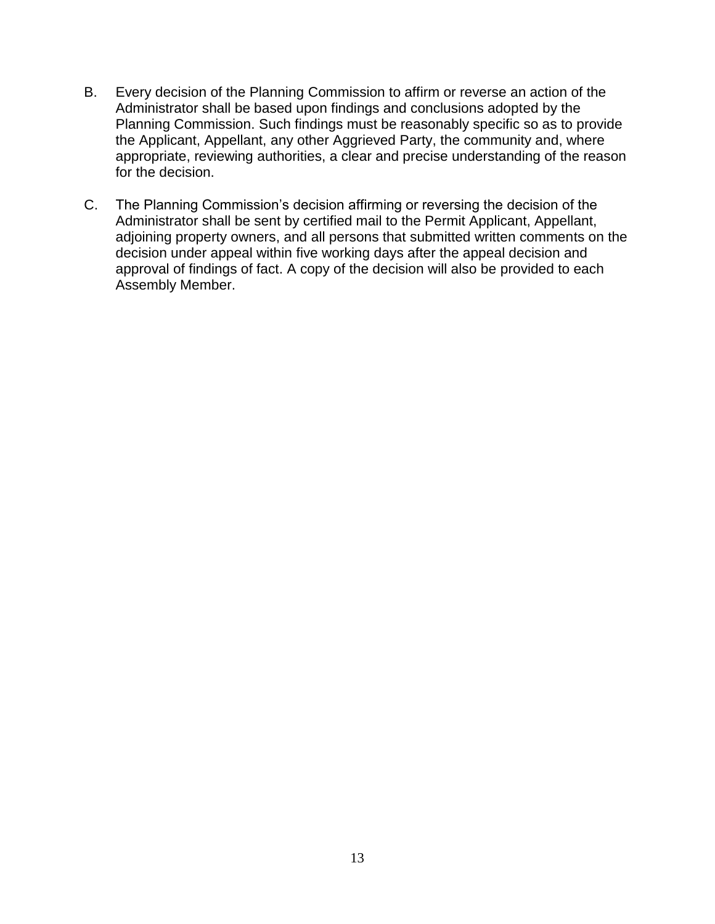- B. Every decision of the Planning Commission to affirm or reverse an action of the Administrator shall be based upon findings and conclusions adopted by the Planning Commission. Such findings must be reasonably specific so as to provide the Applicant, Appellant, any other Aggrieved Party, the community and, where appropriate, reviewing authorities, a clear and precise understanding of the reason for the decision.
- C. The Planning Commission's decision affirming or reversing the decision of the Administrator shall be sent by certified mail to the Permit Applicant, Appellant, adjoining property owners, and all persons that submitted written comments on the decision under appeal within five working days after the appeal decision and approval of findings of fact. A copy of the decision will also be provided to each Assembly Member.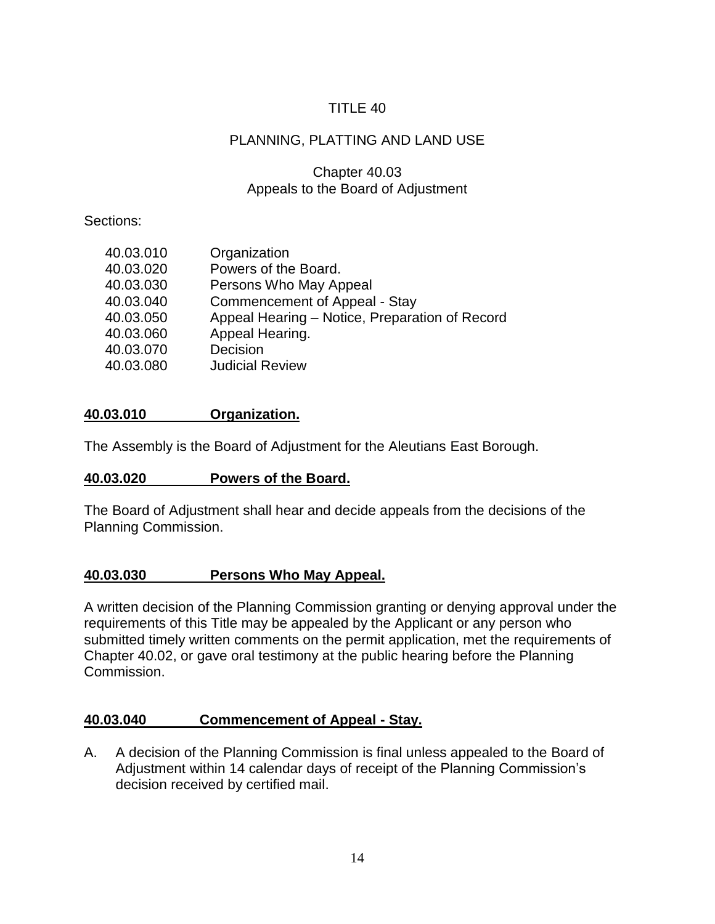# PLANNING, PLATTING AND LAND USE

## Chapter 40.03 Appeals to the Board of Adjustment

## Sections:

| 40.03.010 | Organization                                   |
|-----------|------------------------------------------------|
| 40.03.020 | Powers of the Board.                           |
| 40.03.030 | Persons Who May Appeal                         |
| 40.03.040 | <b>Commencement of Appeal - Stay</b>           |
| 40.03.050 | Appeal Hearing - Notice, Preparation of Record |
| 40.03.060 | Appeal Hearing.                                |
| 40.03.070 | Decision                                       |
| 40.03.080 | <b>Judicial Review</b>                         |
|           |                                                |

## **40.03.010 Organization.**

The Assembly is the Board of Adjustment for the Aleutians East Borough.

## **40.03.020 Powers of the Board.**

The Board of Adjustment shall hear and decide appeals from the decisions of the Planning Commission.

## **40.03.030 Persons Who May Appeal.**

A written decision of the Planning Commission granting or denying approval under the requirements of this Title may be appealed by the Applicant or any person who submitted timely written comments on the permit application, met the requirements of Chapter 40.02, or gave oral testimony at the public hearing before the Planning Commission.

## **40.03.040 Commencement of Appeal - Stay.**

A. A decision of the Planning Commission is final unless appealed to the Board of Adjustment within 14 calendar days of receipt of the Planning Commission's decision received by certified mail.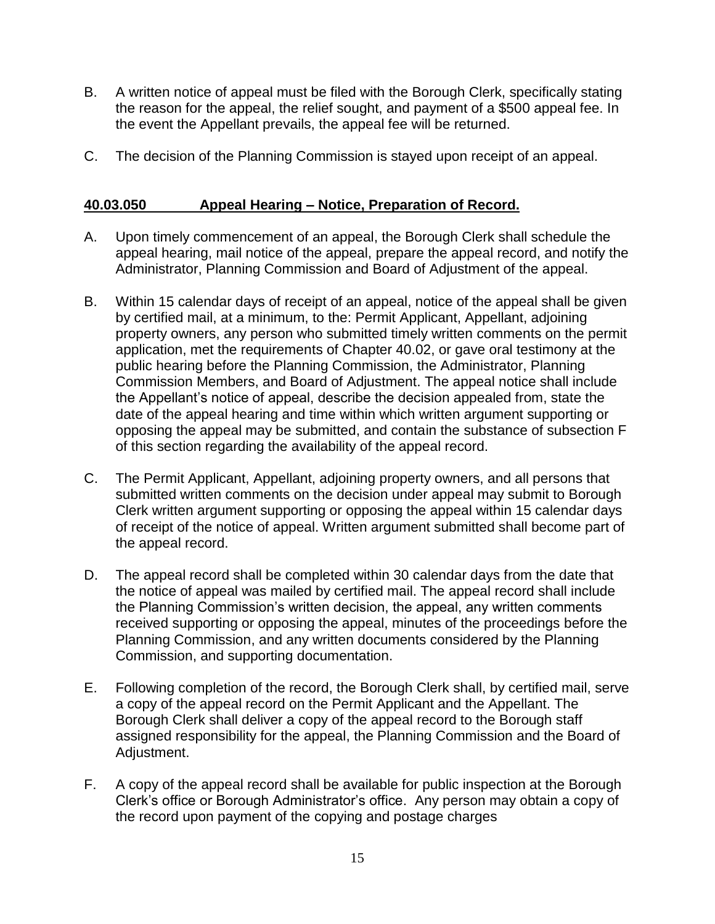- B. A written notice of appeal must be filed with the Borough Clerk, specifically stating the reason for the appeal, the relief sought, and payment of a \$500 appeal fee. In the event the Appellant prevails, the appeal fee will be returned.
- C. The decision of the Planning Commission is stayed upon receipt of an appeal.

## **40.03.050 Appeal Hearing – Notice, Preparation of Record.**

- A. Upon timely commencement of an appeal, the Borough Clerk shall schedule the appeal hearing, mail notice of the appeal, prepare the appeal record, and notify the Administrator, Planning Commission and Board of Adjustment of the appeal.
- B. Within 15 calendar days of receipt of an appeal, notice of the appeal shall be given by certified mail, at a minimum, to the: Permit Applicant, Appellant, adjoining property owners, any person who submitted timely written comments on the permit application, met the requirements of Chapter 40.02, or gave oral testimony at the public hearing before the Planning Commission, the Administrator, Planning Commission Members, and Board of Adjustment. The appeal notice shall include the Appellant's notice of appeal, describe the decision appealed from, state the date of the appeal hearing and time within which written argument supporting or opposing the appeal may be submitted, and contain the substance of subsection F of this section regarding the availability of the appeal record.
- C. The Permit Applicant, Appellant, adjoining property owners, and all persons that submitted written comments on the decision under appeal may submit to Borough Clerk written argument supporting or opposing the appeal within 15 calendar days of receipt of the notice of appeal. Written argument submitted shall become part of the appeal record.
- D. The appeal record shall be completed within 30 calendar days from the date that the notice of appeal was mailed by certified mail. The appeal record shall include the Planning Commission's written decision, the appeal, any written comments received supporting or opposing the appeal, minutes of the proceedings before the Planning Commission, and any written documents considered by the Planning Commission, and supporting documentation.
- E. Following completion of the record, the Borough Clerk shall, by certified mail, serve a copy of the appeal record on the Permit Applicant and the Appellant. The Borough Clerk shall deliver a copy of the appeal record to the Borough staff assigned responsibility for the appeal, the Planning Commission and the Board of Adjustment.
- F. A copy of the appeal record shall be available for public inspection at the Borough Clerk's office or Borough Administrator's office. Any person may obtain a copy of the record upon payment of the copying and postage charges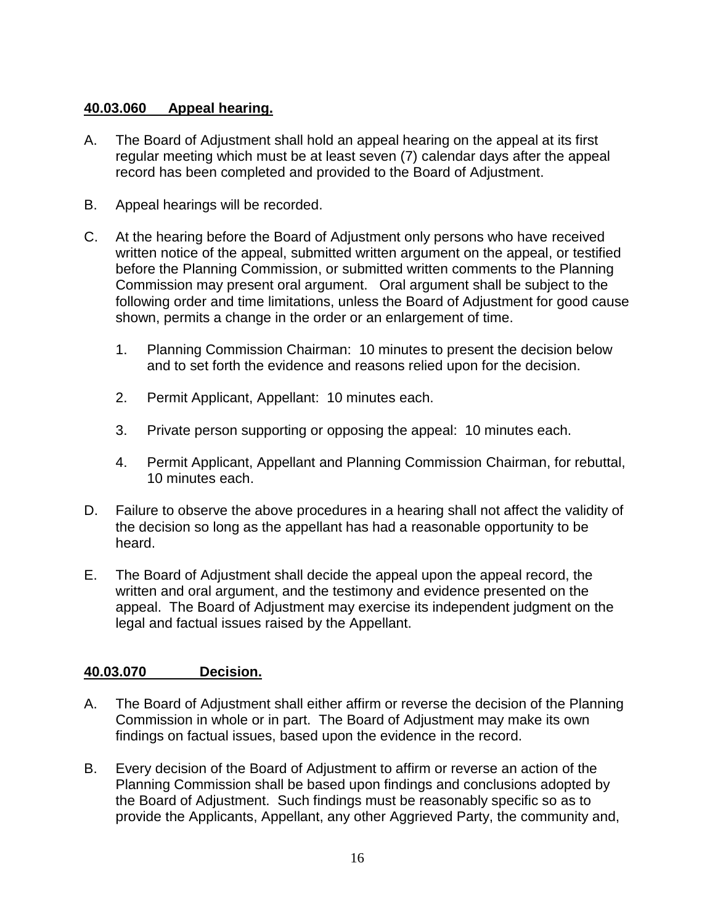## **40.03.060 Appeal hearing.**

- A. The Board of Adjustment shall hold an appeal hearing on the appeal at its first regular meeting which must be at least seven (7) calendar days after the appeal record has been completed and provided to the Board of Adjustment.
- B. Appeal hearings will be recorded.
- C. At the hearing before the Board of Adjustment only persons who have received written notice of the appeal, submitted written argument on the appeal, or testified before the Planning Commission, or submitted written comments to the Planning Commission may present oral argument. Oral argument shall be subject to the following order and time limitations, unless the Board of Adjustment for good cause shown, permits a change in the order or an enlargement of time.
	- 1. Planning Commission Chairman: 10 minutes to present the decision below and to set forth the evidence and reasons relied upon for the decision.
	- 2. Permit Applicant, Appellant: 10 minutes each.
	- 3. Private person supporting or opposing the appeal: 10 minutes each.
	- 4. Permit Applicant, Appellant and Planning Commission Chairman, for rebuttal, 10 minutes each.
- D. Failure to observe the above procedures in a hearing shall not affect the validity of the decision so long as the appellant has had a reasonable opportunity to be heard.
- E. The Board of Adjustment shall decide the appeal upon the appeal record, the written and oral argument, and the testimony and evidence presented on the appeal. The Board of Adjustment may exercise its independent judgment on the legal and factual issues raised by the Appellant.

## **40.03.070 Decision.**

- A. The Board of Adjustment shall either affirm or reverse the decision of the Planning Commission in whole or in part. The Board of Adjustment may make its own findings on factual issues, based upon the evidence in the record.
- B. Every decision of the Board of Adjustment to affirm or reverse an action of the Planning Commission shall be based upon findings and conclusions adopted by the Board of Adjustment. Such findings must be reasonably specific so as to provide the Applicants, Appellant, any other Aggrieved Party, the community and,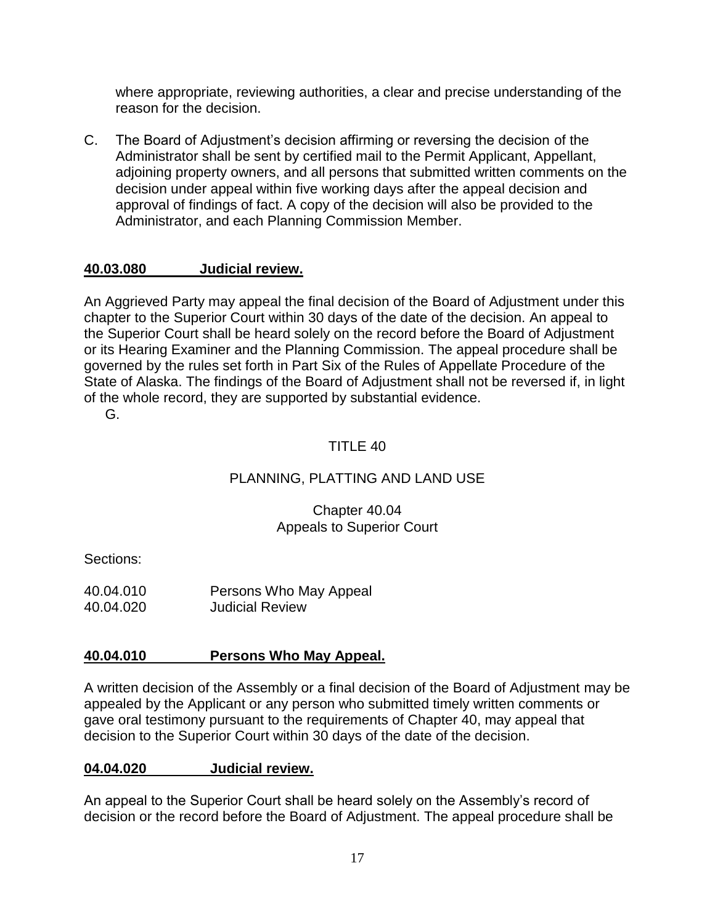where appropriate, reviewing authorities, a clear and precise understanding of the reason for the decision.

C. The Board of Adjustment's decision affirming or reversing the decision of the Administrator shall be sent by certified mail to the Permit Applicant, Appellant, adjoining property owners, and all persons that submitted written comments on the decision under appeal within five working days after the appeal decision and approval of findings of fact. A copy of the decision will also be provided to the Administrator, and each Planning Commission Member.

## **40.03.080 Judicial review.**

An Aggrieved Party may appeal the final decision of the Board of Adjustment under this chapter to the Superior Court within 30 days of the date of the decision. An appeal to the Superior Court shall be heard solely on the record before the Board of Adjustment or its Hearing Examiner and the Planning Commission. The appeal procedure shall be governed by the rules set forth in Part Six of the Rules of Appellate Procedure of the State of Alaska. The findings of the Board of Adjustment shall not be reversed if, in light of the whole record, they are supported by substantial evidence.

G.

## TITLE 40

## PLANNING, PLATTING AND LAND USE

## Chapter 40.04 Appeals to Superior Court

Sections:

40.04.010 Persons Who May Appeal 40.04.020 Judicial Review

## **40.04.010 Persons Who May Appeal.**

A written decision of the Assembly or a final decision of the Board of Adjustment may be appealed by the Applicant or any person who submitted timely written comments or gave oral testimony pursuant to the requirements of Chapter 40, may appeal that decision to the Superior Court within 30 days of the date of the decision.

#### **04.04.020 Judicial review.**

An appeal to the Superior Court shall be heard solely on the Assembly's record of decision or the record before the Board of Adjustment. The appeal procedure shall be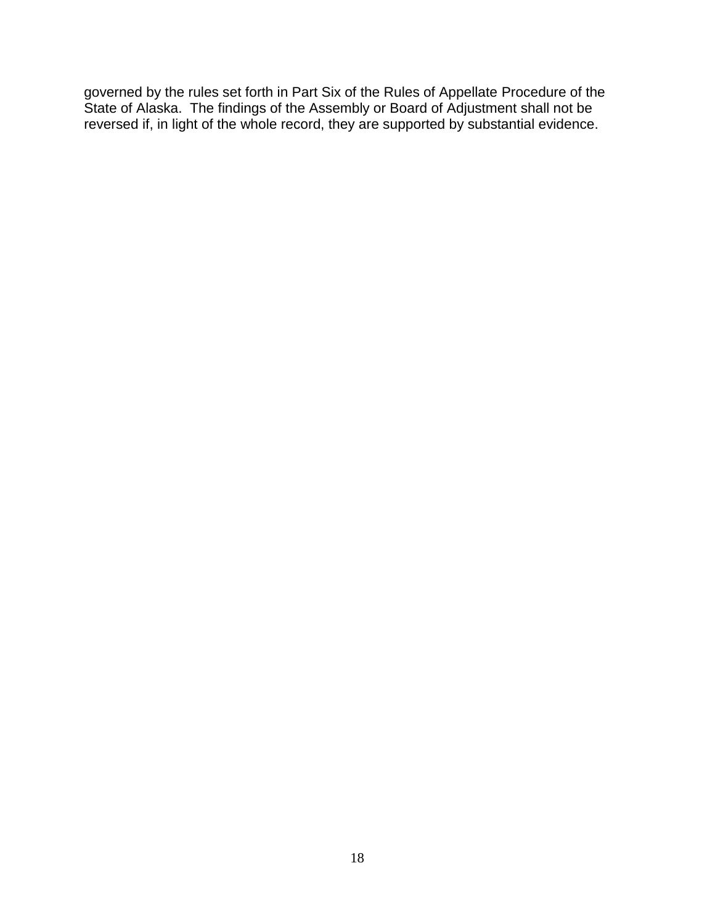governed by the rules set forth in Part Six of the Rules of Appellate Procedure of the State of Alaska. The findings of the Assembly or Board of Adjustment shall not be reversed if, in light of the whole record, they are supported by substantial evidence.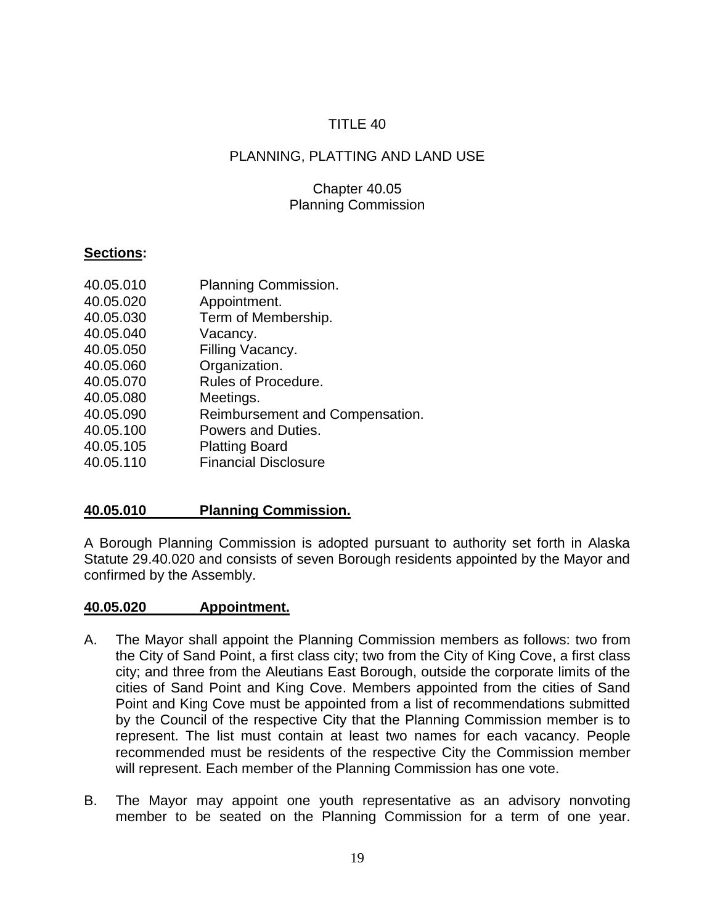# PLANNING, PLATTING AND LAND USE

## Chapter 40.05 Planning Commission

## **Sections:**

| 40.05.010 | Planning Commission.            |
|-----------|---------------------------------|
| 40.05.020 | Appointment.                    |
| 40.05.030 | Term of Membership.             |
| 40.05.040 | Vacancy.                        |
| 40.05.050 | Filling Vacancy.                |
| 40.05.060 | Organization.                   |
| 40.05.070 | Rules of Procedure.             |
| 40.05.080 | Meetings.                       |
| 40.05.090 | Reimbursement and Compensation. |
| 40.05.100 | Powers and Duties.              |
| 40.05.105 | <b>Platting Board</b>           |
| 40.05.110 | <b>Financial Disclosure</b>     |

## **40.05.010 Planning Commission.**

A Borough Planning Commission is adopted pursuant to authority set forth in Alaska Statute 29.40.020 and consists of seven Borough residents appointed by the Mayor and confirmed by the Assembly.

#### **40.05.020 Appointment.**

- A. The Mayor shall appoint the Planning Commission members as follows: two from the City of Sand Point, a first class city; two from the City of King Cove, a first class city; and three from the Aleutians East Borough, outside the corporate limits of the cities of Sand Point and King Cove. Members appointed from the cities of Sand Point and King Cove must be appointed from a list of recommendations submitted by the Council of the respective City that the Planning Commission member is to represent. The list must contain at least two names for each vacancy. People recommended must be residents of the respective City the Commission member will represent. Each member of the Planning Commission has one vote.
- B. The Mayor may appoint one youth representative as an advisory nonvoting member to be seated on the Planning Commission for a term of one year.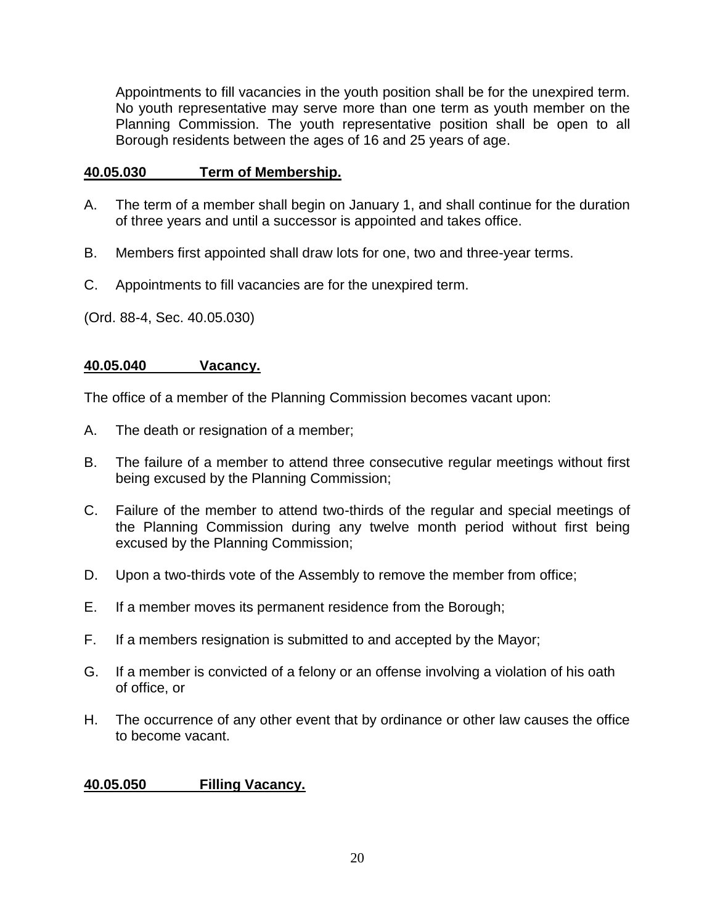Appointments to fill vacancies in the youth position shall be for the unexpired term. No youth representative may serve more than one term as youth member on the Planning Commission. The youth representative position shall be open to all Borough residents between the ages of 16 and 25 years of age.

## **40.05.030 Term of Membership.**

- A. The term of a member shall begin on January 1, and shall continue for the duration of three years and until a successor is appointed and takes office.
- B. Members first appointed shall draw lots for one, two and three-year terms.
- C. Appointments to fill vacancies are for the unexpired term.

(Ord. 88-4, Sec. 40.05.030)

## **40.05.040 Vacancy.**

The office of a member of the Planning Commission becomes vacant upon:

- A. The death or resignation of a member;
- B. The failure of a member to attend three consecutive regular meetings without first being excused by the Planning Commission;
- C. Failure of the member to attend two-thirds of the regular and special meetings of the Planning Commission during any twelve month period without first being excused by the Planning Commission;
- D. Upon a two-thirds vote of the Assembly to remove the member from office;
- E. If a member moves its permanent residence from the Borough;
- F. If a members resignation is submitted to and accepted by the Mayor;
- G. If a member is convicted of a felony or an offense involving a violation of his oath of office, or
- H. The occurrence of any other event that by ordinance or other law causes the office to become vacant.

#### **40.05.050 Filling Vacancy.**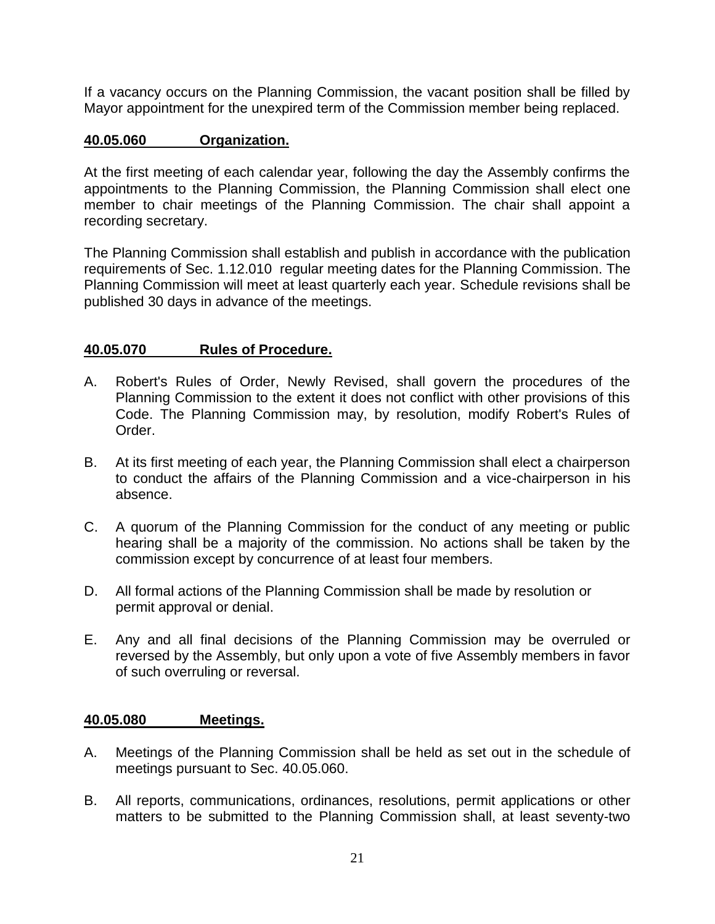If a vacancy occurs on the Planning Commission, the vacant position shall be filled by Mayor appointment for the unexpired term of the Commission member being replaced.

### **40.05.060 Organization.**

At the first meeting of each calendar year, following the day the Assembly confirms the appointments to the Planning Commission, the Planning Commission shall elect one member to chair meetings of the Planning Commission. The chair shall appoint a recording secretary.

The Planning Commission shall establish and publish in accordance with the publication requirements of Sec. 1.12.010 regular meeting dates for the Planning Commission. The Planning Commission will meet at least quarterly each year. Schedule revisions shall be published 30 days in advance of the meetings.

#### **40.05.070 Rules of Procedure.**

- A. Robert's Rules of Order, Newly Revised, shall govern the procedures of the Planning Commission to the extent it does not conflict with other provisions of this Code. The Planning Commission may, by resolution, modify Robert's Rules of Order.
- B. At its first meeting of each year, the Planning Commission shall elect a chairperson to conduct the affairs of the Planning Commission and a vice-chairperson in his absence.
- C. A quorum of the Planning Commission for the conduct of any meeting or public hearing shall be a majority of the commission. No actions shall be taken by the commission except by concurrence of at least four members.
- D. All formal actions of the Planning Commission shall be made by resolution or permit approval or denial.
- E. Any and all final decisions of the Planning Commission may be overruled or reversed by the Assembly, but only upon a vote of five Assembly members in favor of such overruling or reversal.

#### **40.05.080 Meetings.**

- A. Meetings of the Planning Commission shall be held as set out in the schedule of meetings pursuant to Sec. 40.05.060.
- B. All reports, communications, ordinances, resolutions, permit applications or other matters to be submitted to the Planning Commission shall, at least seventy-two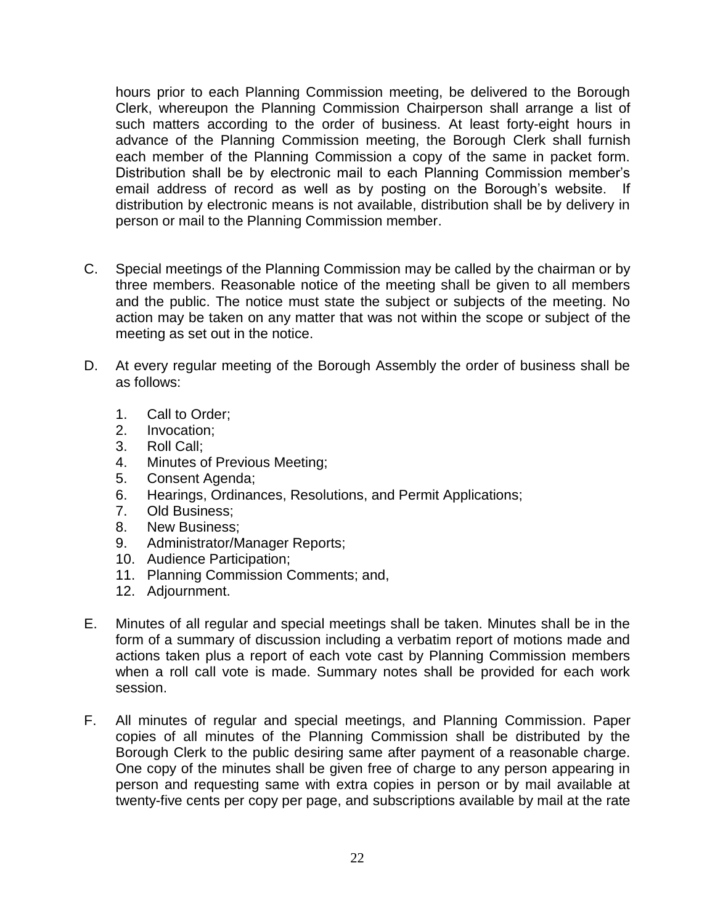hours prior to each Planning Commission meeting, be delivered to the Borough Clerk, whereupon the Planning Commission Chairperson shall arrange a list of such matters according to the order of business. At least forty-eight hours in advance of the Planning Commission meeting, the Borough Clerk shall furnish each member of the Planning Commission a copy of the same in packet form. Distribution shall be by electronic mail to each Planning Commission member's email address of record as well as by posting on the Borough's website. If distribution by electronic means is not available, distribution shall be by delivery in person or mail to the Planning Commission member.

- C. Special meetings of the Planning Commission may be called by the chairman or by three members. Reasonable notice of the meeting shall be given to all members and the public. The notice must state the subject or subjects of the meeting. No action may be taken on any matter that was not within the scope or subject of the meeting as set out in the notice.
- D. At every regular meeting of the Borough Assembly the order of business shall be as follows:
	- 1. Call to Order;
	- 2. Invocation;
	- 3. Roll Call;
	- 4. Minutes of Previous Meeting;
	- 5. Consent Agenda;
	- 6. Hearings, Ordinances, Resolutions, and Permit Applications;
	- 7. Old Business;
	- 8. New Business;
	- 9. Administrator/Manager Reports;
	- 10. Audience Participation;
	- 11. Planning Commission Comments; and,
	- 12. Adjournment.
- E. Minutes of all regular and special meetings shall be taken. Minutes shall be in the form of a summary of discussion including a verbatim report of motions made and actions taken plus a report of each vote cast by Planning Commission members when a roll call vote is made. Summary notes shall be provided for each work session.
- F. All minutes of regular and special meetings, and Planning Commission. Paper copies of all minutes of the Planning Commission shall be distributed by the Borough Clerk to the public desiring same after payment of a reasonable charge. One copy of the minutes shall be given free of charge to any person appearing in person and requesting same with extra copies in person or by mail available at twenty-five cents per copy per page, and subscriptions available by mail at the rate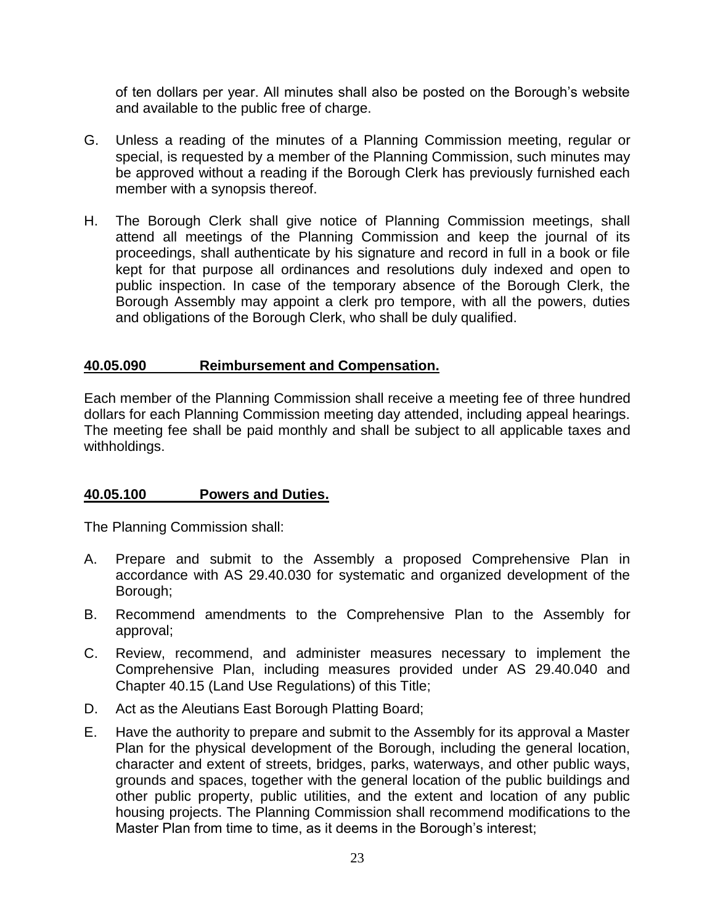of ten dollars per year. All minutes shall also be posted on the Borough's website and available to the public free of charge.

- G. Unless a reading of the minutes of a Planning Commission meeting, regular or special, is requested by a member of the Planning Commission, such minutes may be approved without a reading if the Borough Clerk has previously furnished each member with a synopsis thereof.
- H. The Borough Clerk shall give notice of Planning Commission meetings, shall attend all meetings of the Planning Commission and keep the journal of its proceedings, shall authenticate by his signature and record in full in a book or file kept for that purpose all ordinances and resolutions duly indexed and open to public inspection. In case of the temporary absence of the Borough Clerk, the Borough Assembly may appoint a clerk pro tempore, with all the powers, duties and obligations of the Borough Clerk, who shall be duly qualified.

#### **40.05.090 Reimbursement and Compensation.**

Each member of the Planning Commission shall receive a meeting fee of three hundred dollars for each Planning Commission meeting day attended, including appeal hearings. The meeting fee shall be paid monthly and shall be subject to all applicable taxes and withholdings.

## **40.05.100 Powers and Duties.**

The Planning Commission shall:

- A. Prepare and submit to the Assembly a proposed Comprehensive Plan in accordance with AS 29.40.030 for systematic and organized development of the Borough;
- B. Recommend amendments to the Comprehensive Plan to the Assembly for approval;
- C. Review, recommend, and administer measures necessary to implement the Comprehensive Plan, including measures provided under AS 29.40.040 and Chapter 40.15 (Land Use Regulations) of this Title;
- D. Act as the Aleutians East Borough Platting Board;
- E. Have the authority to prepare and submit to the Assembly for its approval a Master Plan for the physical development of the Borough, including the general location, character and extent of streets, bridges, parks, waterways, and other public ways, grounds and spaces, together with the general location of the public buildings and other public property, public utilities, and the extent and location of any public housing projects. The Planning Commission shall recommend modifications to the Master Plan from time to time, as it deems in the Borough's interest;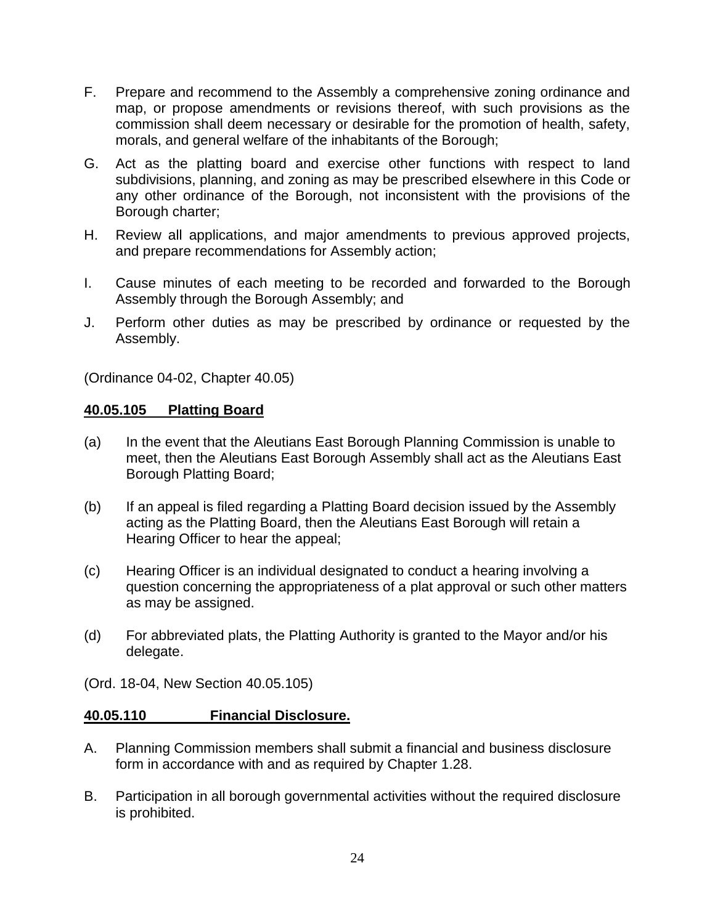- F. Prepare and recommend to the Assembly a comprehensive zoning ordinance and map, or propose amendments or revisions thereof, with such provisions as the commission shall deem necessary or desirable for the promotion of health, safety, morals, and general welfare of the inhabitants of the Borough;
- G. Act as the platting board and exercise other functions with respect to land subdivisions, planning, and zoning as may be prescribed elsewhere in this Code or any other ordinance of the Borough, not inconsistent with the provisions of the Borough charter;
- H. Review all applications, and major amendments to previous approved projects, and prepare recommendations for Assembly action;
- I. Cause minutes of each meeting to be recorded and forwarded to the Borough Assembly through the Borough Assembly; and
- J. Perform other duties as may be prescribed by ordinance or requested by the Assembly.

(Ordinance 04-02, Chapter 40.05)

#### **40.05.105 Platting Board**

- (a) In the event that the Aleutians East Borough Planning Commission is unable to meet, then the Aleutians East Borough Assembly shall act as the Aleutians East Borough Platting Board;
- (b) If an appeal is filed regarding a Platting Board decision issued by the Assembly acting as the Platting Board, then the Aleutians East Borough will retain a Hearing Officer to hear the appeal;
- (c) Hearing Officer is an individual designated to conduct a hearing involving a question concerning the appropriateness of a plat approval or such other matters as may be assigned.
- (d) For abbreviated plats, the Platting Authority is granted to the Mayor and/or his delegate.
- (Ord. 18-04, New Section 40.05.105)

## **40.05.110 Financial Disclosure.**

- A. Planning Commission members shall submit a financial and business disclosure form in accordance with and as required by Chapter 1.28.
- B. Participation in all borough governmental activities without the required disclosure is prohibited.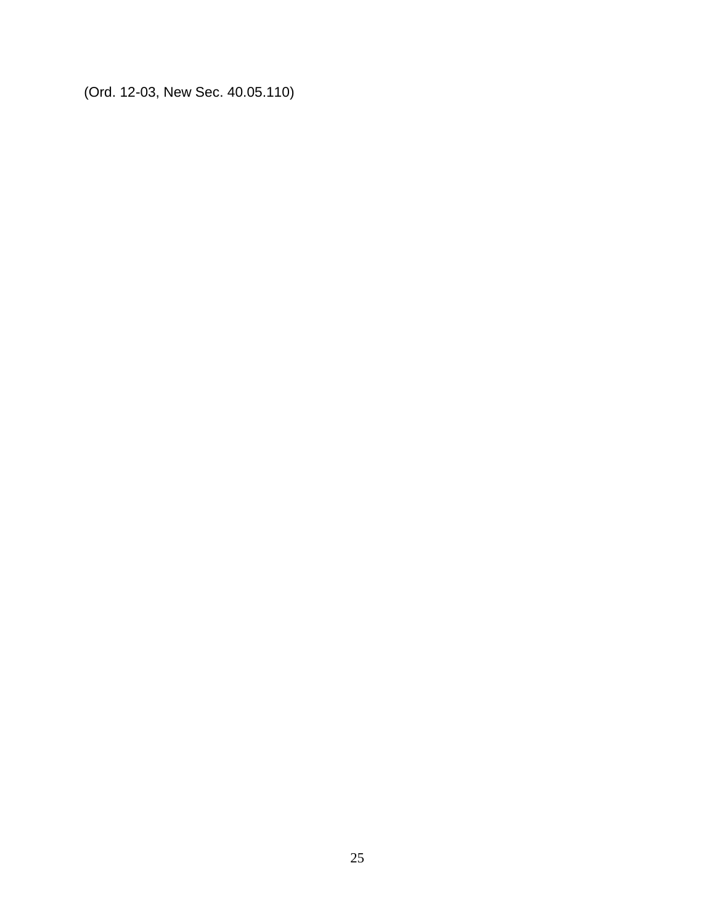(Ord. 12-03, New Sec. 40.05.110)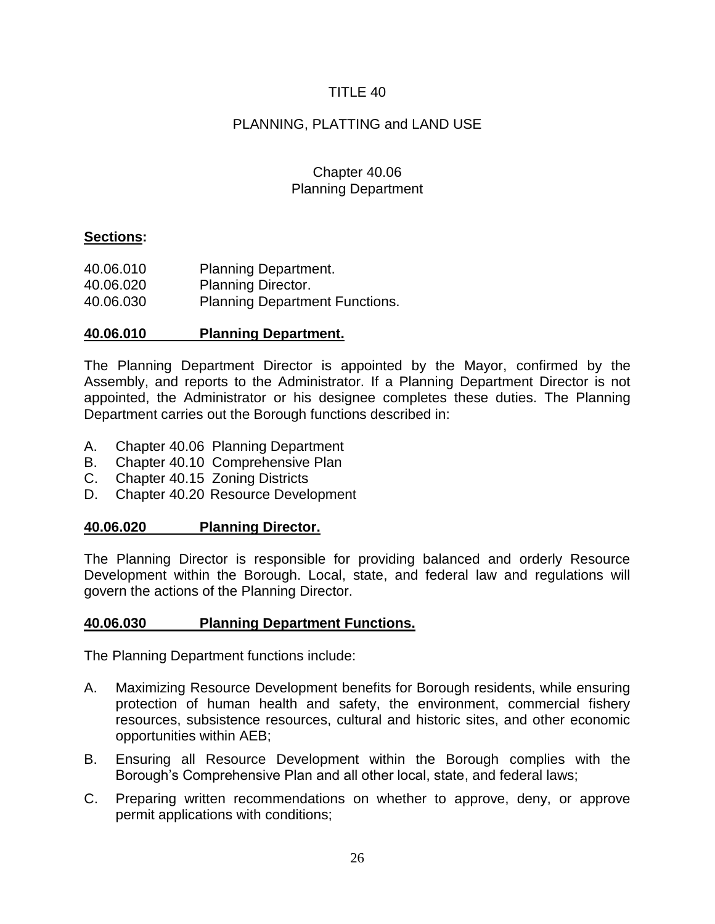# PLANNING, PLATTING and LAND USE

## Chapter 40.06 Planning Department

## **Sections:**

| 40.06.010 | <b>Planning Department.</b>           |
|-----------|---------------------------------------|
| 40.06.020 | <b>Planning Director.</b>             |
| 40.06.030 | <b>Planning Department Functions.</b> |

## **40.06.010 Planning Department.**

The Planning Department Director is appointed by the Mayor, confirmed by the Assembly, and reports to the Administrator. If a Planning Department Director is not appointed, the Administrator or his designee completes these duties. The Planning Department carries out the Borough functions described in:

- A. Chapter 40.06 Planning Department
- B. Chapter 40.10 Comprehensive Plan
- C. Chapter 40.15 Zoning Districts
- D. Chapter 40.20 Resource Development

## **40.06.020 Planning Director.**

The Planning Director is responsible for providing balanced and orderly Resource Development within the Borough. Local, state, and federal law and regulations will govern the actions of the Planning Director.

## **40.06.030 Planning Department Functions.**

The Planning Department functions include:

- A. Maximizing Resource Development benefits for Borough residents, while ensuring protection of human health and safety, the environment, commercial fishery resources, subsistence resources, cultural and historic sites, and other economic opportunities within AEB;
- B. Ensuring all Resource Development within the Borough complies with the Borough's Comprehensive Plan and all other local, state, and federal laws;
- C. Preparing written recommendations on whether to approve, deny, or approve permit applications with conditions;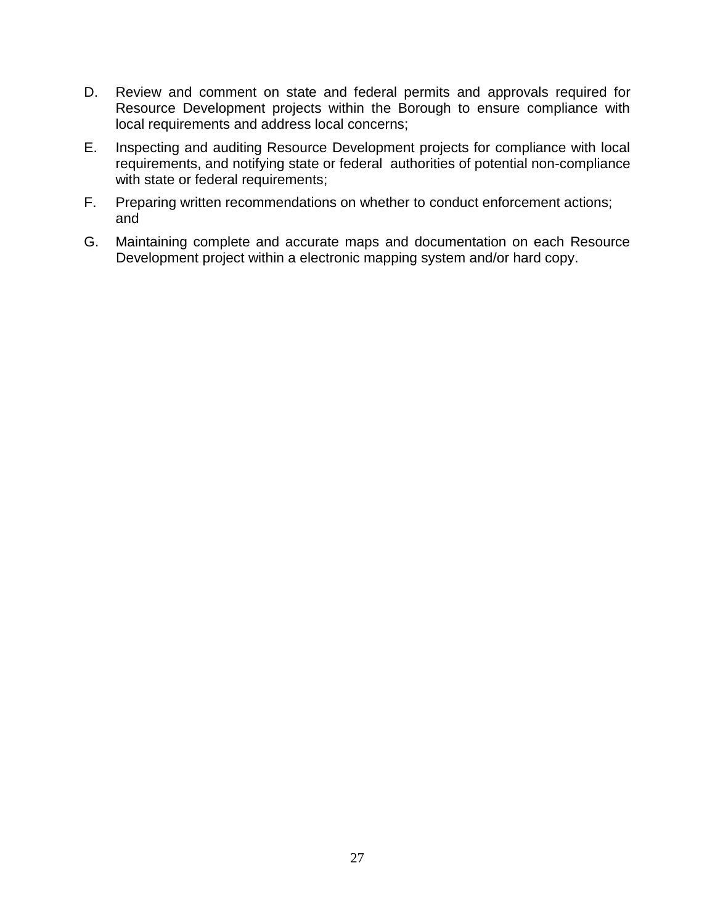- D. Review and comment on state and federal permits and approvals required for Resource Development projects within the Borough to ensure compliance with local requirements and address local concerns;
- E. Inspecting and auditing Resource Development projects for compliance with local requirements, and notifying state or federal authorities of potential non-compliance with state or federal requirements;
- F. Preparing written recommendations on whether to conduct enforcement actions; and
- G. Maintaining complete and accurate maps and documentation on each Resource Development project within a electronic mapping system and/or hard copy.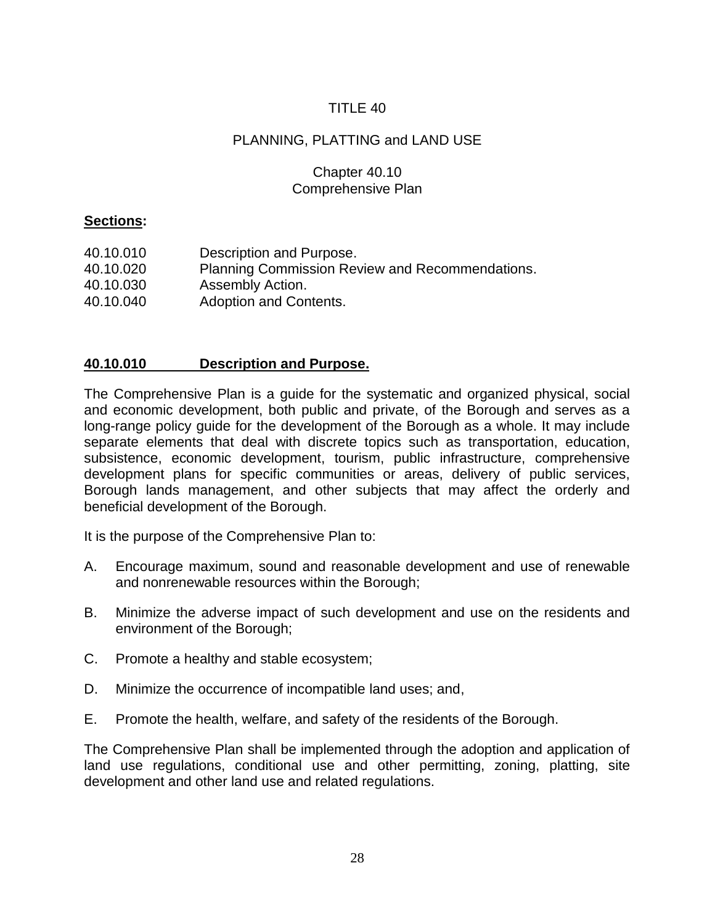# PLANNING, PLATTING and LAND USE

## Chapter 40.10 Comprehensive Plan

## **Sections:**

| 40.10.010 | Description and Purpose.                        |
|-----------|-------------------------------------------------|
| 40.10.020 | Planning Commission Review and Recommendations. |
| 40.10.030 | Assembly Action.                                |
| 40.10.040 | Adoption and Contents.                          |

## **40.10.010 Description and Purpose.**

The Comprehensive Plan is a guide for the systematic and organized physical, social and economic development, both public and private, of the Borough and serves as a long-range policy guide for the development of the Borough as a whole. It may include separate elements that deal with discrete topics such as transportation, education, subsistence, economic development, tourism, public infrastructure, comprehensive development plans for specific communities or areas, delivery of public services, Borough lands management, and other subjects that may affect the orderly and beneficial development of the Borough.

It is the purpose of the Comprehensive Plan to:

- A. Encourage maximum, sound and reasonable development and use of renewable and nonrenewable resources within the Borough;
- B. Minimize the adverse impact of such development and use on the residents and environment of the Borough;
- C. Promote a healthy and stable ecosystem;
- D. Minimize the occurrence of incompatible land uses; and,
- E. Promote the health, welfare, and safety of the residents of the Borough.

The Comprehensive Plan shall be implemented through the adoption and application of land use regulations, conditional use and other permitting, zoning, platting, site development and other land use and related regulations.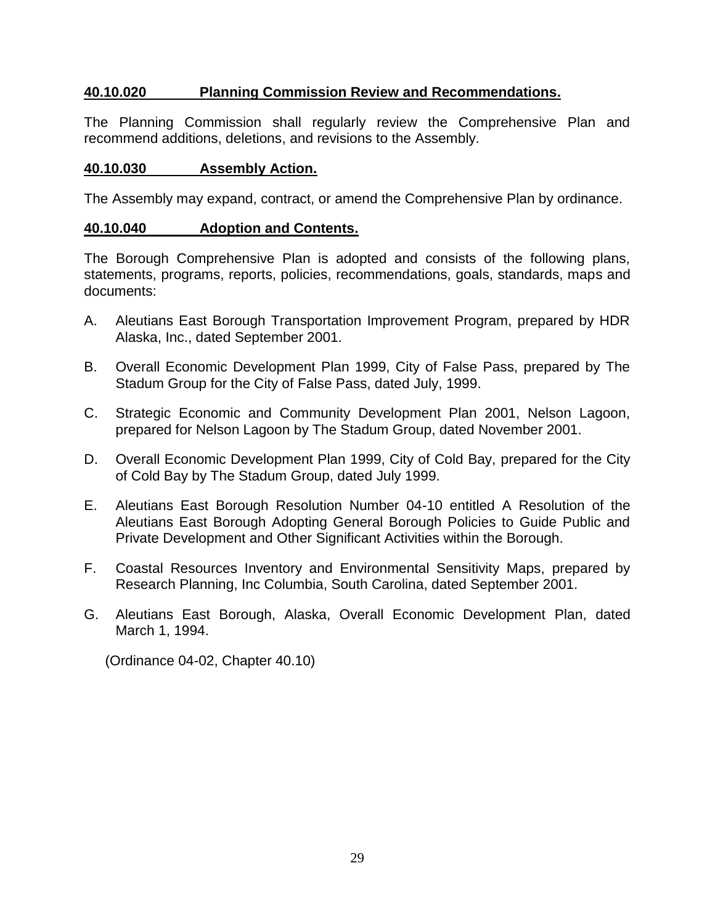## **40.10.020 Planning Commission Review and Recommendations.**

The Planning Commission shall regularly review the Comprehensive Plan and recommend additions, deletions, and revisions to the Assembly.

## **40.10.030 Assembly Action.**

The Assembly may expand, contract, or amend the Comprehensive Plan by ordinance.

## **40.10.040 Adoption and Contents.**

The Borough Comprehensive Plan is adopted and consists of the following plans, statements, programs, reports, policies, recommendations, goals, standards, maps and documents:

- A. Aleutians East Borough Transportation Improvement Program, prepared by HDR Alaska, Inc., dated September 2001.
- B. Overall Economic Development Plan 1999, City of False Pass, prepared by The Stadum Group for the City of False Pass, dated July, 1999.
- C. Strategic Economic and Community Development Plan 2001, Nelson Lagoon, prepared for Nelson Lagoon by The Stadum Group, dated November 2001.
- D. Overall Economic Development Plan 1999, City of Cold Bay, prepared for the City of Cold Bay by The Stadum Group, dated July 1999.
- E. Aleutians East Borough Resolution Number 04-10 entitled A Resolution of the Aleutians East Borough Adopting General Borough Policies to Guide Public and Private Development and Other Significant Activities within the Borough.
- F. Coastal Resources Inventory and Environmental Sensitivity Maps, prepared by Research Planning, Inc Columbia, South Carolina, dated September 2001.
- G. Aleutians East Borough, Alaska, Overall Economic Development Plan, dated March 1, 1994.

(Ordinance 04-02, Chapter 40.10)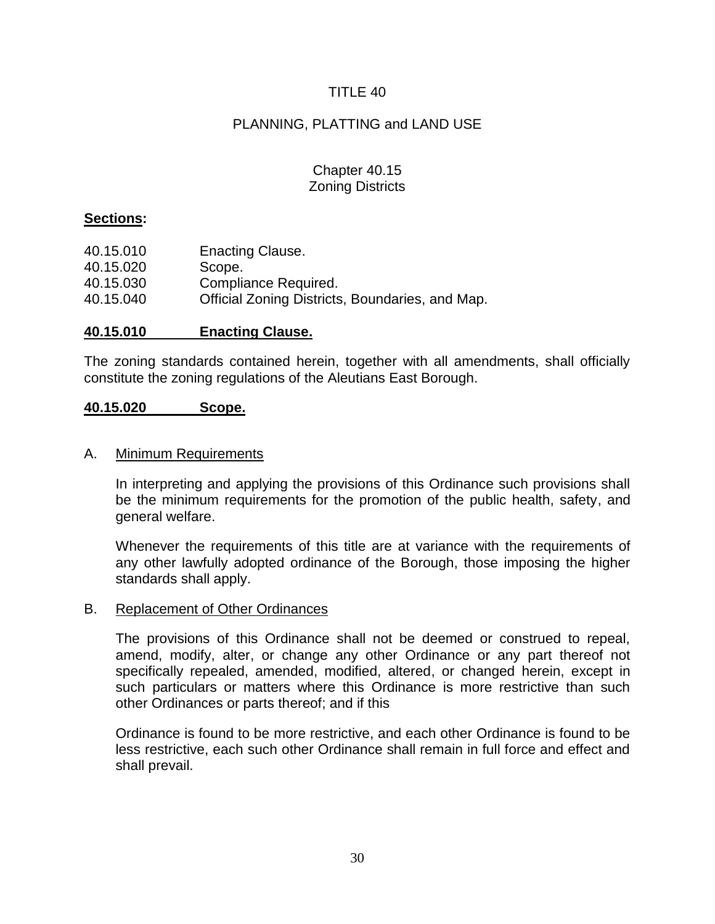## PLANNING, PLATTING and LAND USE

## Chapter 40.15 Zoning Districts

#### **Sections:**

| 40.15.010 | <b>Enacting Clause.</b>                         |
|-----------|-------------------------------------------------|
| 40.15.020 | Scope.                                          |
| 40.15.030 | Compliance Required.                            |
| 40.15.040 | Official Zoning Districts, Boundaries, and Map. |

#### **40.15.010 Enacting Clause.**

The zoning standards contained herein, together with all amendments, shall officially constitute the zoning regulations of the Aleutians East Borough.

#### **40.15.020 Scope.**

#### A. Minimum Requirements

In interpreting and applying the provisions of this Ordinance such provisions shall be the minimum requirements for the promotion of the public health, safety, and general welfare.

Whenever the requirements of this title are at variance with the requirements of any other lawfully adopted ordinance of the Borough, those imposing the higher standards shall apply.

#### B. Replacement of Other Ordinances

The provisions of this Ordinance shall not be deemed or construed to repeal, amend, modify, alter, or change any other Ordinance or any part thereof not specifically repealed, amended, modified, altered, or changed herein, except in such particulars or matters where this Ordinance is more restrictive than such other Ordinances or parts thereof; and if this

Ordinance is found to be more restrictive, and each other Ordinance is found to be less restrictive, each such other Ordinance shall remain in full force and effect and shall prevail.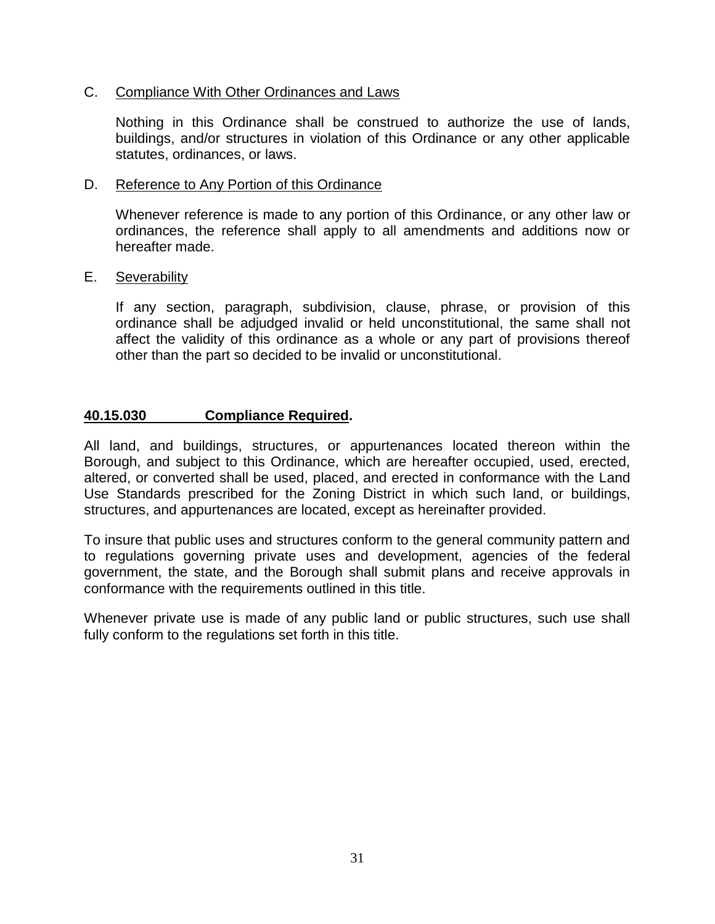### C. Compliance With Other Ordinances and Laws

Nothing in this Ordinance shall be construed to authorize the use of lands, buildings, and/or structures in violation of this Ordinance or any other applicable statutes, ordinances, or laws.

#### D. Reference to Any Portion of this Ordinance

Whenever reference is made to any portion of this Ordinance, or any other law or ordinances, the reference shall apply to all amendments and additions now or hereafter made.

#### E. Severability

If any section, paragraph, subdivision, clause, phrase, or provision of this ordinance shall be adjudged invalid or held unconstitutional, the same shall not affect the validity of this ordinance as a whole or any part of provisions thereof other than the part so decided to be invalid or unconstitutional.

#### **40.15.030 Compliance Required.**

All land, and buildings, structures, or appurtenances located thereon within the Borough, and subject to this Ordinance, which are hereafter occupied, used, erected, altered, or converted shall be used, placed, and erected in conformance with the Land Use Standards prescribed for the Zoning District in which such land, or buildings, structures, and appurtenances are located, except as hereinafter provided.

To insure that public uses and structures conform to the general community pattern and to regulations governing private uses and development, agencies of the federal government, the state, and the Borough shall submit plans and receive approvals in conformance with the requirements outlined in this title.

Whenever private use is made of any public land or public structures, such use shall fully conform to the regulations set forth in this title.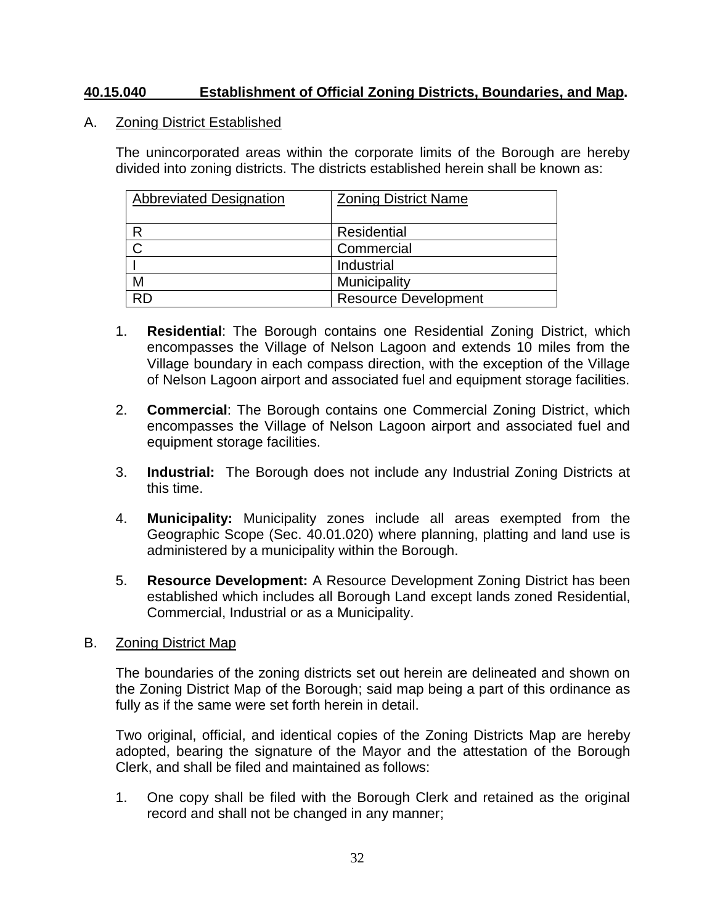## **40.15.040 Establishment of Official Zoning Districts, Boundaries, and Map.**

A. Zoning District Established

The unincorporated areas within the corporate limits of the Borough are hereby divided into zoning districts. The districts established herein shall be known as:

| <b>Abbreviated Designation</b> | <b>Zoning District Name</b> |
|--------------------------------|-----------------------------|
|                                | Residential                 |
|                                | Commercial                  |
|                                | Industrial                  |
| М                              | Municipality                |
|                                | <b>Resource Development</b> |

- 1. **Residential**: The Borough contains one Residential Zoning District, which encompasses the Village of Nelson Lagoon and extends 10 miles from the Village boundary in each compass direction, with the exception of the Village of Nelson Lagoon airport and associated fuel and equipment storage facilities.
- 2. **Commercial**: The Borough contains one Commercial Zoning District, which encompasses the Village of Nelson Lagoon airport and associated fuel and equipment storage facilities.
- 3. **Industrial:** The Borough does not include any Industrial Zoning Districts at this time.
- 4. **Municipality:** Municipality zones include all areas exempted from the Geographic Scope (Sec. 40.01.020) where planning, platting and land use is administered by a municipality within the Borough.
- 5. **Resource Development:** A Resource Development Zoning District has been established which includes all Borough Land except lands zoned Residential, Commercial, Industrial or as a Municipality.
- B. Zoning District Map

The boundaries of the zoning districts set out herein are delineated and shown on the Zoning District Map of the Borough; said map being a part of this ordinance as fully as if the same were set forth herein in detail.

Two original, official, and identical copies of the Zoning Districts Map are hereby adopted, bearing the signature of the Mayor and the attestation of the Borough Clerk, and shall be filed and maintained as follows:

1. One copy shall be filed with the Borough Clerk and retained as the original record and shall not be changed in any manner;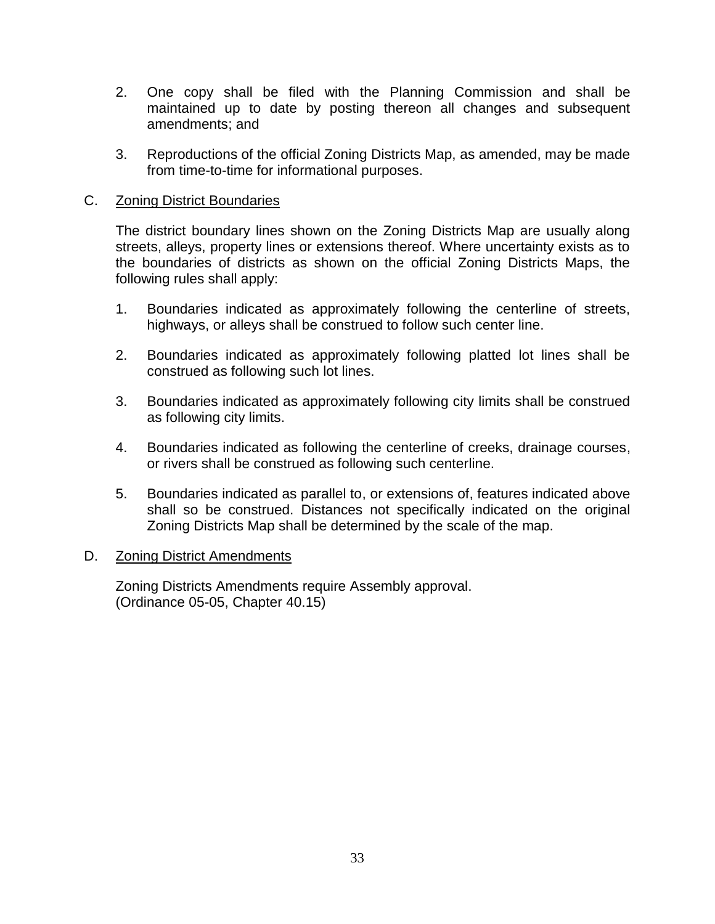- 2. One copy shall be filed with the Planning Commission and shall be maintained up to date by posting thereon all changes and subsequent amendments; and
- 3. Reproductions of the official Zoning Districts Map, as amended, may be made from time-to-time for informational purposes.

### C. Zoning District Boundaries

The district boundary lines shown on the Zoning Districts Map are usually along streets, alleys, property lines or extensions thereof. Where uncertainty exists as to the boundaries of districts as shown on the official Zoning Districts Maps, the following rules shall apply:

- 1. Boundaries indicated as approximately following the centerline of streets, highways, or alleys shall be construed to follow such center line.
- 2. Boundaries indicated as approximately following platted lot lines shall be construed as following such lot lines.
- 3. Boundaries indicated as approximately following city limits shall be construed as following city limits.
- 4. Boundaries indicated as following the centerline of creeks, drainage courses, or rivers shall be construed as following such centerline.
- 5. Boundaries indicated as parallel to, or extensions of, features indicated above shall so be construed. Distances not specifically indicated on the original Zoning Districts Map shall be determined by the scale of the map.

#### D. Zoning District Amendments

Zoning Districts Amendments require Assembly approval. (Ordinance 05-05, Chapter 40.15)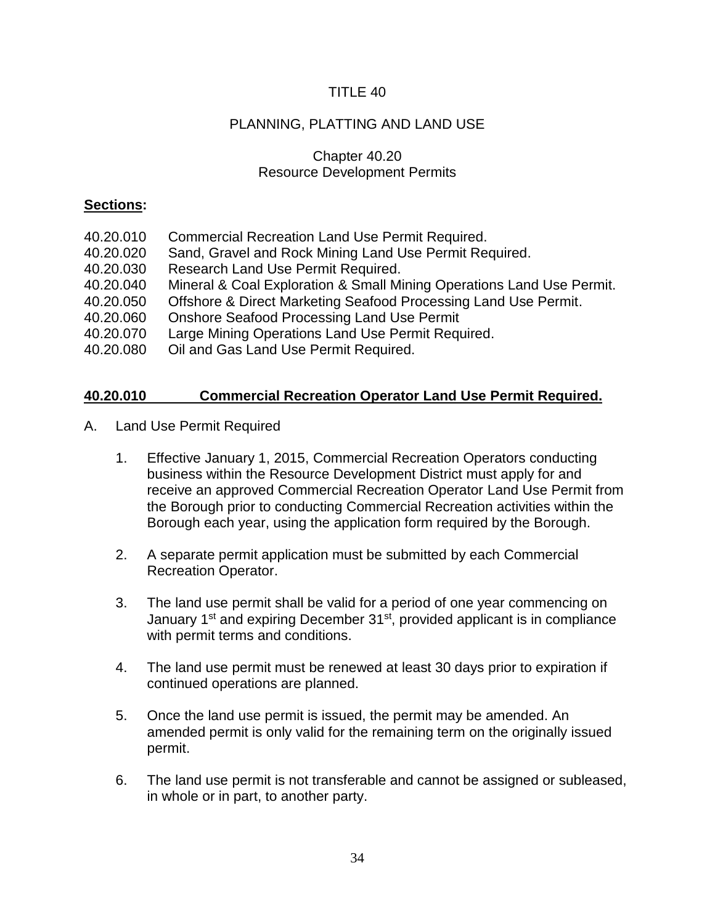# PLANNING, PLATTING AND LAND USE

## Chapter 40.20 Resource Development Permits

## **Sections:**

- 40.20.010 Commercial Recreation Land Use Permit Required.
- 40.20.020 Sand, Gravel and Rock Mining Land Use Permit Required.
- 40.20.030 Research Land Use Permit Required.
- 40.20.040 Mineral & Coal Exploration & Small Mining Operations Land Use Permit.
- 40.20.050 Offshore & Direct Marketing Seafood Processing Land Use Permit.
- 40.20.060 Onshore Seafood Processing Land Use Permit
- 40.20.070 Large Mining Operations Land Use Permit Required.
- 40.20.080 Oil and Gas Land Use Permit Required.

## **40.20.010 Commercial Recreation Operator Land Use Permit Required.**

- A. Land Use Permit Required
	- 1. Effective January 1, 2015, Commercial Recreation Operators conducting business within the Resource Development District must apply for and receive an approved Commercial Recreation Operator Land Use Permit from the Borough prior to conducting Commercial Recreation activities within the Borough each year, using the application form required by the Borough.
	- 2. A separate permit application must be submitted by each Commercial Recreation Operator.
	- 3. The land use permit shall be valid for a period of one year commencing on January 1<sup>st</sup> and expiring December 31<sup>st</sup>, provided applicant is in compliance with permit terms and conditions.
	- 4. The land use permit must be renewed at least 30 days prior to expiration if continued operations are planned.
	- 5. Once the land use permit is issued, the permit may be amended. An amended permit is only valid for the remaining term on the originally issued permit.
	- 6. The land use permit is not transferable and cannot be assigned or subleased, in whole or in part, to another party.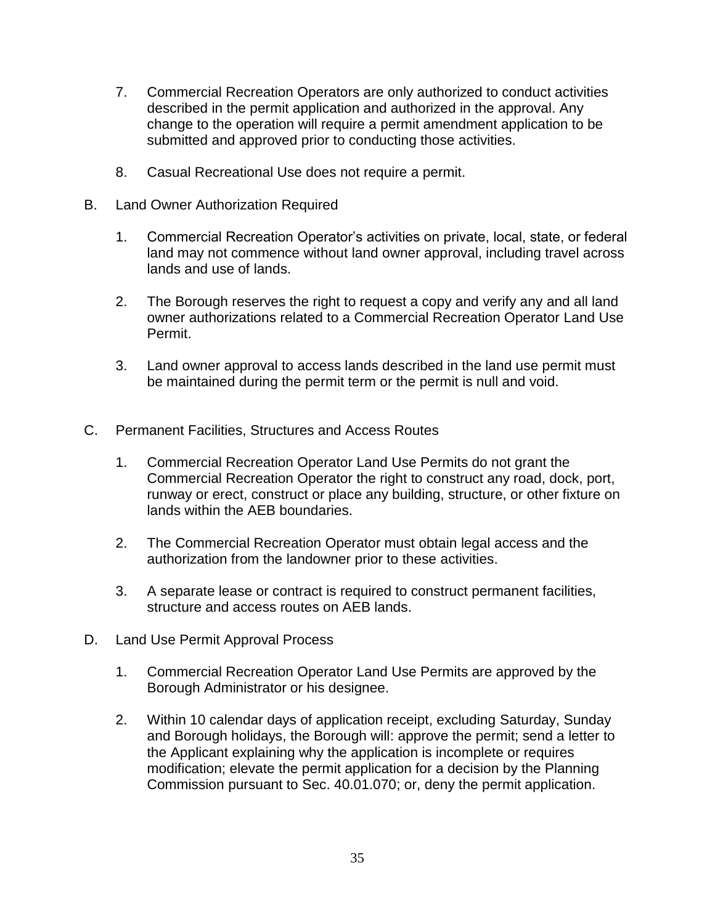- 7. Commercial Recreation Operators are only authorized to conduct activities described in the permit application and authorized in the approval. Any change to the operation will require a permit amendment application to be submitted and approved prior to conducting those activities.
- 8. Casual Recreational Use does not require a permit.
- B. Land Owner Authorization Required
	- 1. Commercial Recreation Operator's activities on private, local, state, or federal land may not commence without land owner approval, including travel across lands and use of lands.
	- 2. The Borough reserves the right to request a copy and verify any and all land owner authorizations related to a Commercial Recreation Operator Land Use Permit.
	- 3. Land owner approval to access lands described in the land use permit must be maintained during the permit term or the permit is null and void.
- C. Permanent Facilities, Structures and Access Routes
	- 1. Commercial Recreation Operator Land Use Permits do not grant the Commercial Recreation Operator the right to construct any road, dock, port, runway or erect, construct or place any building, structure, or other fixture on lands within the AEB boundaries.
	- 2. The Commercial Recreation Operator must obtain legal access and the authorization from the landowner prior to these activities.
	- 3. A separate lease or contract is required to construct permanent facilities, structure and access routes on AEB lands.
- D. Land Use Permit Approval Process
	- 1. Commercial Recreation Operator Land Use Permits are approved by the Borough Administrator or his designee.
	- 2. Within 10 calendar days of application receipt, excluding Saturday, Sunday and Borough holidays, the Borough will: approve the permit; send a letter to the Applicant explaining why the application is incomplete or requires modification; elevate the permit application for a decision by the Planning Commission pursuant to Sec. 40.01.070; or, deny the permit application.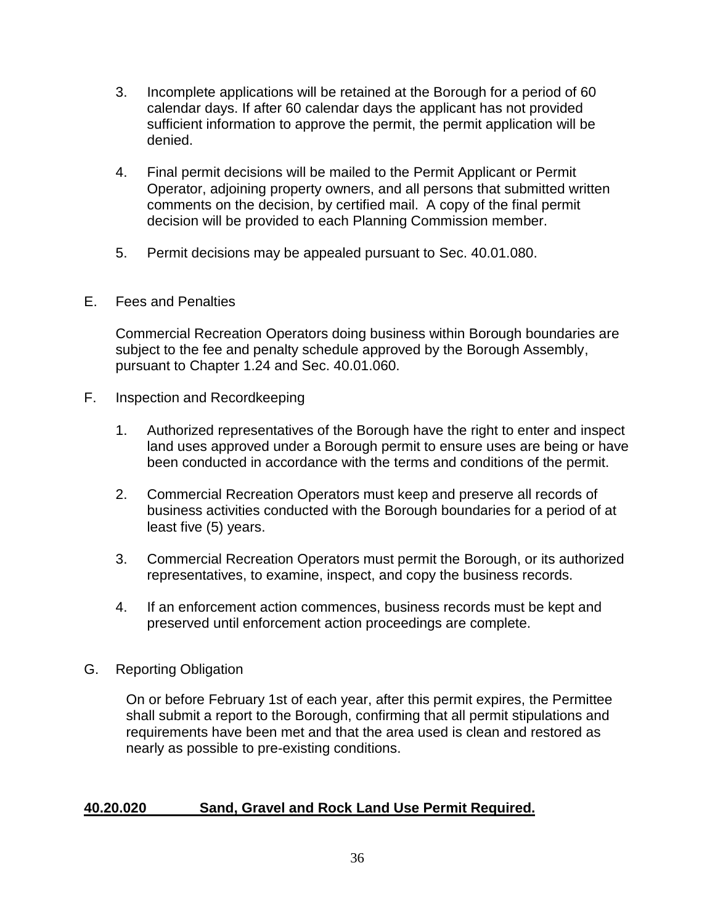- 3. Incomplete applications will be retained at the Borough for a period of 60 calendar days. If after 60 calendar days the applicant has not provided sufficient information to approve the permit, the permit application will be denied.
- 4. Final permit decisions will be mailed to the Permit Applicant or Permit Operator, adjoining property owners, and all persons that submitted written comments on the decision, by certified mail. A copy of the final permit decision will be provided to each Planning Commission member.
- 5. Permit decisions may be appealed pursuant to Sec. 40.01.080.
- E. Fees and Penalties

Commercial Recreation Operators doing business within Borough boundaries are subject to the fee and penalty schedule approved by the Borough Assembly, pursuant to Chapter 1.24 and Sec. 40.01.060.

- F. Inspection and Recordkeeping
	- 1. Authorized representatives of the Borough have the right to enter and inspect land uses approved under a Borough permit to ensure uses are being or have been conducted in accordance with the terms and conditions of the permit.
	- 2. Commercial Recreation Operators must keep and preserve all records of business activities conducted with the Borough boundaries for a period of at least five (5) years.
	- 3. Commercial Recreation Operators must permit the Borough, or its authorized representatives, to examine, inspect, and copy the business records.
	- 4. If an enforcement action commences, business records must be kept and preserved until enforcement action proceedings are complete.
- G. Reporting Obligation

On or before February 1st of each year, after this permit expires, the Permittee shall submit a report to the Borough, confirming that all permit stipulations and requirements have been met and that the area used is clean and restored as nearly as possible to pre-existing conditions.

## **40.20.020 Sand, Gravel and Rock Land Use Permit Required.**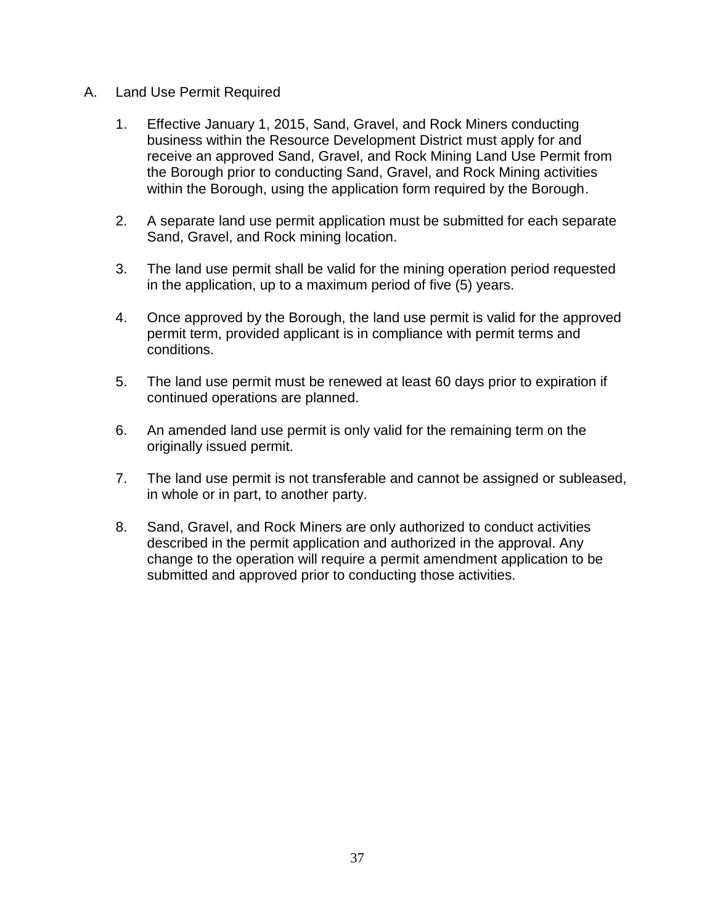- A. Land Use Permit Required
	- 1. Effective January 1, 2015, Sand, Gravel, and Rock Miners conducting business within the Resource Development District must apply for and receive an approved Sand, Gravel, and Rock Mining Land Use Permit from the Borough prior to conducting Sand, Gravel, and Rock Mining activities within the Borough, using the application form required by the Borough.
	- 2. A separate land use permit application must be submitted for each separate Sand, Gravel, and Rock mining location.
	- 3. The land use permit shall be valid for the mining operation period requested in the application, up to a maximum period of five (5) years.
	- 4. Once approved by the Borough, the land use permit is valid for the approved permit term, provided applicant is in compliance with permit terms and conditions.
	- 5. The land use permit must be renewed at least 60 days prior to expiration if continued operations are planned.
	- 6. An amended land use permit is only valid for the remaining term on the originally issued permit.
	- 7. The land use permit is not transferable and cannot be assigned or subleased, in whole or in part, to another party.
	- 8. Sand, Gravel, and Rock Miners are only authorized to conduct activities described in the permit application and authorized in the approval. Any change to the operation will require a permit amendment application to be submitted and approved prior to conducting those activities.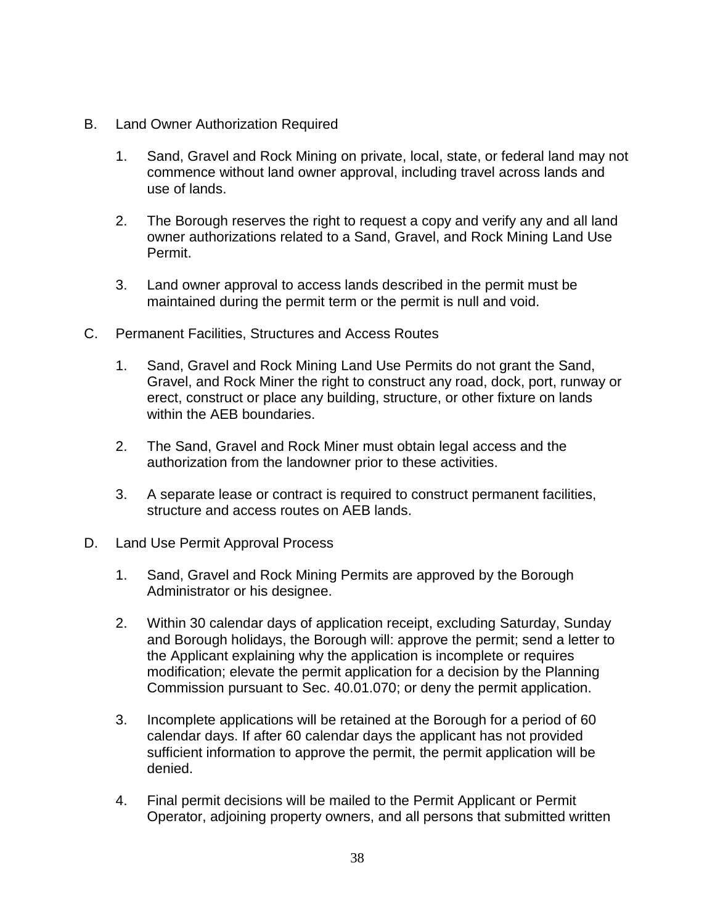- B. Land Owner Authorization Required
	- 1. Sand, Gravel and Rock Mining on private, local, state, or federal land may not commence without land owner approval, including travel across lands and use of lands.
	- 2. The Borough reserves the right to request a copy and verify any and all land owner authorizations related to a Sand, Gravel, and Rock Mining Land Use Permit.
	- 3. Land owner approval to access lands described in the permit must be maintained during the permit term or the permit is null and void.
- C. Permanent Facilities, Structures and Access Routes
	- 1. Sand, Gravel and Rock Mining Land Use Permits do not grant the Sand, Gravel, and Rock Miner the right to construct any road, dock, port, runway or erect, construct or place any building, structure, or other fixture on lands within the AEB boundaries.
	- 2. The Sand, Gravel and Rock Miner must obtain legal access and the authorization from the landowner prior to these activities.
	- 3. A separate lease or contract is required to construct permanent facilities, structure and access routes on AEB lands.
- D. Land Use Permit Approval Process
	- 1. Sand, Gravel and Rock Mining Permits are approved by the Borough Administrator or his designee.
	- 2. Within 30 calendar days of application receipt, excluding Saturday, Sunday and Borough holidays, the Borough will: approve the permit; send a letter to the Applicant explaining why the application is incomplete or requires modification; elevate the permit application for a decision by the Planning Commission pursuant to Sec. 40.01.070; or deny the permit application.
	- 3. Incomplete applications will be retained at the Borough for a period of 60 calendar days. If after 60 calendar days the applicant has not provided sufficient information to approve the permit, the permit application will be denied.
	- 4. Final permit decisions will be mailed to the Permit Applicant or Permit Operator, adjoining property owners, and all persons that submitted written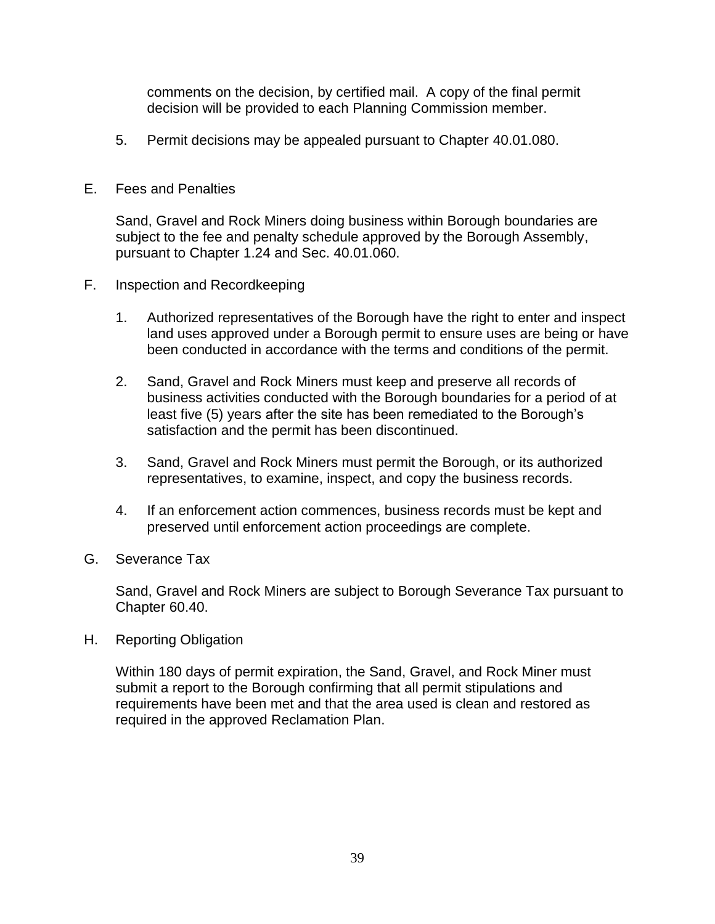comments on the decision, by certified mail. A copy of the final permit decision will be provided to each Planning Commission member.

5. Permit decisions may be appealed pursuant to Chapter 40.01.080.

## E. Fees and Penalties

Sand, Gravel and Rock Miners doing business within Borough boundaries are subject to the fee and penalty schedule approved by the Borough Assembly, pursuant to Chapter 1.24 and Sec. 40.01.060.

- F. Inspection and Recordkeeping
	- 1. Authorized representatives of the Borough have the right to enter and inspect land uses approved under a Borough permit to ensure uses are being or have been conducted in accordance with the terms and conditions of the permit.
	- 2. Sand, Gravel and Rock Miners must keep and preserve all records of business activities conducted with the Borough boundaries for a period of at least five (5) years after the site has been remediated to the Borough's satisfaction and the permit has been discontinued.
	- 3. Sand, Gravel and Rock Miners must permit the Borough, or its authorized representatives, to examine, inspect, and copy the business records.
	- 4. If an enforcement action commences, business records must be kept and preserved until enforcement action proceedings are complete.
- G. Severance Tax

Sand, Gravel and Rock Miners are subject to Borough Severance Tax pursuant to Chapter 60.40.

H. Reporting Obligation

Within 180 days of permit expiration, the Sand, Gravel, and Rock Miner must submit a report to the Borough confirming that all permit stipulations and requirements have been met and that the area used is clean and restored as required in the approved Reclamation Plan.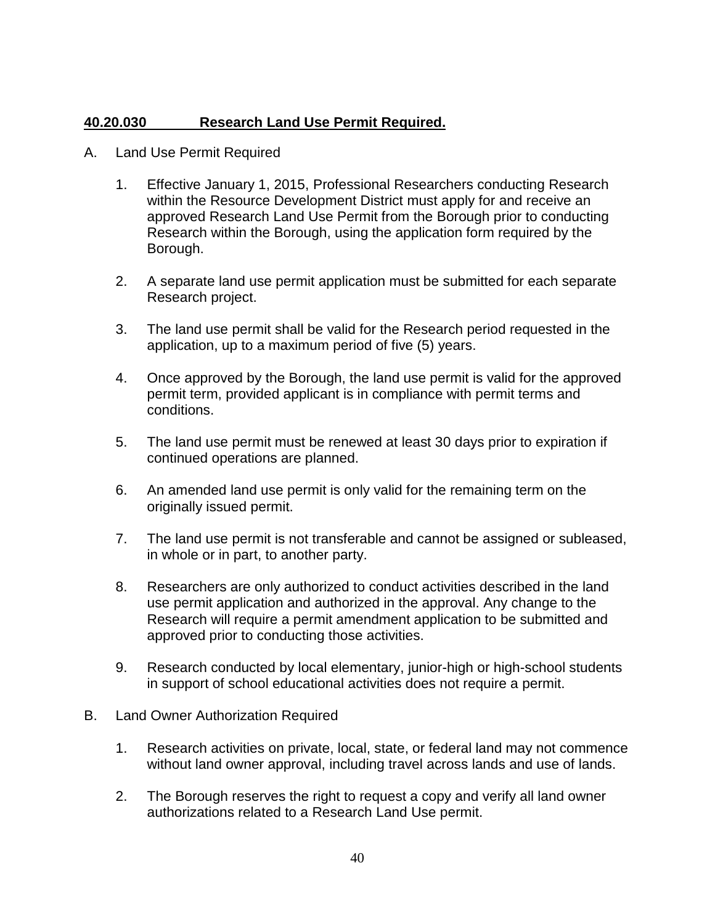# **40.20.030 Research Land Use Permit Required.**

- A. Land Use Permit Required
	- 1. Effective January 1, 2015, Professional Researchers conducting Research within the Resource Development District must apply for and receive an approved Research Land Use Permit from the Borough prior to conducting Research within the Borough, using the application form required by the Borough.
	- 2. A separate land use permit application must be submitted for each separate Research project.
	- 3. The land use permit shall be valid for the Research period requested in the application, up to a maximum period of five (5) years.
	- 4. Once approved by the Borough, the land use permit is valid for the approved permit term, provided applicant is in compliance with permit terms and conditions.
	- 5. The land use permit must be renewed at least 30 days prior to expiration if continued operations are planned.
	- 6. An amended land use permit is only valid for the remaining term on the originally issued permit.
	- 7. The land use permit is not transferable and cannot be assigned or subleased, in whole or in part, to another party.
	- 8. Researchers are only authorized to conduct activities described in the land use permit application and authorized in the approval. Any change to the Research will require a permit amendment application to be submitted and approved prior to conducting those activities.
	- 9. Research conducted by local elementary, junior-high or high-school students in support of school educational activities does not require a permit.
- B. Land Owner Authorization Required
	- 1. Research activities on private, local, state, or federal land may not commence without land owner approval, including travel across lands and use of lands.
	- 2. The Borough reserves the right to request a copy and verify all land owner authorizations related to a Research Land Use permit.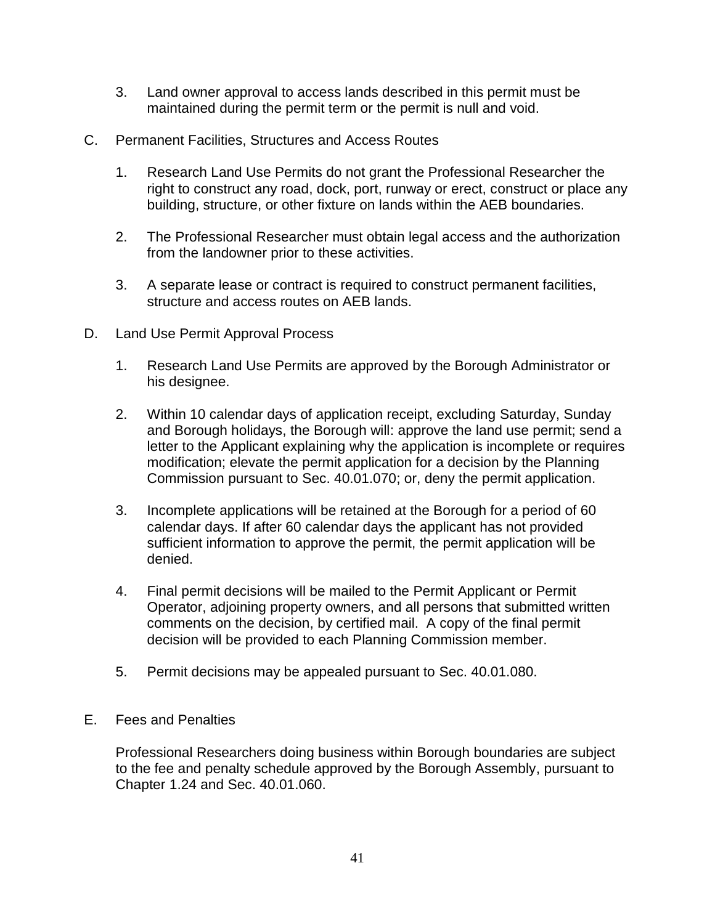- 3. Land owner approval to access lands described in this permit must be maintained during the permit term or the permit is null and void.
- C. Permanent Facilities, Structures and Access Routes
	- 1. Research Land Use Permits do not grant the Professional Researcher the right to construct any road, dock, port, runway or erect, construct or place any building, structure, or other fixture on lands within the AEB boundaries.
	- 2. The Professional Researcher must obtain legal access and the authorization from the landowner prior to these activities.
	- 3. A separate lease or contract is required to construct permanent facilities, structure and access routes on AEB lands.
- D. Land Use Permit Approval Process
	- 1. Research Land Use Permits are approved by the Borough Administrator or his designee.
	- 2. Within 10 calendar days of application receipt, excluding Saturday, Sunday and Borough holidays, the Borough will: approve the land use permit; send a letter to the Applicant explaining why the application is incomplete or requires modification; elevate the permit application for a decision by the Planning Commission pursuant to Sec. 40.01.070; or, deny the permit application.
	- 3. Incomplete applications will be retained at the Borough for a period of 60 calendar days. If after 60 calendar days the applicant has not provided sufficient information to approve the permit, the permit application will be denied.
	- 4. Final permit decisions will be mailed to the Permit Applicant or Permit Operator, adjoining property owners, and all persons that submitted written comments on the decision, by certified mail. A copy of the final permit decision will be provided to each Planning Commission member.
	- 5. Permit decisions may be appealed pursuant to Sec. 40.01.080.
- E. Fees and Penalties

Professional Researchers doing business within Borough boundaries are subject to the fee and penalty schedule approved by the Borough Assembly, pursuant to Chapter 1.24 and Sec. 40.01.060.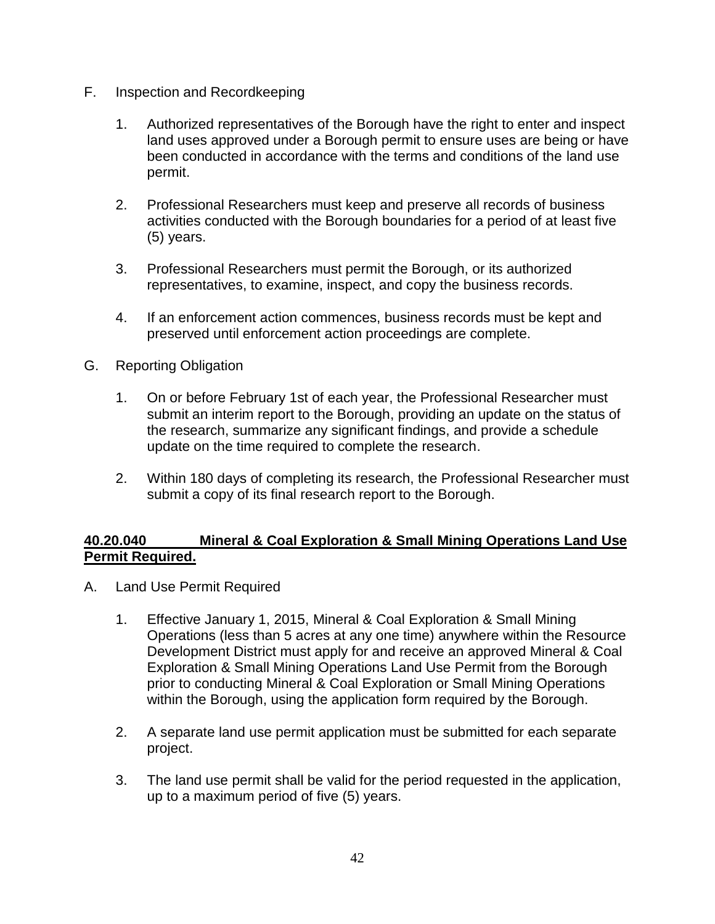- F. Inspection and Recordkeeping
	- 1. Authorized representatives of the Borough have the right to enter and inspect land uses approved under a Borough permit to ensure uses are being or have been conducted in accordance with the terms and conditions of the land use permit.
	- 2. Professional Researchers must keep and preserve all records of business activities conducted with the Borough boundaries for a period of at least five (5) years.
	- 3. Professional Researchers must permit the Borough, or its authorized representatives, to examine, inspect, and copy the business records.
	- 4. If an enforcement action commences, business records must be kept and preserved until enforcement action proceedings are complete.
- G. Reporting Obligation
	- 1. On or before February 1st of each year, the Professional Researcher must submit an interim report to the Borough, providing an update on the status of the research, summarize any significant findings, and provide a schedule update on the time required to complete the research.
	- 2. Within 180 days of completing its research, the Professional Researcher must submit a copy of its final research report to the Borough.

# **40.20.040 Mineral & Coal Exploration & Small Mining Operations Land Use Permit Required.**

- A. Land Use Permit Required
	- 1. Effective January 1, 2015, Mineral & Coal Exploration & Small Mining Operations (less than 5 acres at any one time) anywhere within the Resource Development District must apply for and receive an approved Mineral & Coal Exploration & Small Mining Operations Land Use Permit from the Borough prior to conducting Mineral & Coal Exploration or Small Mining Operations within the Borough, using the application form required by the Borough.
	- 2. A separate land use permit application must be submitted for each separate project.
	- 3. The land use permit shall be valid for the period requested in the application, up to a maximum period of five (5) years.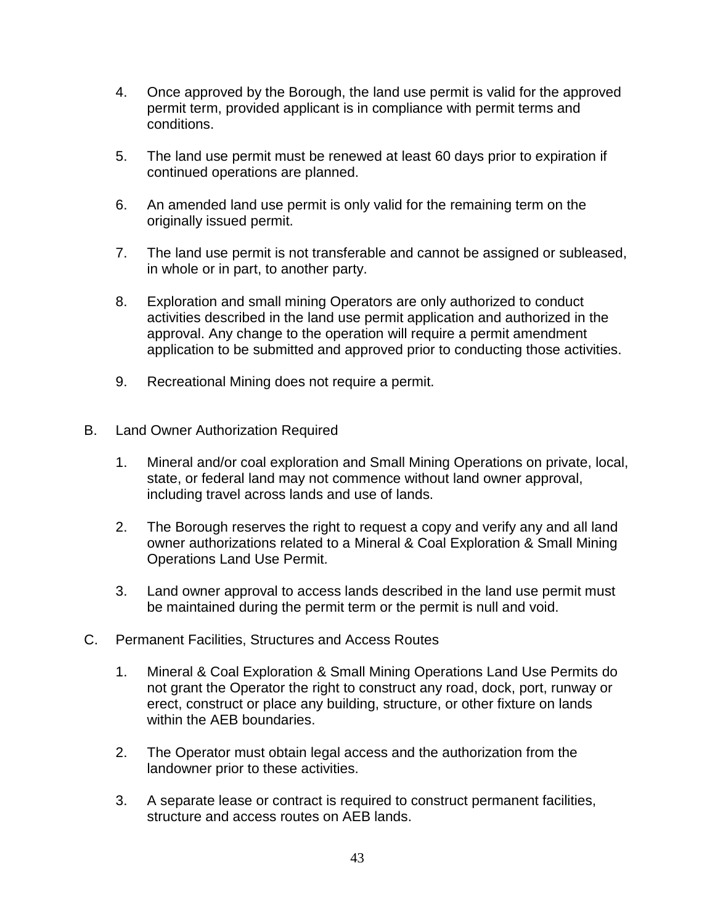- 4. Once approved by the Borough, the land use permit is valid for the approved permit term, provided applicant is in compliance with permit terms and conditions.
- 5. The land use permit must be renewed at least 60 days prior to expiration if continued operations are planned.
- 6. An amended land use permit is only valid for the remaining term on the originally issued permit.
- 7. The land use permit is not transferable and cannot be assigned or subleased, in whole or in part, to another party.
- 8. Exploration and small mining Operators are only authorized to conduct activities described in the land use permit application and authorized in the approval. Any change to the operation will require a permit amendment application to be submitted and approved prior to conducting those activities.
- 9. Recreational Mining does not require a permit.
- B. Land Owner Authorization Required
	- 1. Mineral and/or coal exploration and Small Mining Operations on private, local, state, or federal land may not commence without land owner approval, including travel across lands and use of lands.
	- 2. The Borough reserves the right to request a copy and verify any and all land owner authorizations related to a Mineral & Coal Exploration & Small Mining Operations Land Use Permit.
	- 3. Land owner approval to access lands described in the land use permit must be maintained during the permit term or the permit is null and void.
- C. Permanent Facilities, Structures and Access Routes
	- 1. Mineral & Coal Exploration & Small Mining Operations Land Use Permits do not grant the Operator the right to construct any road, dock, port, runway or erect, construct or place any building, structure, or other fixture on lands within the AEB boundaries.
	- 2. The Operator must obtain legal access and the authorization from the landowner prior to these activities.
	- 3. A separate lease or contract is required to construct permanent facilities, structure and access routes on AEB lands.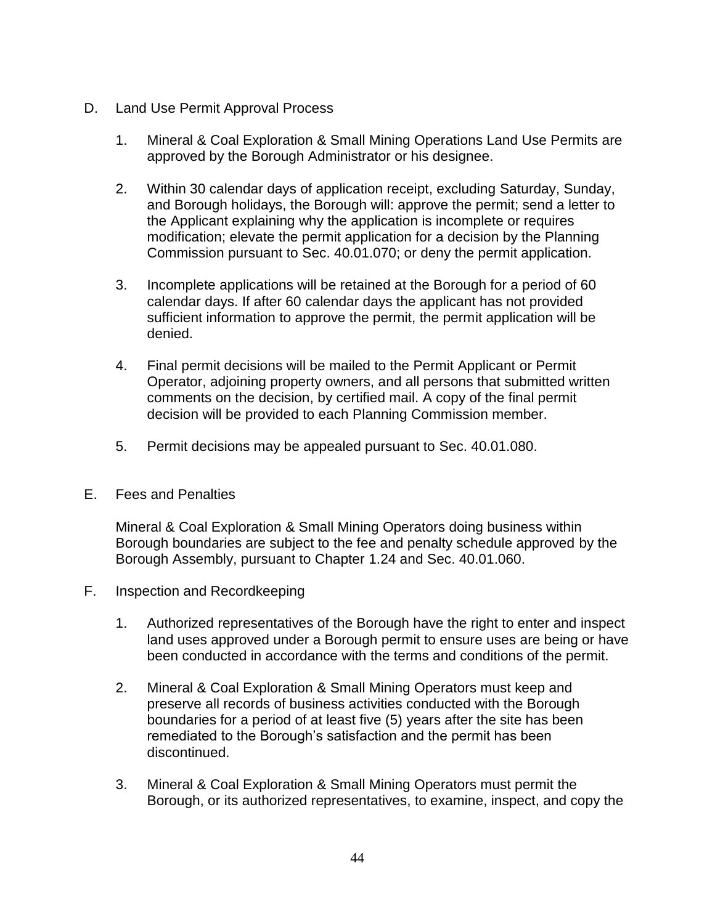- D. Land Use Permit Approval Process
	- 1. Mineral & Coal Exploration & Small Mining Operations Land Use Permits are approved by the Borough Administrator or his designee.
	- 2. Within 30 calendar days of application receipt, excluding Saturday, Sunday, and Borough holidays, the Borough will: approve the permit; send a letter to the Applicant explaining why the application is incomplete or requires modification; elevate the permit application for a decision by the Planning Commission pursuant to Sec. 40.01.070; or deny the permit application.
	- 3. Incomplete applications will be retained at the Borough for a period of 60 calendar days. If after 60 calendar days the applicant has not provided sufficient information to approve the permit, the permit application will be denied.
	- 4. Final permit decisions will be mailed to the Permit Applicant or Permit Operator, adjoining property owners, and all persons that submitted written comments on the decision, by certified mail. A copy of the final permit decision will be provided to each Planning Commission member.
	- 5. Permit decisions may be appealed pursuant to Sec. 40.01.080.
- E. Fees and Penalties

Mineral & Coal Exploration & Small Mining Operators doing business within Borough boundaries are subject to the fee and penalty schedule approved by the Borough Assembly, pursuant to Chapter 1.24 and Sec. 40.01.060.

- F. Inspection and Recordkeeping
	- 1. Authorized representatives of the Borough have the right to enter and inspect land uses approved under a Borough permit to ensure uses are being or have been conducted in accordance with the terms and conditions of the permit.
	- 2. Mineral & Coal Exploration & Small Mining Operators must keep and preserve all records of business activities conducted with the Borough boundaries for a period of at least five (5) years after the site has been remediated to the Borough's satisfaction and the permit has been discontinued.
	- 3. Mineral & Coal Exploration & Small Mining Operators must permit the Borough, or its authorized representatives, to examine, inspect, and copy the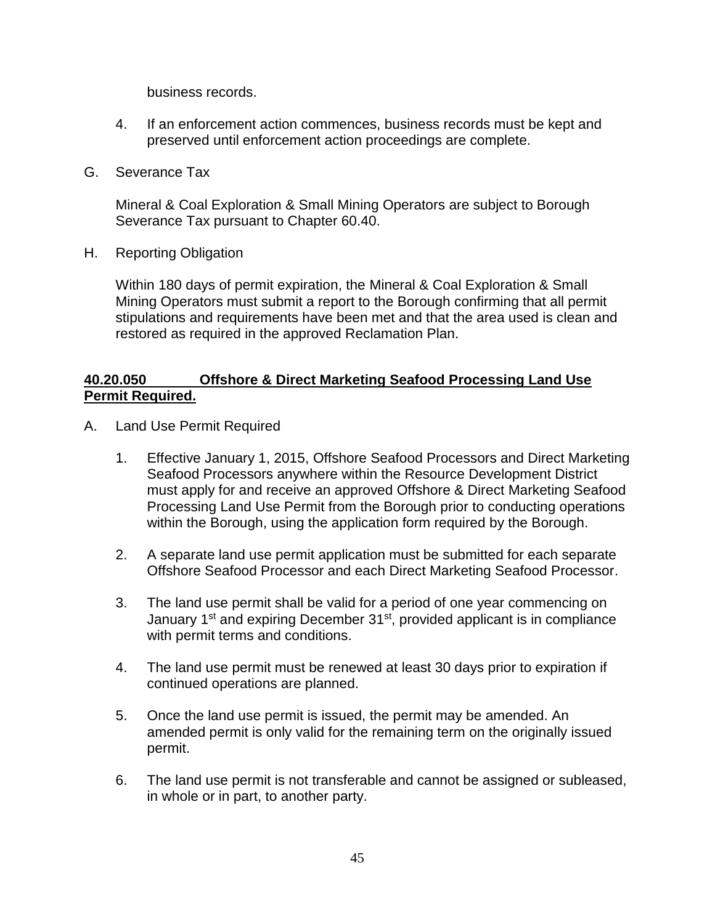business records.

- 4. If an enforcement action commences, business records must be kept and preserved until enforcement action proceedings are complete.
- G. Severance Tax

Mineral & Coal Exploration & Small Mining Operators are subject to Borough Severance Tax pursuant to Chapter 60.40.

H. Reporting Obligation

Within 180 days of permit expiration, the Mineral & Coal Exploration & Small Mining Operators must submit a report to the Borough confirming that all permit stipulations and requirements have been met and that the area used is clean and restored as required in the approved Reclamation Plan.

## **40.20.050 Offshore & Direct Marketing Seafood Processing Land Use Permit Required.**

- A. Land Use Permit Required
	- 1. Effective January 1, 2015, Offshore Seafood Processors and Direct Marketing Seafood Processors anywhere within the Resource Development District must apply for and receive an approved Offshore & Direct Marketing Seafood Processing Land Use Permit from the Borough prior to conducting operations within the Borough, using the application form required by the Borough.
	- 2. A separate land use permit application must be submitted for each separate Offshore Seafood Processor and each Direct Marketing Seafood Processor.
	- 3. The land use permit shall be valid for a period of one year commencing on January 1<sup>st</sup> and expiring December 31<sup>st</sup>, provided applicant is in compliance with permit terms and conditions.
	- 4. The land use permit must be renewed at least 30 days prior to expiration if continued operations are planned.
	- 5. Once the land use permit is issued, the permit may be amended. An amended permit is only valid for the remaining term on the originally issued permit.
	- 6. The land use permit is not transferable and cannot be assigned or subleased, in whole or in part, to another party.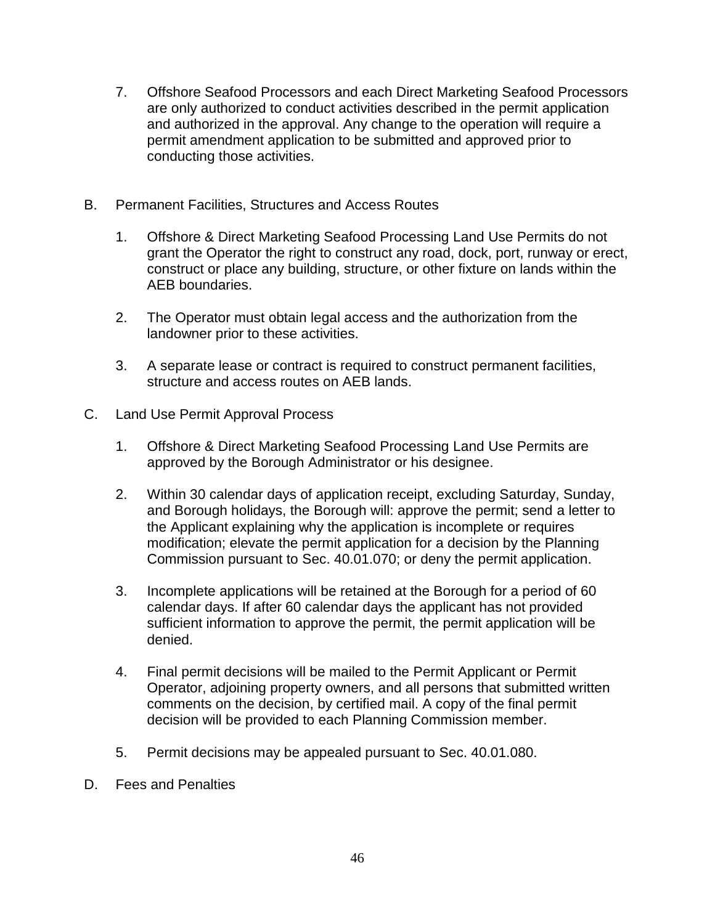- 7. Offshore Seafood Processors and each Direct Marketing Seafood Processors are only authorized to conduct activities described in the permit application and authorized in the approval. Any change to the operation will require a permit amendment application to be submitted and approved prior to conducting those activities.
- B. Permanent Facilities, Structures and Access Routes
	- 1. Offshore & Direct Marketing Seafood Processing Land Use Permits do not grant the Operator the right to construct any road, dock, port, runway or erect, construct or place any building, structure, or other fixture on lands within the AEB boundaries.
	- 2. The Operator must obtain legal access and the authorization from the landowner prior to these activities.
	- 3. A separate lease or contract is required to construct permanent facilities, structure and access routes on AEB lands.
- C. Land Use Permit Approval Process
	- 1. Offshore & Direct Marketing Seafood Processing Land Use Permits are approved by the Borough Administrator or his designee.
	- 2. Within 30 calendar days of application receipt, excluding Saturday, Sunday, and Borough holidays, the Borough will: approve the permit; send a letter to the Applicant explaining why the application is incomplete or requires modification; elevate the permit application for a decision by the Planning Commission pursuant to Sec. 40.01.070; or deny the permit application.
	- 3. Incomplete applications will be retained at the Borough for a period of 60 calendar days. If after 60 calendar days the applicant has not provided sufficient information to approve the permit, the permit application will be denied.
	- 4. Final permit decisions will be mailed to the Permit Applicant or Permit Operator, adjoining property owners, and all persons that submitted written comments on the decision, by certified mail. A copy of the final permit decision will be provided to each Planning Commission member.
	- 5. Permit decisions may be appealed pursuant to Sec. 40.01.080.
- D. Fees and Penalties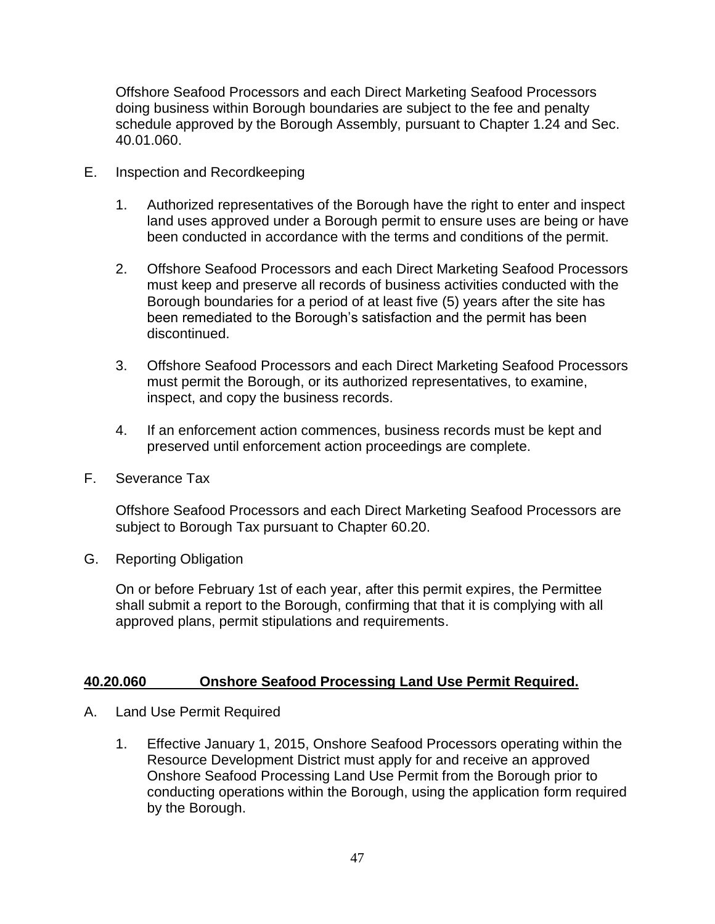Offshore Seafood Processors and each Direct Marketing Seafood Processors doing business within Borough boundaries are subject to the fee and penalty schedule approved by the Borough Assembly, pursuant to Chapter 1.24 and Sec. 40.01.060.

- E. Inspection and Recordkeeping
	- 1. Authorized representatives of the Borough have the right to enter and inspect land uses approved under a Borough permit to ensure uses are being or have been conducted in accordance with the terms and conditions of the permit.
	- 2. Offshore Seafood Processors and each Direct Marketing Seafood Processors must keep and preserve all records of business activities conducted with the Borough boundaries for a period of at least five (5) years after the site has been remediated to the Borough's satisfaction and the permit has been discontinued.
	- 3. Offshore Seafood Processors and each Direct Marketing Seafood Processors must permit the Borough, or its authorized representatives, to examine, inspect, and copy the business records.
	- 4. If an enforcement action commences, business records must be kept and preserved until enforcement action proceedings are complete.
- F. Severance Tax

Offshore Seafood Processors and each Direct Marketing Seafood Processors are subject to Borough Tax pursuant to Chapter 60.20.

G. Reporting Obligation

On or before February 1st of each year, after this permit expires, the Permittee shall submit a report to the Borough, confirming that that it is complying with all approved plans, permit stipulations and requirements.

## **40.20.060 Onshore Seafood Processing Land Use Permit Required.**

- A. Land Use Permit Required
	- 1. Effective January 1, 2015, Onshore Seafood Processors operating within the Resource Development District must apply for and receive an approved Onshore Seafood Processing Land Use Permit from the Borough prior to conducting operations within the Borough, using the application form required by the Borough.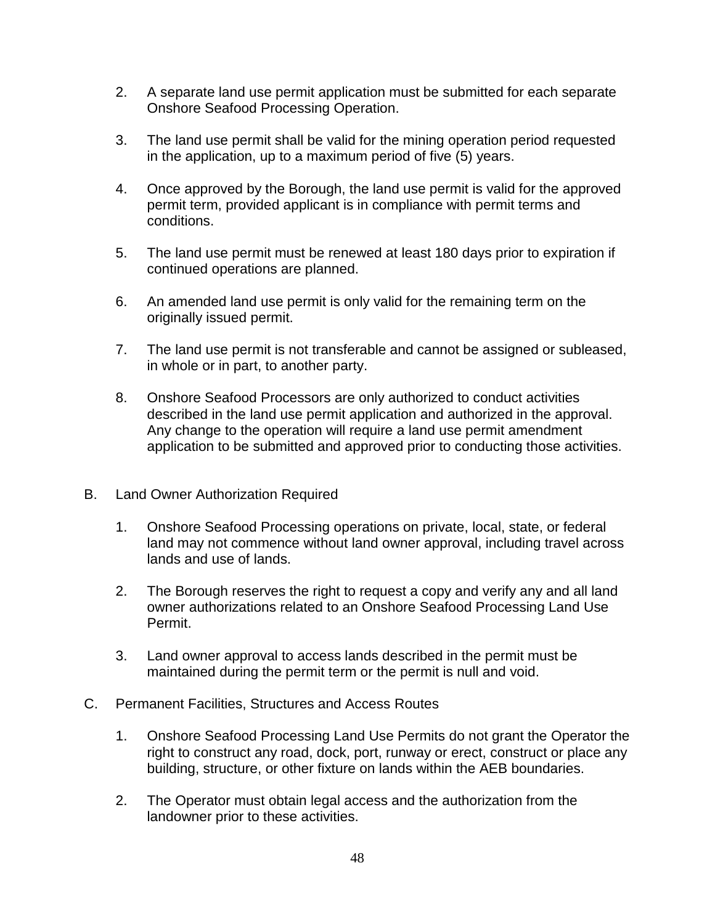- 2. A separate land use permit application must be submitted for each separate Onshore Seafood Processing Operation.
- 3. The land use permit shall be valid for the mining operation period requested in the application, up to a maximum period of five (5) years.
- 4. Once approved by the Borough, the land use permit is valid for the approved permit term, provided applicant is in compliance with permit terms and conditions.
- 5. The land use permit must be renewed at least 180 days prior to expiration if continued operations are planned.
- 6. An amended land use permit is only valid for the remaining term on the originally issued permit.
- 7. The land use permit is not transferable and cannot be assigned or subleased, in whole or in part, to another party.
- 8. Onshore Seafood Processors are only authorized to conduct activities described in the land use permit application and authorized in the approval. Any change to the operation will require a land use permit amendment application to be submitted and approved prior to conducting those activities.
- B. Land Owner Authorization Required
	- 1. Onshore Seafood Processing operations on private, local, state, or federal land may not commence without land owner approval, including travel across lands and use of lands.
	- 2. The Borough reserves the right to request a copy and verify any and all land owner authorizations related to an Onshore Seafood Processing Land Use Permit.
	- 3. Land owner approval to access lands described in the permit must be maintained during the permit term or the permit is null and void.
- C. Permanent Facilities, Structures and Access Routes
	- 1. Onshore Seafood Processing Land Use Permits do not grant the Operator the right to construct any road, dock, port, runway or erect, construct or place any building, structure, or other fixture on lands within the AEB boundaries.
	- 2. The Operator must obtain legal access and the authorization from the landowner prior to these activities.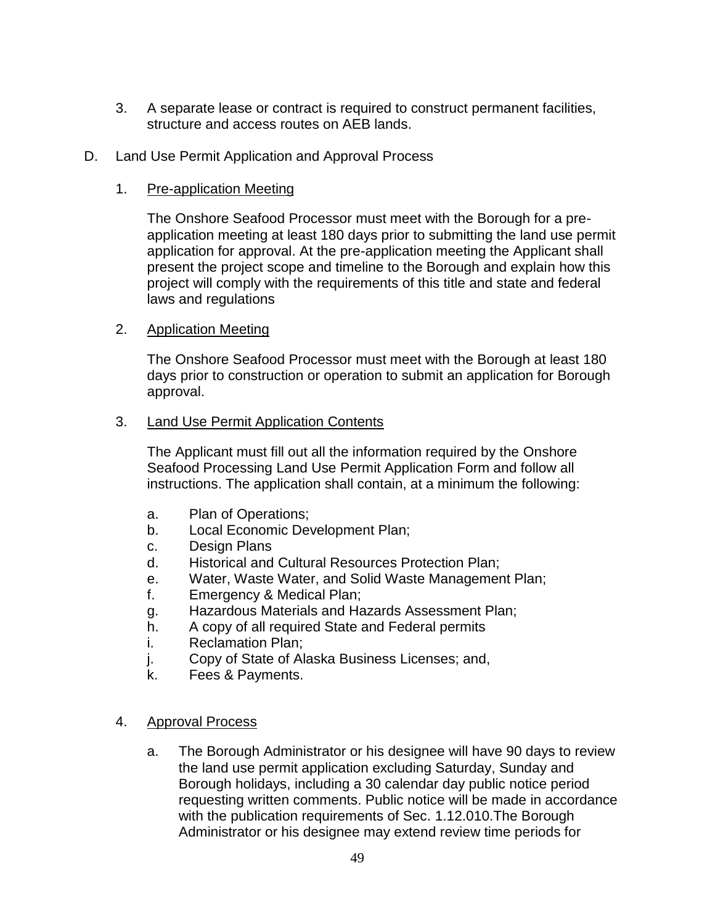- 3. A separate lease or contract is required to construct permanent facilities, structure and access routes on AEB lands.
- D. Land Use Permit Application and Approval Process

# 1. Pre-application Meeting

The Onshore Seafood Processor must meet with the Borough for a preapplication meeting at least 180 days prior to submitting the land use permit application for approval. At the pre-application meeting the Applicant shall present the project scope and timeline to the Borough and explain how this project will comply with the requirements of this title and state and federal laws and regulations

# 2. Application Meeting

The Onshore Seafood Processor must meet with the Borough at least 180 days prior to construction or operation to submit an application for Borough approval.

# 3. Land Use Permit Application Contents

The Applicant must fill out all the information required by the Onshore Seafood Processing Land Use Permit Application Form and follow all instructions. The application shall contain, at a minimum the following:

- a. Plan of Operations;
- b. Local Economic Development Plan;
- c. Design Plans
- d. Historical and Cultural Resources Protection Plan;
- e. Water, Waste Water, and Solid Waste Management Plan;
- f. Emergency & Medical Plan;
- g. Hazardous Materials and Hazards Assessment Plan;
- h. A copy of all required State and Federal permits
- i. Reclamation Plan;
- j. Copy of State of Alaska Business Licenses; and,
- k. Fees & Payments.

## 4. Approval Process

a. The Borough Administrator or his designee will have 90 days to review the land use permit application excluding Saturday, Sunday and Borough holidays, including a 30 calendar day public notice period requesting written comments. Public notice will be made in accordance with the publication requirements of Sec. 1.12.010.The Borough Administrator or his designee may extend review time periods for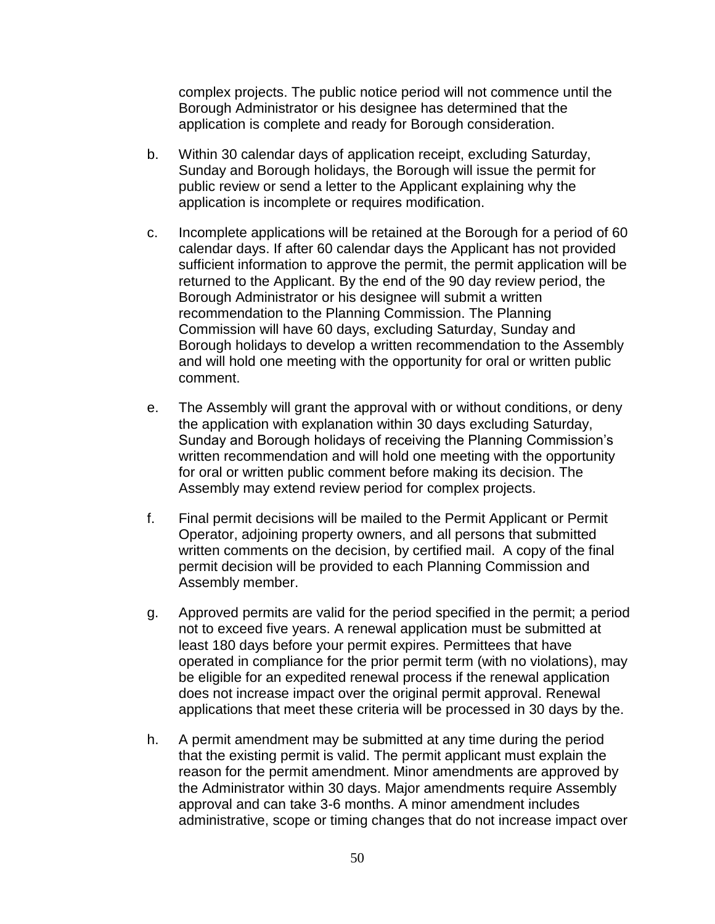complex projects. The public notice period will not commence until the Borough Administrator or his designee has determined that the application is complete and ready for Borough consideration.

- b. Within 30 calendar days of application receipt, excluding Saturday, Sunday and Borough holidays, the Borough will issue the permit for public review or send a letter to the Applicant explaining why the application is incomplete or requires modification.
- c. Incomplete applications will be retained at the Borough for a period of 60 calendar days. If after 60 calendar days the Applicant has not provided sufficient information to approve the permit, the permit application will be returned to the Applicant. By the end of the 90 day review period, the Borough Administrator or his designee will submit a written recommendation to the Planning Commission. The Planning Commission will have 60 days, excluding Saturday, Sunday and Borough holidays to develop a written recommendation to the Assembly and will hold one meeting with the opportunity for oral or written public comment.
- e. The Assembly will grant the approval with or without conditions, or deny the application with explanation within 30 days excluding Saturday, Sunday and Borough holidays of receiving the Planning Commission's written recommendation and will hold one meeting with the opportunity for oral or written public comment before making its decision. The Assembly may extend review period for complex projects.
- f. Final permit decisions will be mailed to the Permit Applicant or Permit Operator, adjoining property owners, and all persons that submitted written comments on the decision, by certified mail. A copy of the final permit decision will be provided to each Planning Commission and Assembly member.
- g. Approved permits are valid for the period specified in the permit; a period not to exceed five years. A renewal application must be submitted at least 180 days before your permit expires. Permittees that have operated in compliance for the prior permit term (with no violations), may be eligible for an expedited renewal process if the renewal application does not increase impact over the original permit approval. Renewal applications that meet these criteria will be processed in 30 days by the.
- h. A permit amendment may be submitted at any time during the period that the existing permit is valid. The permit applicant must explain the reason for the permit amendment. Minor amendments are approved by the Administrator within 30 days. Major amendments require Assembly approval and can take 3-6 months. A minor amendment includes administrative, scope or timing changes that do not increase impact over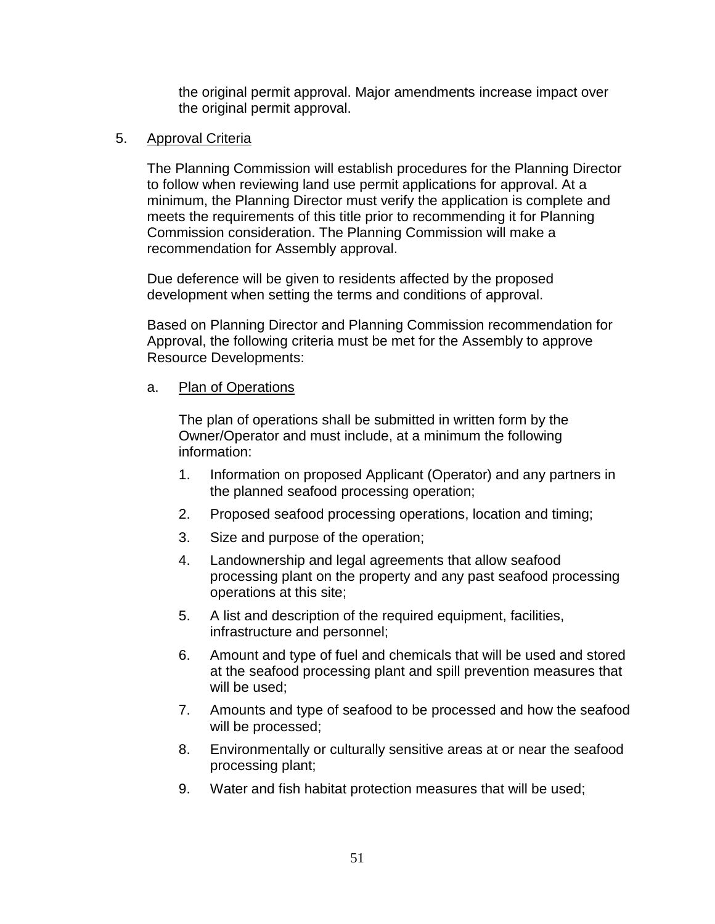the original permit approval. Major amendments increase impact over the original permit approval.

## 5. Approval Criteria

The Planning Commission will establish procedures for the Planning Director to follow when reviewing land use permit applications for approval. At a minimum, the Planning Director must verify the application is complete and meets the requirements of this title prior to recommending it for Planning Commission consideration. The Planning Commission will make a recommendation for Assembly approval.

Due deference will be given to residents affected by the proposed development when setting the terms and conditions of approval.

Based on Planning Director and Planning Commission recommendation for Approval, the following criteria must be met for the Assembly to approve Resource Developments:

### a. Plan of Operations

The plan of operations shall be submitted in written form by the Owner/Operator and must include, at a minimum the following information:

- 1. Information on proposed Applicant (Operator) and any partners in the planned seafood processing operation;
- 2. Proposed seafood processing operations, location and timing;
- 3. Size and purpose of the operation;
- 4. Landownership and legal agreements that allow seafood processing plant on the property and any past seafood processing operations at this site;
- 5. A list and description of the required equipment, facilities, infrastructure and personnel;
- 6. Amount and type of fuel and chemicals that will be used and stored at the seafood processing plant and spill prevention measures that will be used;
- 7. Amounts and type of seafood to be processed and how the seafood will be processed;
- 8. Environmentally or culturally sensitive areas at or near the seafood processing plant;
- 9. Water and fish habitat protection measures that will be used;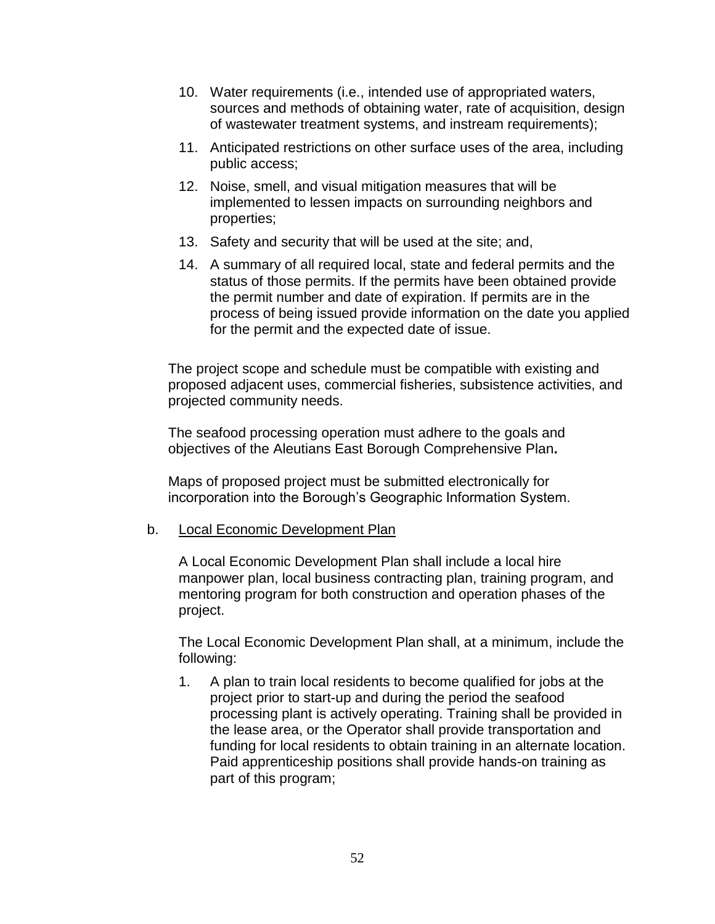- 10. Water requirements (i.e., intended use of appropriated waters, sources and methods of obtaining water, rate of acquisition, design of wastewater treatment systems, and instream requirements);
- 11. Anticipated restrictions on other surface uses of the area, including public access;
- 12. Noise, smell, and visual mitigation measures that will be implemented to lessen impacts on surrounding neighbors and properties;
- 13. Safety and security that will be used at the site; and,
- 14. A summary of all required local, state and federal permits and the status of those permits. If the permits have been obtained provide the permit number and date of expiration. If permits are in the process of being issued provide information on the date you applied for the permit and the expected date of issue.

The project scope and schedule must be compatible with existing and proposed adjacent uses, commercial fisheries, subsistence activities, and projected community needs.

The seafood processing operation must adhere to the goals and objectives of the Aleutians East Borough Comprehensive Plan**.** 

Maps of proposed project must be submitted electronically for incorporation into the Borough's Geographic Information System.

## b. Local Economic Development Plan

A Local Economic Development Plan shall include a local hire manpower plan, local business contracting plan, training program, and mentoring program for both construction and operation phases of the project.

The Local Economic Development Plan shall, at a minimum, include the following:

1. A plan to train local residents to become qualified for jobs at the project prior to start-up and during the period the seafood processing plant is actively operating. Training shall be provided in the lease area, or the Operator shall provide transportation and funding for local residents to obtain training in an alternate location. Paid apprenticeship positions shall provide hands-on training as part of this program;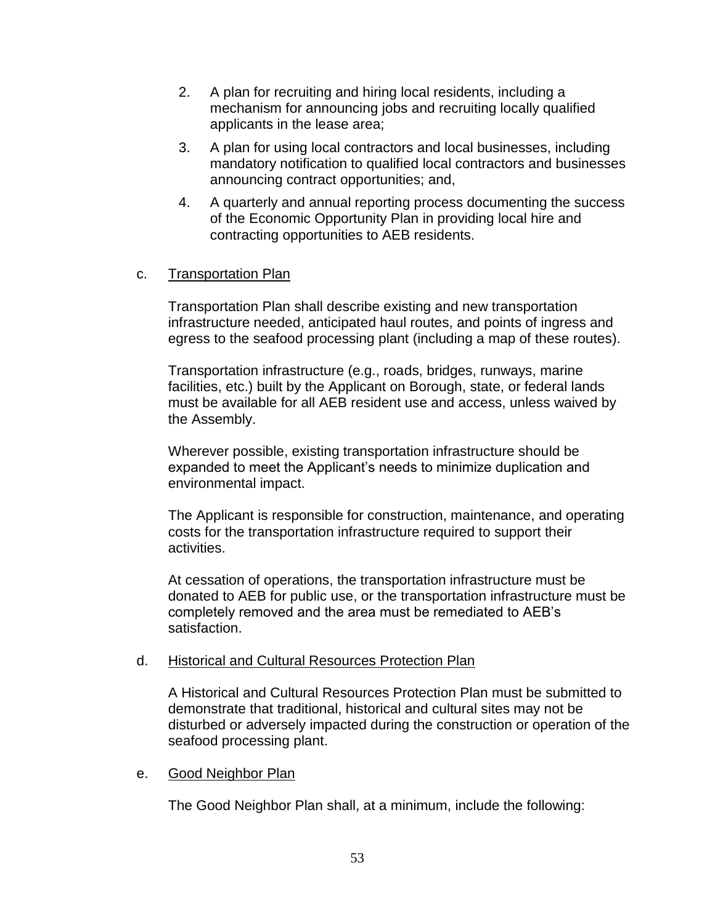- 2. A plan for recruiting and hiring local residents, including a mechanism for announcing jobs and recruiting locally qualified applicants in the lease area;
- 3. A plan for using local contractors and local businesses, including mandatory notification to qualified local contractors and businesses announcing contract opportunities; and,
- 4. A quarterly and annual reporting process documenting the success of the Economic Opportunity Plan in providing local hire and contracting opportunities to AEB residents.

## c. Transportation Plan

Transportation Plan shall describe existing and new transportation infrastructure needed, anticipated haul routes, and points of ingress and egress to the seafood processing plant (including a map of these routes).

Transportation infrastructure (e.g., roads, bridges, runways, marine facilities, etc.) built by the Applicant on Borough, state, or federal lands must be available for all AEB resident use and access, unless waived by the Assembly.

Wherever possible, existing transportation infrastructure should be expanded to meet the Applicant's needs to minimize duplication and environmental impact.

The Applicant is responsible for construction, maintenance, and operating costs for the transportation infrastructure required to support their activities.

At cessation of operations, the transportation infrastructure must be donated to AEB for public use, or the transportation infrastructure must be completely removed and the area must be remediated to AEB's satisfaction.

## d. Historical and Cultural Resources Protection Plan

A Historical and Cultural Resources Protection Plan must be submitted to demonstrate that traditional, historical and cultural sites may not be disturbed or adversely impacted during the construction or operation of the seafood processing plant.

## e. Good Neighbor Plan

The Good Neighbor Plan shall, at a minimum, include the following: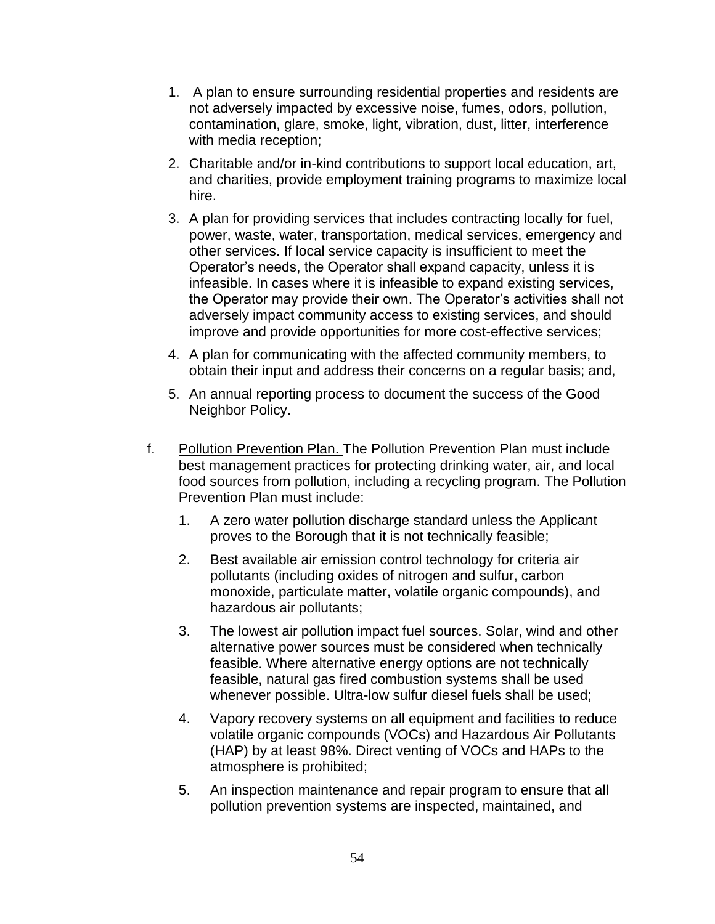- 1. A plan to ensure surrounding residential properties and residents are not adversely impacted by excessive noise, fumes, odors, pollution, contamination, glare, smoke, light, vibration, dust, litter, interference with media reception;
- 2. Charitable and/or in-kind contributions to support local education, art, and charities, provide employment training programs to maximize local hire.
- 3. A plan for providing services that includes contracting locally for fuel, power, waste, water, transportation, medical services, emergency and other services. If local service capacity is insufficient to meet the Operator's needs, the Operator shall expand capacity, unless it is infeasible. In cases where it is infeasible to expand existing services, the Operator may provide their own. The Operator's activities shall not adversely impact community access to existing services, and should improve and provide opportunities for more cost-effective services;
- 4. A plan for communicating with the affected community members, to obtain their input and address their concerns on a regular basis; and,
- 5. An annual reporting process to document the success of the Good Neighbor Policy.
- f. Pollution Prevention Plan. The Pollution Prevention Plan must include best management practices for protecting drinking water, air, and local food sources from pollution, including a recycling program. The Pollution Prevention Plan must include:
	- 1. A zero water pollution discharge standard unless the Applicant proves to the Borough that it is not technically feasible;
	- 2. Best available air emission control technology for criteria air pollutants (including oxides of nitrogen and sulfur, carbon monoxide, particulate matter, volatile organic compounds), and hazardous air pollutants;
	- 3. The lowest air pollution impact fuel sources. Solar, wind and other alternative power sources must be considered when technically feasible. Where alternative energy options are not technically feasible, natural gas fired combustion systems shall be used whenever possible. Ultra-low sulfur diesel fuels shall be used;
	- 4. Vapory recovery systems on all equipment and facilities to reduce volatile organic compounds (VOCs) and Hazardous Air Pollutants (HAP) by at least 98%. Direct venting of VOCs and HAPs to the atmosphere is prohibited;
	- 5. An inspection maintenance and repair program to ensure that all pollution prevention systems are inspected, maintained, and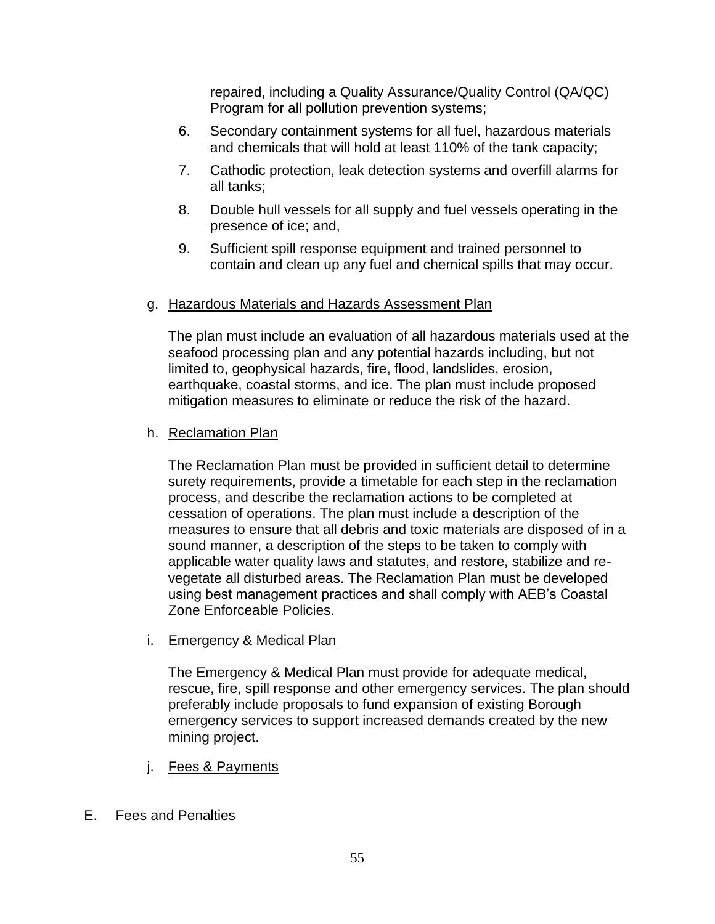repaired, including a Quality Assurance/Quality Control (QA/QC) Program for all pollution prevention systems;

- 6. Secondary containment systems for all fuel, hazardous materials and chemicals that will hold at least 110% of the tank capacity;
- 7. Cathodic protection, leak detection systems and overfill alarms for all tanks;
- 8. Double hull vessels for all supply and fuel vessels operating in the presence of ice; and,
- 9. Sufficient spill response equipment and trained personnel to contain and clean up any fuel and chemical spills that may occur.

## g. Hazardous Materials and Hazards Assessment Plan

The plan must include an evaluation of all hazardous materials used at the seafood processing plan and any potential hazards including, but not limited to, geophysical hazards, fire, flood, landslides, erosion, earthquake, coastal storms, and ice. The plan must include proposed mitigation measures to eliminate or reduce the risk of the hazard.

## h. Reclamation Plan

The Reclamation Plan must be provided in sufficient detail to determine surety requirements, provide a timetable for each step in the reclamation process, and describe the reclamation actions to be completed at cessation of operations. The plan must include a description of the measures to ensure that all debris and toxic materials are disposed of in a sound manner, a description of the steps to be taken to comply with applicable water quality laws and statutes, and restore, stabilize and revegetate all disturbed areas. The Reclamation Plan must be developed using best management practices and shall comply with AEB's Coastal Zone Enforceable Policies.

i. Emergency & Medical Plan

The Emergency & Medical Plan must provide for adequate medical, rescue, fire, spill response and other emergency services. The plan should preferably include proposals to fund expansion of existing Borough emergency services to support increased demands created by the new mining project.

- j. Fees & Payments
- E. Fees and Penalties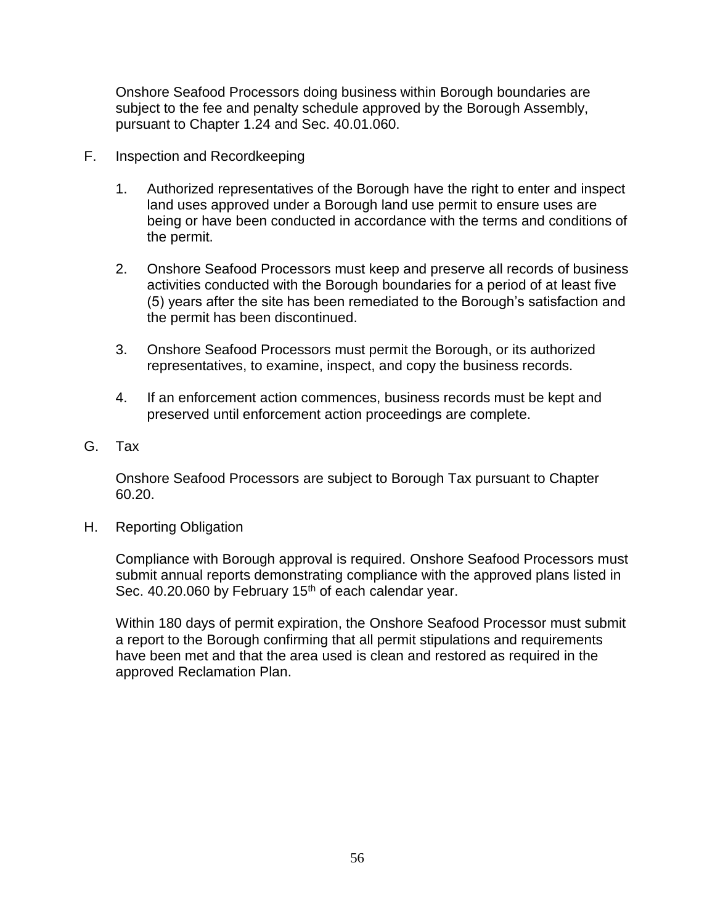Onshore Seafood Processors doing business within Borough boundaries are subject to the fee and penalty schedule approved by the Borough Assembly, pursuant to Chapter 1.24 and Sec. 40.01.060.

- F. Inspection and Recordkeeping
	- 1. Authorized representatives of the Borough have the right to enter and inspect land uses approved under a Borough land use permit to ensure uses are being or have been conducted in accordance with the terms and conditions of the permit.
	- 2. Onshore Seafood Processors must keep and preserve all records of business activities conducted with the Borough boundaries for a period of at least five (5) years after the site has been remediated to the Borough's satisfaction and the permit has been discontinued.
	- 3. Onshore Seafood Processors must permit the Borough, or its authorized representatives, to examine, inspect, and copy the business records.
	- 4. If an enforcement action commences, business records must be kept and preserved until enforcement action proceedings are complete.
- G. Tax

Onshore Seafood Processors are subject to Borough Tax pursuant to Chapter 60.20.

H. Reporting Obligation

Compliance with Borough approval is required. Onshore Seafood Processors must submit annual reports demonstrating compliance with the approved plans listed in Sec. 40.20.060 by February 15<sup>th</sup> of each calendar year.

Within 180 days of permit expiration, the Onshore Seafood Processor must submit a report to the Borough confirming that all permit stipulations and requirements have been met and that the area used is clean and restored as required in the approved Reclamation Plan.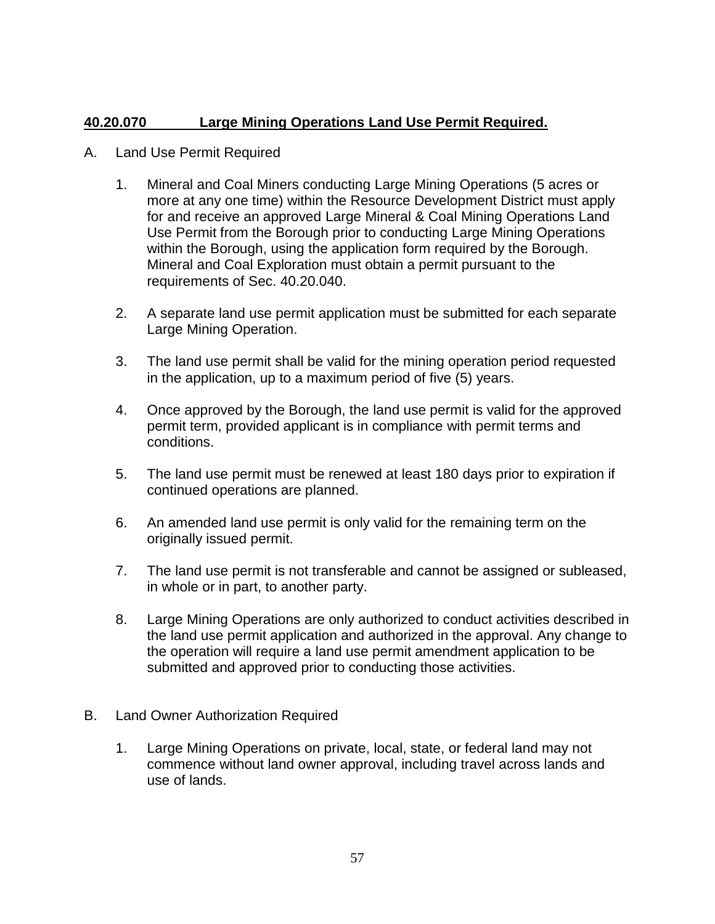# **40.20.070 Large Mining Operations Land Use Permit Required.**

- A. Land Use Permit Required
	- 1. Mineral and Coal Miners conducting Large Mining Operations (5 acres or more at any one time) within the Resource Development District must apply for and receive an approved Large Mineral & Coal Mining Operations Land Use Permit from the Borough prior to conducting Large Mining Operations within the Borough, using the application form required by the Borough. Mineral and Coal Exploration must obtain a permit pursuant to the requirements of Sec. 40.20.040.
	- 2. A separate land use permit application must be submitted for each separate Large Mining Operation.
	- 3. The land use permit shall be valid for the mining operation period requested in the application, up to a maximum period of five (5) years.
	- 4. Once approved by the Borough, the land use permit is valid for the approved permit term, provided applicant is in compliance with permit terms and conditions.
	- 5. The land use permit must be renewed at least 180 days prior to expiration if continued operations are planned.
	- 6. An amended land use permit is only valid for the remaining term on the originally issued permit.
	- 7. The land use permit is not transferable and cannot be assigned or subleased, in whole or in part, to another party.
	- 8. Large Mining Operations are only authorized to conduct activities described in the land use permit application and authorized in the approval. Any change to the operation will require a land use permit amendment application to be submitted and approved prior to conducting those activities.
- B. Land Owner Authorization Required
	- 1. Large Mining Operations on private, local, state, or federal land may not commence without land owner approval, including travel across lands and use of lands.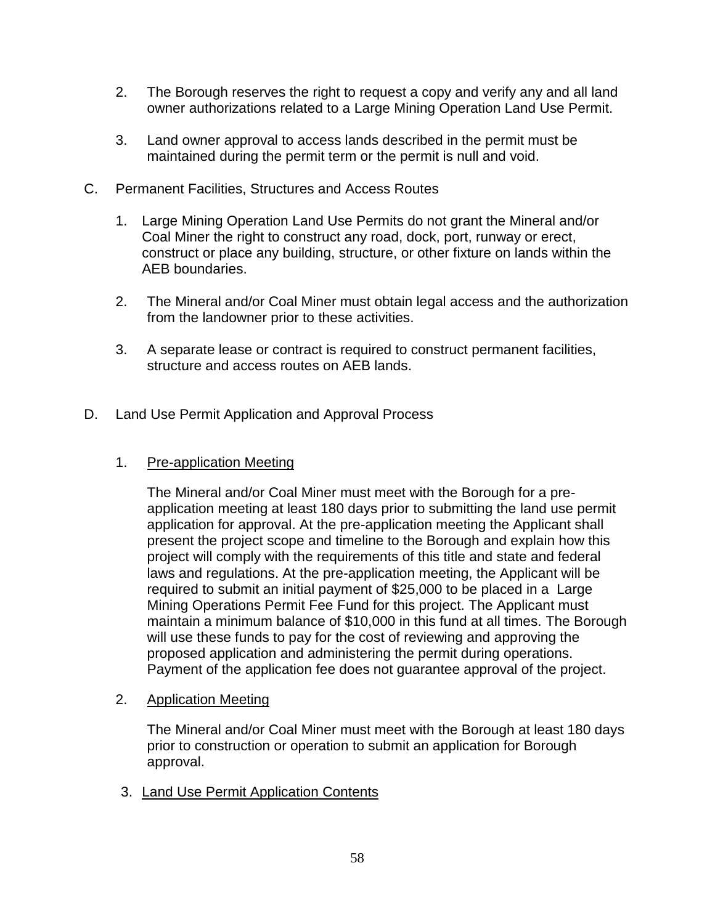- 2. The Borough reserves the right to request a copy and verify any and all land owner authorizations related to a Large Mining Operation Land Use Permit.
- 3. Land owner approval to access lands described in the permit must be maintained during the permit term or the permit is null and void.
- C. Permanent Facilities, Structures and Access Routes
	- 1. Large Mining Operation Land Use Permits do not grant the Mineral and/or Coal Miner the right to construct any road, dock, port, runway or erect, construct or place any building, structure, or other fixture on lands within the AEB boundaries.
	- 2. The Mineral and/or Coal Miner must obtain legal access and the authorization from the landowner prior to these activities.
	- 3. A separate lease or contract is required to construct permanent facilities, structure and access routes on AEB lands.
- D. Land Use Permit Application and Approval Process
	- 1. Pre-application Meeting

The Mineral and/or Coal Miner must meet with the Borough for a preapplication meeting at least 180 days prior to submitting the land use permit application for approval. At the pre-application meeting the Applicant shall present the project scope and timeline to the Borough and explain how this project will comply with the requirements of this title and state and federal laws and regulations. At the pre-application meeting, the Applicant will be required to submit an initial payment of \$25,000 to be placed in a Large Mining Operations Permit Fee Fund for this project. The Applicant must maintain a minimum balance of \$10,000 in this fund at all times. The Borough will use these funds to pay for the cost of reviewing and approving the proposed application and administering the permit during operations. Payment of the application fee does not guarantee approval of the project.

2. Application Meeting

The Mineral and/or Coal Miner must meet with the Borough at least 180 days prior to construction or operation to submit an application for Borough approval.

3. Land Use Permit Application Contents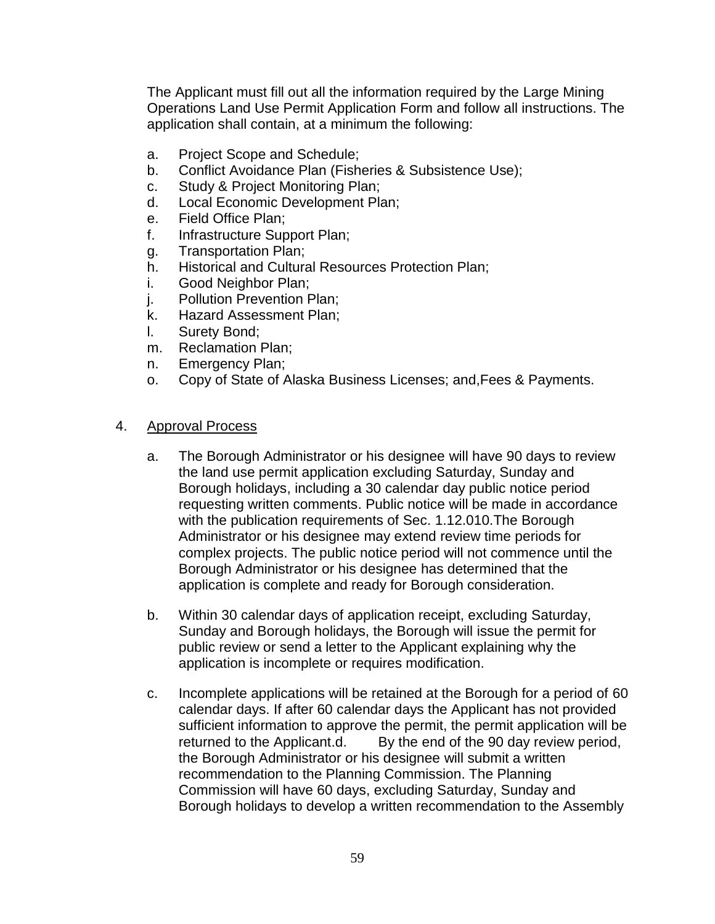The Applicant must fill out all the information required by the Large Mining Operations Land Use Permit Application Form and follow all instructions. The application shall contain, at a minimum the following:

- a. Project Scope and Schedule;
- b. Conflict Avoidance Plan (Fisheries & Subsistence Use);
- c. Study & Project Monitoring Plan;
- d. Local Economic Development Plan;
- e. Field Office Plan;
- f. Infrastructure Support Plan;
- g. Transportation Plan;
- h. Historical and Cultural Resources Protection Plan;
- i. Good Neighbor Plan;
- j. Pollution Prevention Plan;
- k. Hazard Assessment Plan;
- l. Surety Bond;
- m. Reclamation Plan;
- n. Emergency Plan;
- o. Copy of State of Alaska Business Licenses; and,Fees & Payments.

#### 4. Approval Process

- a. The Borough Administrator or his designee will have 90 days to review the land use permit application excluding Saturday, Sunday and Borough holidays, including a 30 calendar day public notice period requesting written comments. Public notice will be made in accordance with the publication requirements of Sec. 1.12.010.The Borough Administrator or his designee may extend review time periods for complex projects. The public notice period will not commence until the Borough Administrator or his designee has determined that the application is complete and ready for Borough consideration.
- b. Within 30 calendar days of application receipt, excluding Saturday, Sunday and Borough holidays, the Borough will issue the permit for public review or send a letter to the Applicant explaining why the application is incomplete or requires modification.
- c. Incomplete applications will be retained at the Borough for a period of 60 calendar days. If after 60 calendar days the Applicant has not provided sufficient information to approve the permit, the permit application will be returned to the Applicant.d. By the end of the 90 day review period, the Borough Administrator or his designee will submit a written recommendation to the Planning Commission. The Planning Commission will have 60 days, excluding Saturday, Sunday and Borough holidays to develop a written recommendation to the Assembly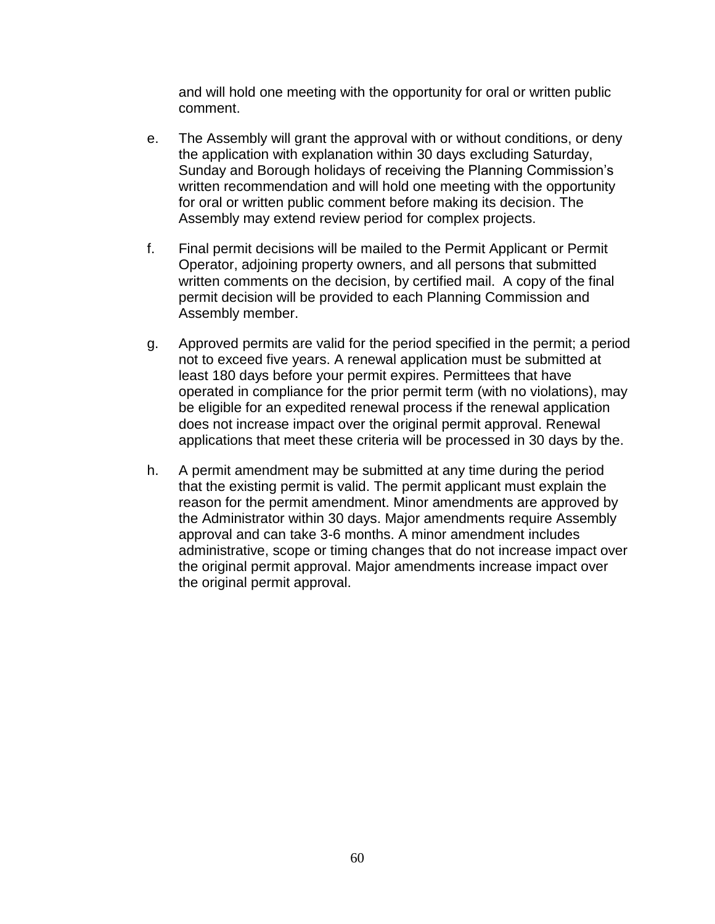and will hold one meeting with the opportunity for oral or written public comment.

- e. The Assembly will grant the approval with or without conditions, or deny the application with explanation within 30 days excluding Saturday, Sunday and Borough holidays of receiving the Planning Commission's written recommendation and will hold one meeting with the opportunity for oral or written public comment before making its decision. The Assembly may extend review period for complex projects.
- f. Final permit decisions will be mailed to the Permit Applicant or Permit Operator, adjoining property owners, and all persons that submitted written comments on the decision, by certified mail. A copy of the final permit decision will be provided to each Planning Commission and Assembly member.
- g. Approved permits are valid for the period specified in the permit; a period not to exceed five years. A renewal application must be submitted at least 180 days before your permit expires. Permittees that have operated in compliance for the prior permit term (with no violations), may be eligible for an expedited renewal process if the renewal application does not increase impact over the original permit approval. Renewal applications that meet these criteria will be processed in 30 days by the.
- h. A permit amendment may be submitted at any time during the period that the existing permit is valid. The permit applicant must explain the reason for the permit amendment. Minor amendments are approved by the Administrator within 30 days. Major amendments require Assembly approval and can take 3-6 months. A minor amendment includes administrative, scope or timing changes that do not increase impact over the original permit approval. Major amendments increase impact over the original permit approval.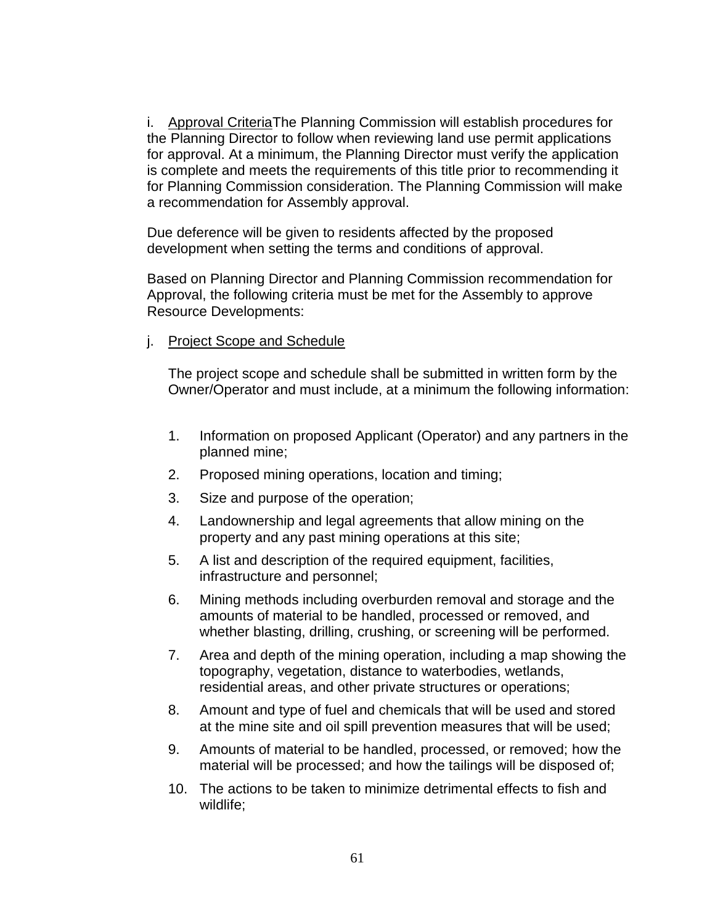i. Approval CriteriaThe Planning Commission will establish procedures for the Planning Director to follow when reviewing land use permit applications for approval. At a minimum, the Planning Director must verify the application is complete and meets the requirements of this title prior to recommending it for Planning Commission consideration. The Planning Commission will make a recommendation for Assembly approval.

Due deference will be given to residents affected by the proposed development when setting the terms and conditions of approval.

Based on Planning Director and Planning Commission recommendation for Approval, the following criteria must be met for the Assembly to approve Resource Developments:

j. Project Scope and Schedule

The project scope and schedule shall be submitted in written form by the Owner/Operator and must include, at a minimum the following information:

- 1. Information on proposed Applicant (Operator) and any partners in the planned mine;
- 2. Proposed mining operations, location and timing;
- 3. Size and purpose of the operation;
- 4. Landownership and legal agreements that allow mining on the property and any past mining operations at this site;
- 5. A list and description of the required equipment, facilities, infrastructure and personnel;
- 6. Mining methods including overburden removal and storage and the amounts of material to be handled, processed or removed, and whether blasting, drilling, crushing, or screening will be performed.
- 7. Area and depth of the mining operation, including a map showing the topography, vegetation, distance to waterbodies, wetlands, residential areas, and other private structures or operations;
- 8. Amount and type of fuel and chemicals that will be used and stored at the mine site and oil spill prevention measures that will be used;
- 9. Amounts of material to be handled, processed, or removed; how the material will be processed; and how the tailings will be disposed of;
- 10. The actions to be taken to minimize detrimental effects to fish and wildlife;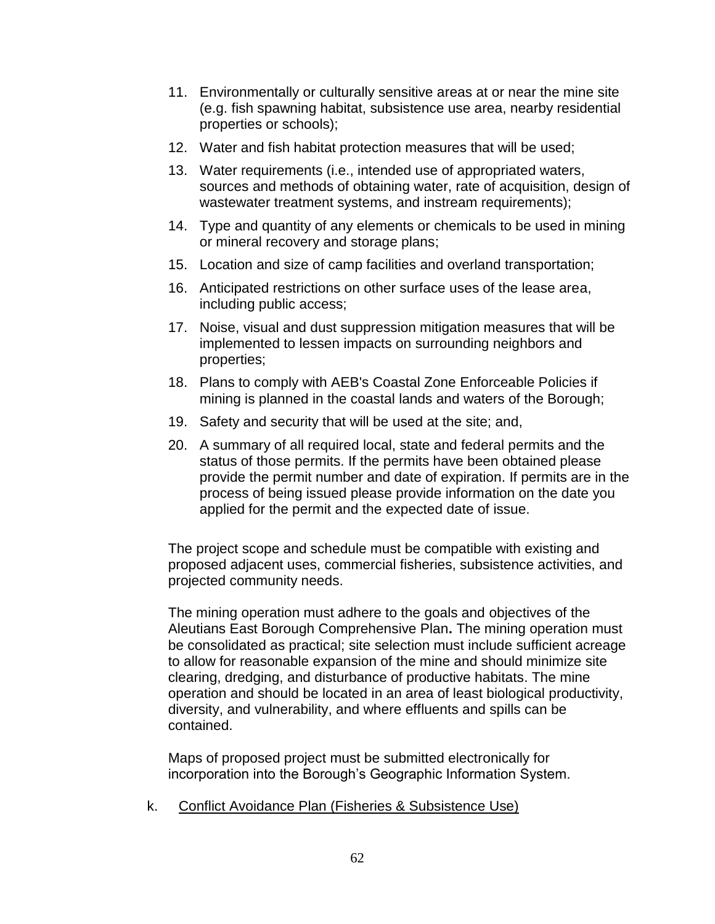- 11. Environmentally or culturally sensitive areas at or near the mine site (e.g. fish spawning habitat, subsistence use area, nearby residential properties or schools);
- 12. Water and fish habitat protection measures that will be used;
- 13. Water requirements (i.e., intended use of appropriated waters, sources and methods of obtaining water, rate of acquisition, design of wastewater treatment systems, and instream requirements);
- 14. Type and quantity of any elements or chemicals to be used in mining or mineral recovery and storage plans;
- 15. Location and size of camp facilities and overland transportation;
- 16. Anticipated restrictions on other surface uses of the lease area, including public access;
- 17. Noise, visual and dust suppression mitigation measures that will be implemented to lessen impacts on surrounding neighbors and properties;
- 18. Plans to comply with AEB's Coastal Zone Enforceable Policies if mining is planned in the coastal lands and waters of the Borough;
- 19. Safety and security that will be used at the site; and,
- 20. A summary of all required local, state and federal permits and the status of those permits. If the permits have been obtained please provide the permit number and date of expiration. If permits are in the process of being issued please provide information on the date you applied for the permit and the expected date of issue.

The project scope and schedule must be compatible with existing and proposed adjacent uses, commercial fisheries, subsistence activities, and projected community needs.

The mining operation must adhere to the goals and objectives of the Aleutians East Borough Comprehensive Plan**.** The mining operation must be consolidated as practical; site selection must include sufficient acreage to allow for reasonable expansion of the mine and should minimize site clearing, dredging, and disturbance of productive habitats. The mine operation and should be located in an area of least biological productivity, diversity, and vulnerability, and where effluents and spills can be contained.

Maps of proposed project must be submitted electronically for incorporation into the Borough's Geographic Information System.

k. Conflict Avoidance Plan (Fisheries & Subsistence Use)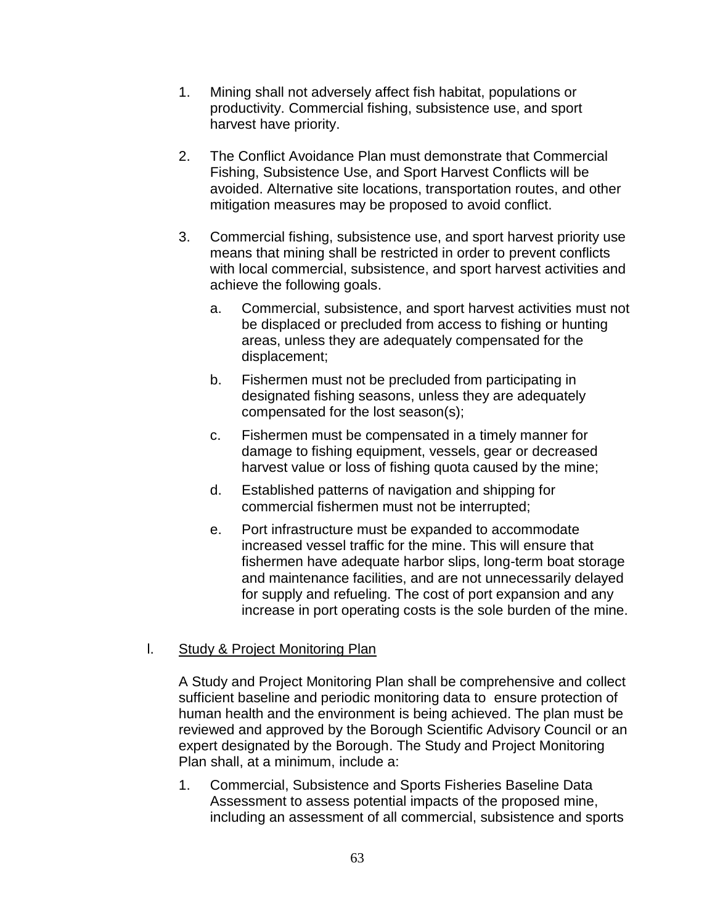- 1. Mining shall not adversely affect fish habitat, populations or productivity. Commercial fishing, subsistence use, and sport harvest have priority.
- 2. The Conflict Avoidance Plan must demonstrate that Commercial Fishing, Subsistence Use, and Sport Harvest Conflicts will be avoided. Alternative site locations, transportation routes, and other mitigation measures may be proposed to avoid conflict.
- 3. Commercial fishing, subsistence use, and sport harvest priority use means that mining shall be restricted in order to prevent conflicts with local commercial, subsistence, and sport harvest activities and achieve the following goals.
	- a. Commercial, subsistence, and sport harvest activities must not be displaced or precluded from access to fishing or hunting areas, unless they are adequately compensated for the displacement;
	- b. Fishermen must not be precluded from participating in designated fishing seasons, unless they are adequately compensated for the lost season(s);
	- c. Fishermen must be compensated in a timely manner for damage to fishing equipment, vessels, gear or decreased harvest value or loss of fishing quota caused by the mine;
	- d. Established patterns of navigation and shipping for commercial fishermen must not be interrupted;
	- e. Port infrastructure must be expanded to accommodate increased vessel traffic for the mine. This will ensure that fishermen have adequate harbor slips, long-term boat storage and maintenance facilities, and are not unnecessarily delayed for supply and refueling. The cost of port expansion and any increase in port operating costs is the sole burden of the mine.

# l. Study & Project Monitoring Plan

A Study and Project Monitoring Plan shall be comprehensive and collect sufficient baseline and periodic monitoring data to ensure protection of human health and the environment is being achieved. The plan must be reviewed and approved by the Borough Scientific Advisory Council or an expert designated by the Borough. The Study and Project Monitoring Plan shall, at a minimum, include a:

1. Commercial, Subsistence and Sports Fisheries Baseline Data Assessment to assess potential impacts of the proposed mine, including an assessment of all commercial, subsistence and sports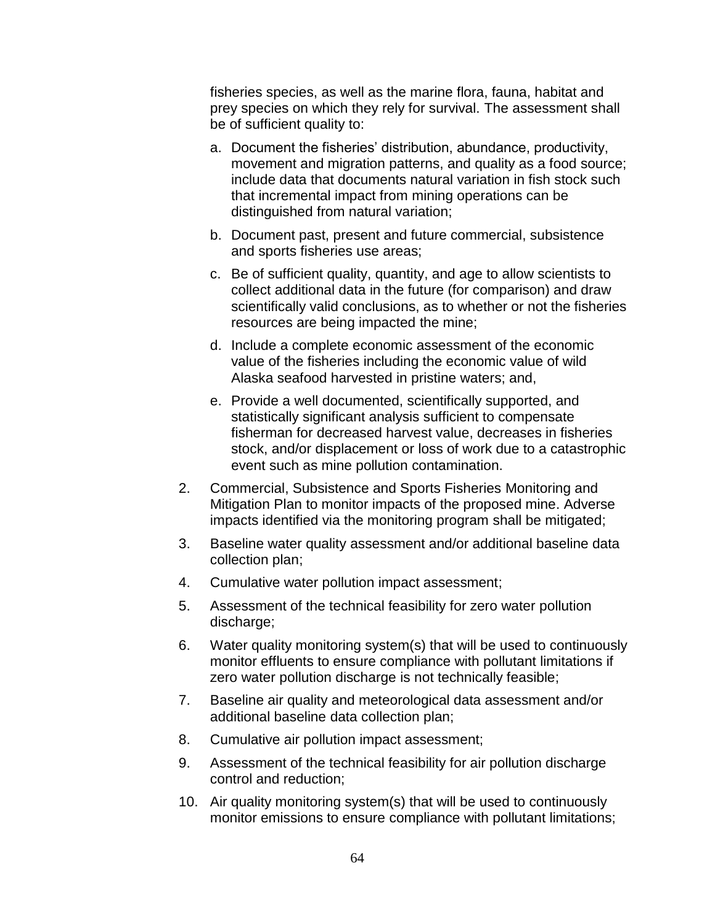fisheries species, as well as the marine flora, fauna, habitat and prey species on which they rely for survival. The assessment shall be of sufficient quality to:

- a. Document the fisheries' distribution, abundance, productivity, movement and migration patterns, and quality as a food source; include data that documents natural variation in fish stock such that incremental impact from mining operations can be distinguished from natural variation;
- b. Document past, present and future commercial, subsistence and sports fisheries use areas;
- c. Be of sufficient quality, quantity, and age to allow scientists to collect additional data in the future (for comparison) and draw scientifically valid conclusions, as to whether or not the fisheries resources are being impacted the mine;
- d. Include a complete economic assessment of the economic value of the fisheries including the economic value of wild Alaska seafood harvested in pristine waters; and,
- e. Provide a well documented, scientifically supported, and statistically significant analysis sufficient to compensate fisherman for decreased harvest value, decreases in fisheries stock, and/or displacement or loss of work due to a catastrophic event such as mine pollution contamination.
- 2. Commercial, Subsistence and Sports Fisheries Monitoring and Mitigation Plan to monitor impacts of the proposed mine. Adverse impacts identified via the monitoring program shall be mitigated;
- 3. Baseline water quality assessment and/or additional baseline data collection plan;
- 4. Cumulative water pollution impact assessment;
- 5. Assessment of the technical feasibility for zero water pollution discharge;
- 6. Water quality monitoring system(s) that will be used to continuously monitor effluents to ensure compliance with pollutant limitations if zero water pollution discharge is not technically feasible;
- 7. Baseline air quality and meteorological data assessment and/or additional baseline data collection plan;
- 8. Cumulative air pollution impact assessment;
- 9. Assessment of the technical feasibility for air pollution discharge control and reduction;
- 10. Air quality monitoring system(s) that will be used to continuously monitor emissions to ensure compliance with pollutant limitations;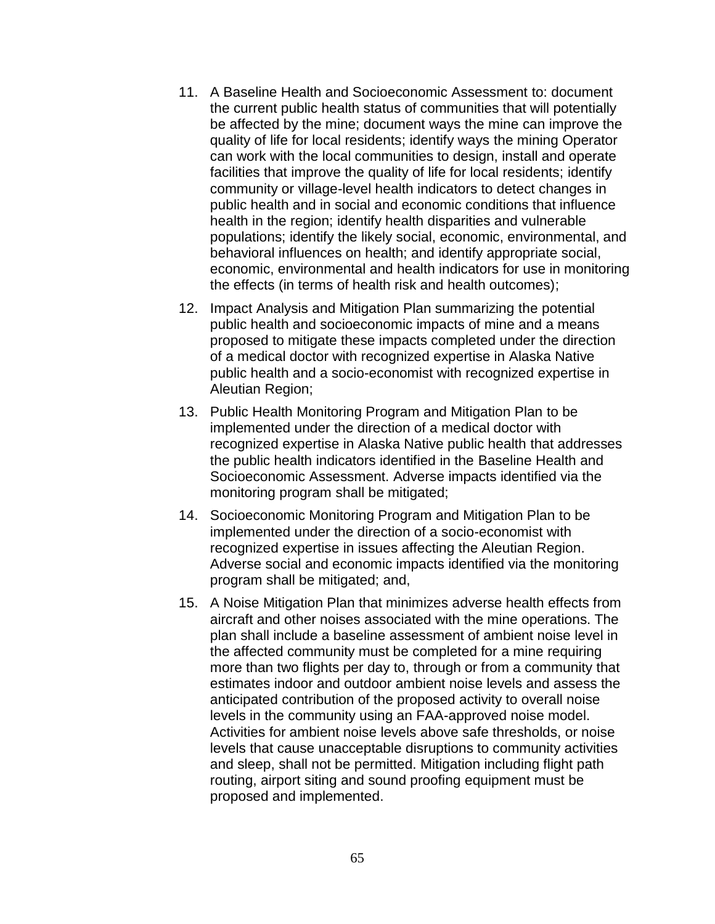- 11. A Baseline Health and Socioeconomic Assessment to: document the current public health status of communities that will potentially be affected by the mine; document ways the mine can improve the quality of life for local residents; identify ways the mining Operator can work with the local communities to design, install and operate facilities that improve the quality of life for local residents; identify community or village-level health indicators to detect changes in public health and in social and economic conditions that influence health in the region; identify health disparities and vulnerable populations; identify the likely social, economic, environmental, and behavioral influences on health; and identify appropriate social, economic, environmental and health indicators for use in monitoring the effects (in terms of health risk and health outcomes);
- 12. Impact Analysis and Mitigation Plan summarizing the potential public health and socioeconomic impacts of mine and a means proposed to mitigate these impacts completed under the direction of a medical doctor with recognized expertise in Alaska Native public health and a socio-economist with recognized expertise in Aleutian Region;
- 13. Public Health Monitoring Program and Mitigation Plan to be implemented under the direction of a medical doctor with recognized expertise in Alaska Native public health that addresses the public health indicators identified in the Baseline Health and Socioeconomic Assessment. Adverse impacts identified via the monitoring program shall be mitigated;
- 14. Socioeconomic Monitoring Program and Mitigation Plan to be implemented under the direction of a socio-economist with recognized expertise in issues affecting the Aleutian Region. Adverse social and economic impacts identified via the monitoring program shall be mitigated; and,
- 15. A Noise Mitigation Plan that minimizes adverse health effects from aircraft and other noises associated with the mine operations. The plan shall include a baseline assessment of ambient noise level in the affected community must be completed for a mine requiring more than two flights per day to, through or from a community that estimates indoor and outdoor ambient noise levels and assess the anticipated contribution of the proposed activity to overall noise levels in the community using an FAA-approved noise model. Activities for ambient noise levels above safe thresholds, or noise levels that cause unacceptable disruptions to community activities and sleep, shall not be permitted. Mitigation including flight path routing, airport siting and sound proofing equipment must be proposed and implemented.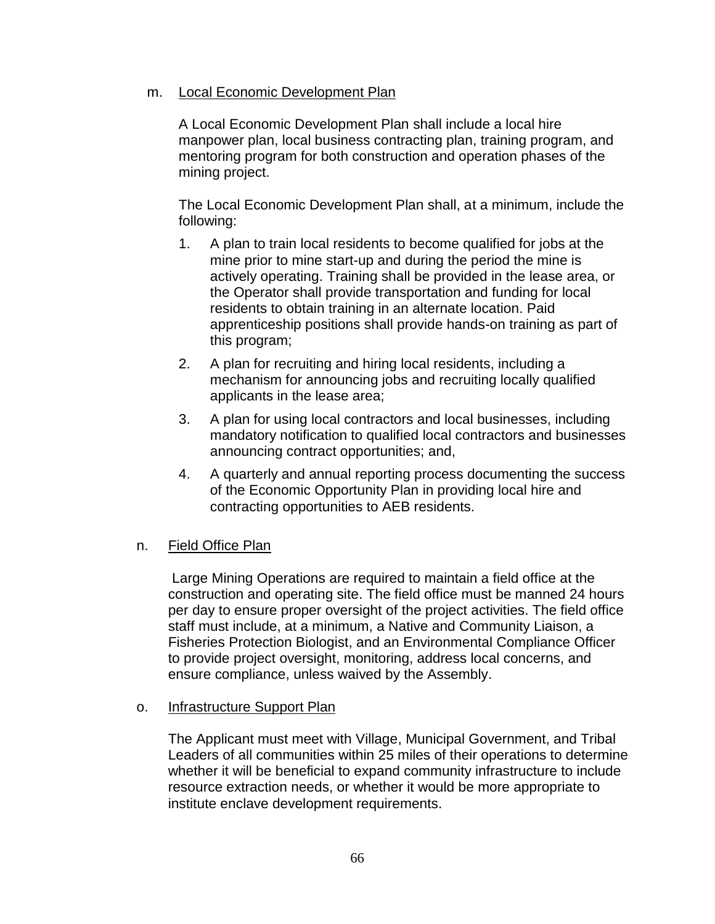## m. Local Economic Development Plan

A Local Economic Development Plan shall include a local hire manpower plan, local business contracting plan, training program, and mentoring program for both construction and operation phases of the mining project.

The Local Economic Development Plan shall, at a minimum, include the following:

- 1. A plan to train local residents to become qualified for jobs at the mine prior to mine start-up and during the period the mine is actively operating. Training shall be provided in the lease area, or the Operator shall provide transportation and funding for local residents to obtain training in an alternate location. Paid apprenticeship positions shall provide hands-on training as part of this program;
- 2. A plan for recruiting and hiring local residents, including a mechanism for announcing jobs and recruiting locally qualified applicants in the lease area;
- 3. A plan for using local contractors and local businesses, including mandatory notification to qualified local contractors and businesses announcing contract opportunities; and,
- 4. A quarterly and annual reporting process documenting the success of the Economic Opportunity Plan in providing local hire and contracting opportunities to AEB residents.

## n. Field Office Plan

Large Mining Operations are required to maintain a field office at the construction and operating site. The field office must be manned 24 hours per day to ensure proper oversight of the project activities. The field office staff must include, at a minimum, a Native and Community Liaison, a Fisheries Protection Biologist, and an Environmental Compliance Officer to provide project oversight, monitoring, address local concerns, and ensure compliance, unless waived by the Assembly.

## o. Infrastructure Support Plan

The Applicant must meet with Village, Municipal Government, and Tribal Leaders of all communities within 25 miles of their operations to determine whether it will be beneficial to expand community infrastructure to include resource extraction needs, or whether it would be more appropriate to institute enclave development requirements.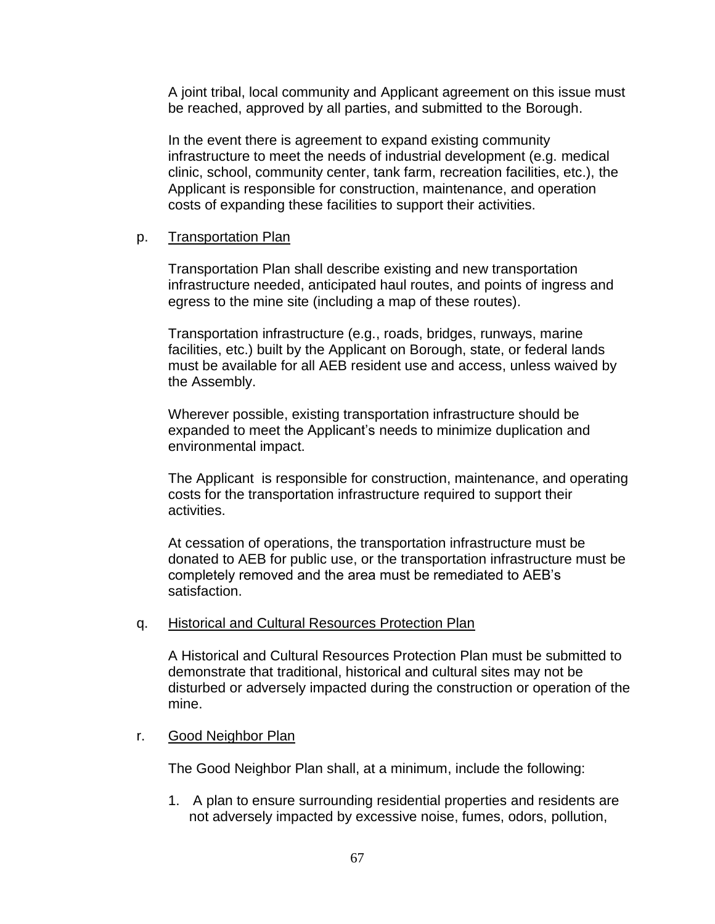A joint tribal, local community and Applicant agreement on this issue must be reached, approved by all parties, and submitted to the Borough.

In the event there is agreement to expand existing community infrastructure to meet the needs of industrial development (e.g. medical clinic, school, community center, tank farm, recreation facilities, etc.), the Applicant is responsible for construction, maintenance, and operation costs of expanding these facilities to support their activities.

## p. Transportation Plan

Transportation Plan shall describe existing and new transportation infrastructure needed, anticipated haul routes, and points of ingress and egress to the mine site (including a map of these routes).

Transportation infrastructure (e.g., roads, bridges, runways, marine facilities, etc.) built by the Applicant on Borough, state, or federal lands must be available for all AEB resident use and access, unless waived by the Assembly.

Wherever possible, existing transportation infrastructure should be expanded to meet the Applicant's needs to minimize duplication and environmental impact.

The Applicant is responsible for construction, maintenance, and operating costs for the transportation infrastructure required to support their activities.

At cessation of operations, the transportation infrastructure must be donated to AEB for public use, or the transportation infrastructure must be completely removed and the area must be remediated to AEB's satisfaction.

q. Historical and Cultural Resources Protection Plan

A Historical and Cultural Resources Protection Plan must be submitted to demonstrate that traditional, historical and cultural sites may not be disturbed or adversely impacted during the construction or operation of the mine.

## r. Good Neighbor Plan

The Good Neighbor Plan shall, at a minimum, include the following:

1. A plan to ensure surrounding residential properties and residents are not adversely impacted by excessive noise, fumes, odors, pollution,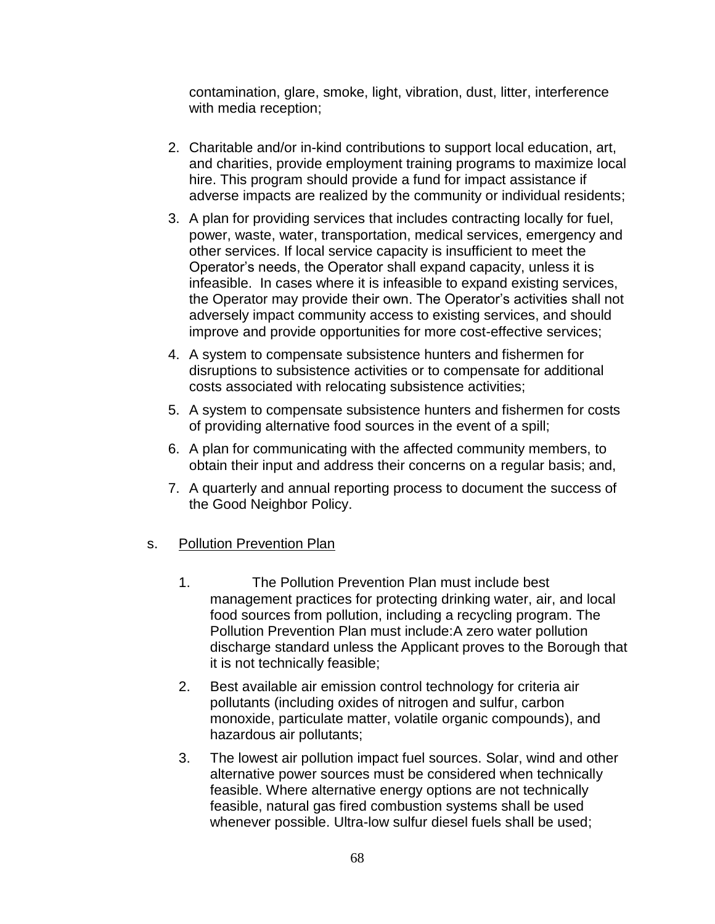contamination, glare, smoke, light, vibration, dust, litter, interference with media reception;

- 2. Charitable and/or in-kind contributions to support local education, art, and charities, provide employment training programs to maximize local hire. This program should provide a fund for impact assistance if adverse impacts are realized by the community or individual residents;
- 3. A plan for providing services that includes contracting locally for fuel, power, waste, water, transportation, medical services, emergency and other services. If local service capacity is insufficient to meet the Operator's needs, the Operator shall expand capacity, unless it is infeasible. In cases where it is infeasible to expand existing services, the Operator may provide their own. The Operator's activities shall not adversely impact community access to existing services, and should improve and provide opportunities for more cost-effective services;
- 4. A system to compensate subsistence hunters and fishermen for disruptions to subsistence activities or to compensate for additional costs associated with relocating subsistence activities;
- 5. A system to compensate subsistence hunters and fishermen for costs of providing alternative food sources in the event of a spill;
- 6. A plan for communicating with the affected community members, to obtain their input and address their concerns on a regular basis; and,
- 7. A quarterly and annual reporting process to document the success of the Good Neighbor Policy.

## s. Pollution Prevention Plan

- 1. The Pollution Prevention Plan must include best management practices for protecting drinking water, air, and local food sources from pollution, including a recycling program. The Pollution Prevention Plan must include:A zero water pollution discharge standard unless the Applicant proves to the Borough that it is not technically feasible;
- 2. Best available air emission control technology for criteria air pollutants (including oxides of nitrogen and sulfur, carbon monoxide, particulate matter, volatile organic compounds), and hazardous air pollutants;
- 3. The lowest air pollution impact fuel sources. Solar, wind and other alternative power sources must be considered when technically feasible. Where alternative energy options are not technically feasible, natural gas fired combustion systems shall be used whenever possible. Ultra-low sulfur diesel fuels shall be used;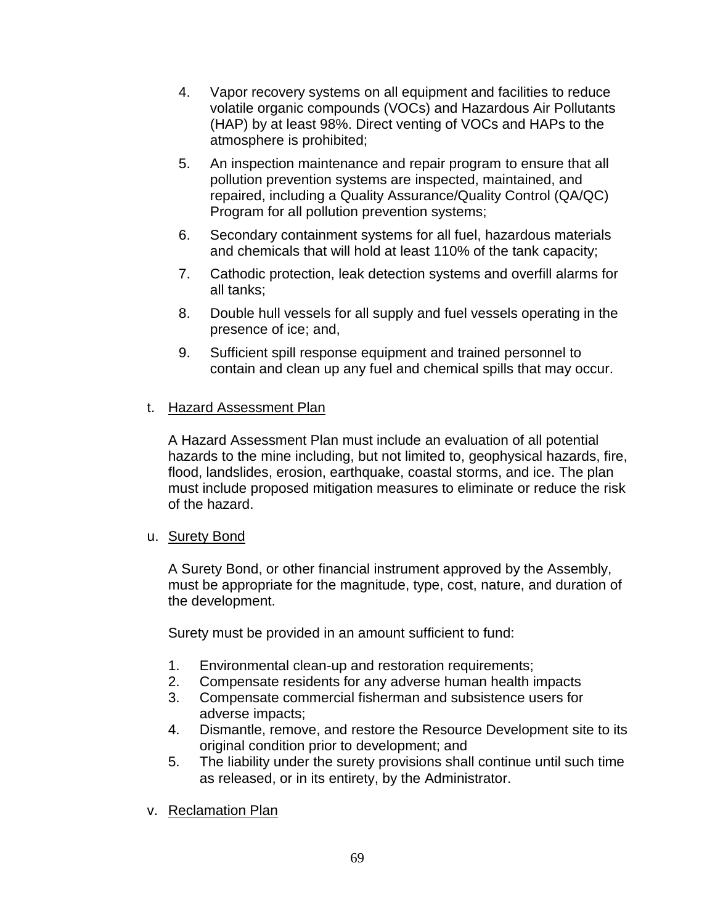- 4. Vapor recovery systems on all equipment and facilities to reduce volatile organic compounds (VOCs) and Hazardous Air Pollutants (HAP) by at least 98%. Direct venting of VOCs and HAPs to the atmosphere is prohibited;
- 5. An inspection maintenance and repair program to ensure that all pollution prevention systems are inspected, maintained, and repaired, including a Quality Assurance/Quality Control (QA/QC) Program for all pollution prevention systems;
- 6. Secondary containment systems for all fuel, hazardous materials and chemicals that will hold at least 110% of the tank capacity;
- 7. Cathodic protection, leak detection systems and overfill alarms for all tanks;
- 8. Double hull vessels for all supply and fuel vessels operating in the presence of ice; and,
- 9. Sufficient spill response equipment and trained personnel to contain and clean up any fuel and chemical spills that may occur.

# t. Hazard Assessment Plan

A Hazard Assessment Plan must include an evaluation of all potential hazards to the mine including, but not limited to, geophysical hazards, fire, flood, landslides, erosion, earthquake, coastal storms, and ice. The plan must include proposed mitigation measures to eliminate or reduce the risk of the hazard.

## u. Surety Bond

A Surety Bond, or other financial instrument approved by the Assembly, must be appropriate for the magnitude, type, cost, nature, and duration of the development.

Surety must be provided in an amount sufficient to fund:

- 1. Environmental clean-up and restoration requirements;
- 2. Compensate residents for any adverse human health impacts
- 3. Compensate commercial fisherman and subsistence users for adverse impacts;
- 4. Dismantle, remove, and restore the Resource Development site to its original condition prior to development; and
- 5. The liability under the surety provisions shall continue until such time as released, or in its entirety, by the Administrator.
- v. Reclamation Plan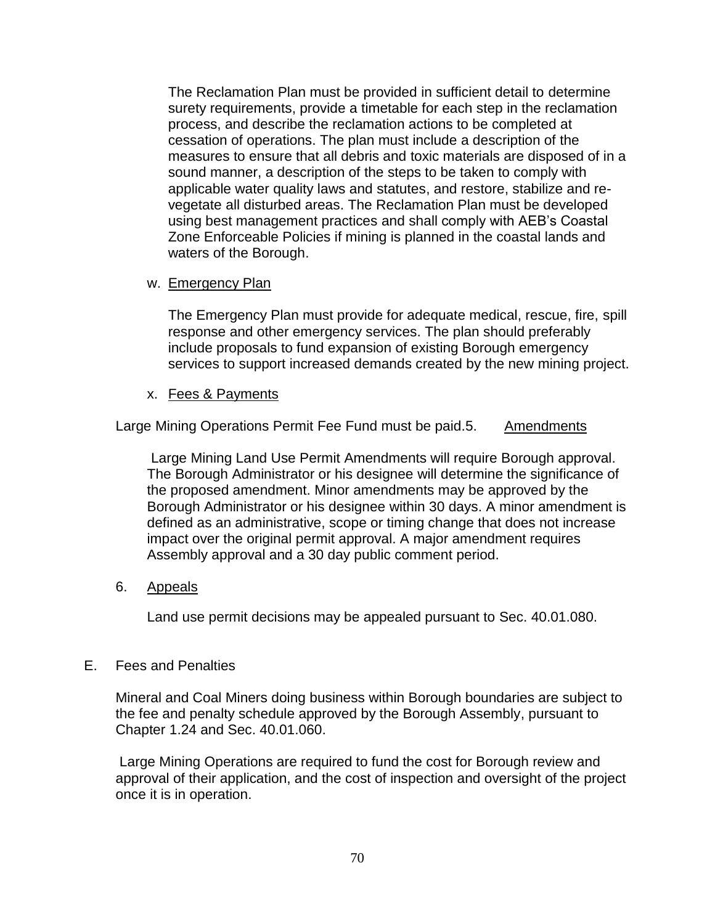The Reclamation Plan must be provided in sufficient detail to determine surety requirements, provide a timetable for each step in the reclamation process, and describe the reclamation actions to be completed at cessation of operations. The plan must include a description of the measures to ensure that all debris and toxic materials are disposed of in a sound manner, a description of the steps to be taken to comply with applicable water quality laws and statutes, and restore, stabilize and revegetate all disturbed areas. The Reclamation Plan must be developed using best management practices and shall comply with AEB's Coastal Zone Enforceable Policies if mining is planned in the coastal lands and waters of the Borough.

### w. Emergency Plan

The Emergency Plan must provide for adequate medical, rescue, fire, spill response and other emergency services. The plan should preferably include proposals to fund expansion of existing Borough emergency services to support increased demands created by the new mining project.

### x. Fees & Payments

Large Mining Operations Permit Fee Fund must be paid.5. Amendments

Large Mining Land Use Permit Amendments will require Borough approval. The Borough Administrator or his designee will determine the significance of the proposed amendment. Minor amendments may be approved by the Borough Administrator or his designee within 30 days. A minor amendment is defined as an administrative, scope or timing change that does not increase impact over the original permit approval. A major amendment requires Assembly approval and a 30 day public comment period.

## 6. Appeals

Land use permit decisions may be appealed pursuant to Sec. 40.01.080.

## E. Fees and Penalties

Mineral and Coal Miners doing business within Borough boundaries are subject to the fee and penalty schedule approved by the Borough Assembly, pursuant to Chapter 1.24 and Sec. 40.01.060.

Large Mining Operations are required to fund the cost for Borough review and approval of their application, and the cost of inspection and oversight of the project once it is in operation.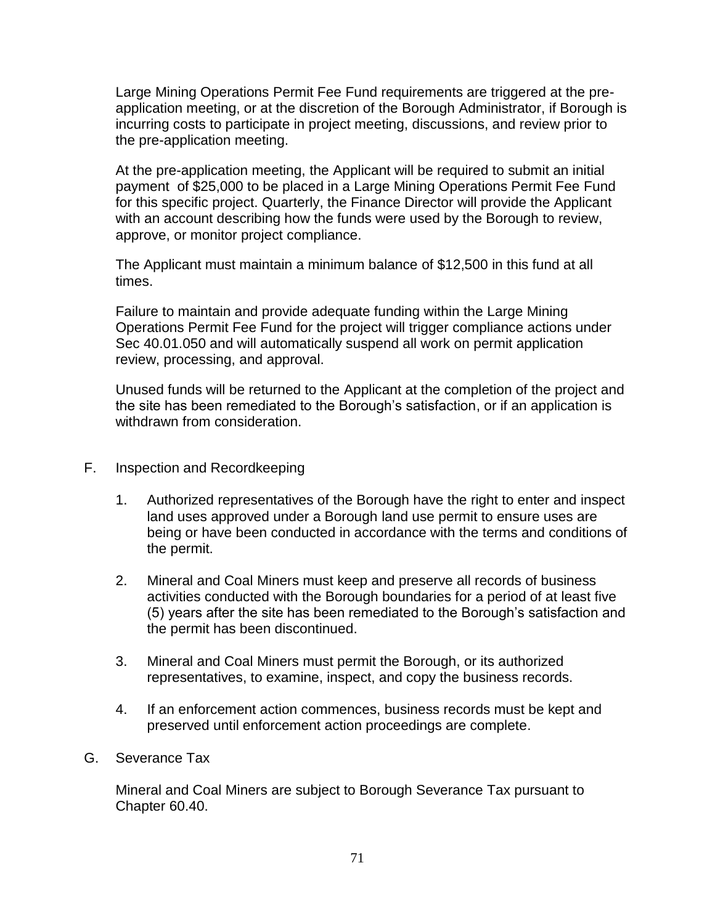Large Mining Operations Permit Fee Fund requirements are triggered at the preapplication meeting, or at the discretion of the Borough Administrator, if Borough is incurring costs to participate in project meeting, discussions, and review prior to the pre-application meeting.

At the pre-application meeting, the Applicant will be required to submit an initial payment of \$25,000 to be placed in a Large Mining Operations Permit Fee Fund for this specific project. Quarterly, the Finance Director will provide the Applicant with an account describing how the funds were used by the Borough to review, approve, or monitor project compliance.

The Applicant must maintain a minimum balance of \$12,500 in this fund at all times.

Failure to maintain and provide adequate funding within the Large Mining Operations Permit Fee Fund for the project will trigger compliance actions under Sec 40.01.050 and will automatically suspend all work on permit application review, processing, and approval.

Unused funds will be returned to the Applicant at the completion of the project and the site has been remediated to the Borough's satisfaction, or if an application is withdrawn from consideration.

- F. Inspection and Recordkeeping
	- 1. Authorized representatives of the Borough have the right to enter and inspect land uses approved under a Borough land use permit to ensure uses are being or have been conducted in accordance with the terms and conditions of the permit.
	- 2. Mineral and Coal Miners must keep and preserve all records of business activities conducted with the Borough boundaries for a period of at least five (5) years after the site has been remediated to the Borough's satisfaction and the permit has been discontinued.
	- 3. Mineral and Coal Miners must permit the Borough, or its authorized representatives, to examine, inspect, and copy the business records.
	- 4. If an enforcement action commences, business records must be kept and preserved until enforcement action proceedings are complete.
- G. Severance Tax

Mineral and Coal Miners are subject to Borough Severance Tax pursuant to Chapter 60.40.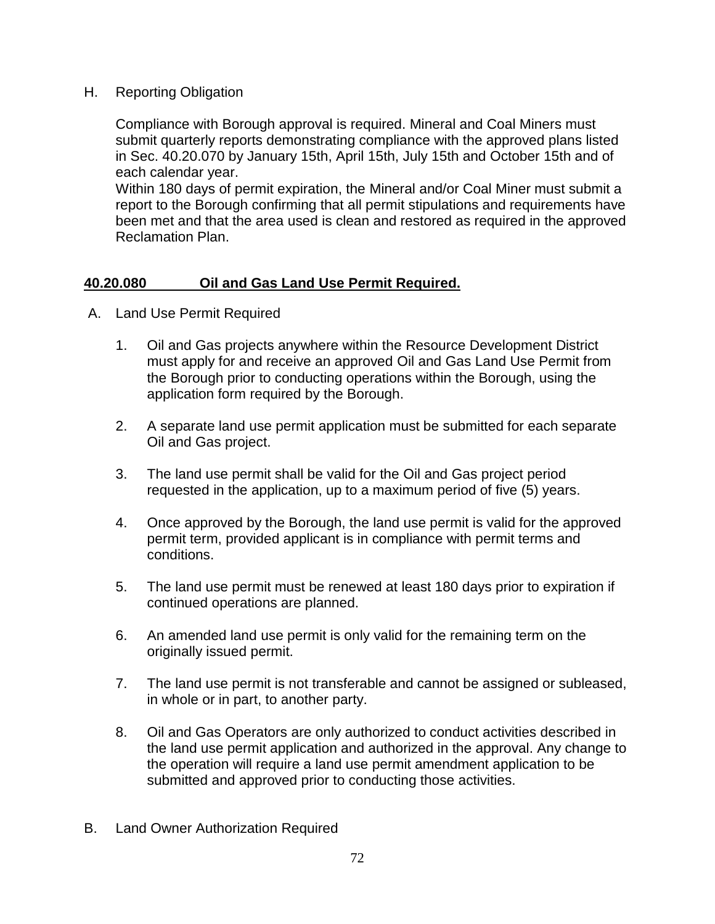H. Reporting Obligation

Compliance with Borough approval is required. Mineral and Coal Miners must submit quarterly reports demonstrating compliance with the approved plans listed in Sec. 40.20.070 by January 15th, April 15th, July 15th and October 15th and of each calendar year.

Within 180 days of permit expiration, the Mineral and/or Coal Miner must submit a report to the Borough confirming that all permit stipulations and requirements have been met and that the area used is clean and restored as required in the approved Reclamation Plan.

# **40.20.080 Oil and Gas Land Use Permit Required.**

- A. Land Use Permit Required
	- 1. Oil and Gas projects anywhere within the Resource Development District must apply for and receive an approved Oil and Gas Land Use Permit from the Borough prior to conducting operations within the Borough, using the application form required by the Borough.
	- 2. A separate land use permit application must be submitted for each separate Oil and Gas project.
	- 3. The land use permit shall be valid for the Oil and Gas project period requested in the application, up to a maximum period of five (5) years.
	- 4. Once approved by the Borough, the land use permit is valid for the approved permit term, provided applicant is in compliance with permit terms and conditions.
	- 5. The land use permit must be renewed at least 180 days prior to expiration if continued operations are planned.
	- 6. An amended land use permit is only valid for the remaining term on the originally issued permit.
	- 7. The land use permit is not transferable and cannot be assigned or subleased, in whole or in part, to another party.
	- 8. Oil and Gas Operators are only authorized to conduct activities described in the land use permit application and authorized in the approval. Any change to the operation will require a land use permit amendment application to be submitted and approved prior to conducting those activities.
- B. Land Owner Authorization Required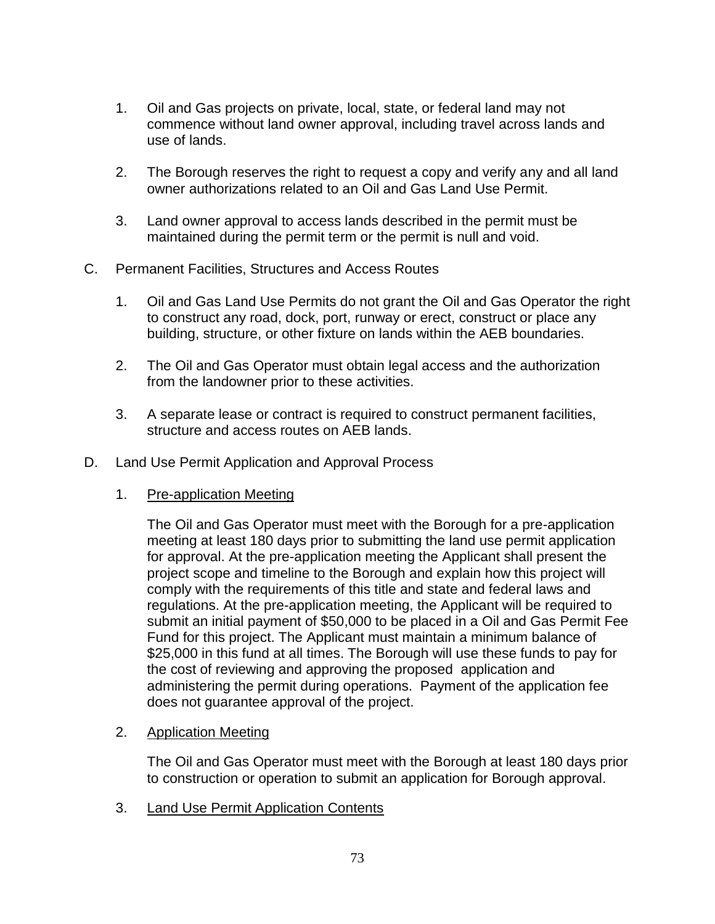- 1. Oil and Gas projects on private, local, state, or federal land may not commence without land owner approval, including travel across lands and use of lands.
- 2. The Borough reserves the right to request a copy and verify any and all land owner authorizations related to an Oil and Gas Land Use Permit.
- 3. Land owner approval to access lands described in the permit must be maintained during the permit term or the permit is null and void.
- C. Permanent Facilities, Structures and Access Routes
	- 1. Oil and Gas Land Use Permits do not grant the Oil and Gas Operator the right to construct any road, dock, port, runway or erect, construct or place any building, structure, or other fixture on lands within the AEB boundaries.
	- 2. The Oil and Gas Operator must obtain legal access and the authorization from the landowner prior to these activities.
	- 3. A separate lease or contract is required to construct permanent facilities, structure and access routes on AEB lands.
- D. Land Use Permit Application and Approval Process
	- 1. Pre-application Meeting

The Oil and Gas Operator must meet with the Borough for a pre-application meeting at least 180 days prior to submitting the land use permit application for approval. At the pre-application meeting the Applicant shall present the project scope and timeline to the Borough and explain how this project will comply with the requirements of this title and state and federal laws and regulations. At the pre-application meeting, the Applicant will be required to submit an initial payment of \$50,000 to be placed in a Oil and Gas Permit Fee Fund for this project. The Applicant must maintain a minimum balance of \$25,000 in this fund at all times. The Borough will use these funds to pay for the cost of reviewing and approving the proposed application and administering the permit during operations. Payment of the application fee does not guarantee approval of the project.

2. Application Meeting

The Oil and Gas Operator must meet with the Borough at least 180 days prior to construction or operation to submit an application for Borough approval.

3. Land Use Permit Application Contents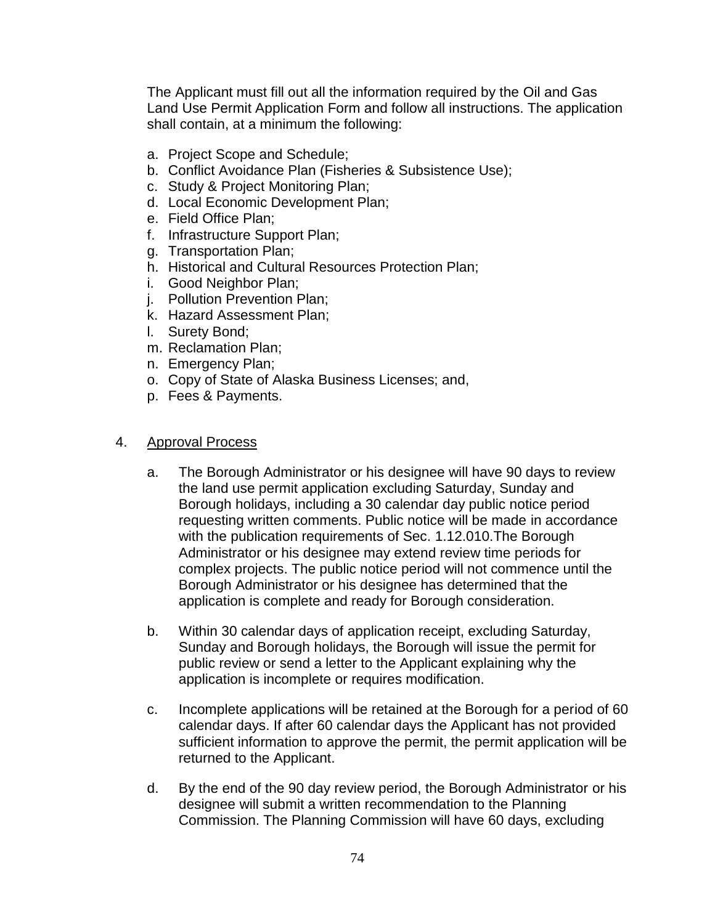The Applicant must fill out all the information required by the Oil and Gas Land Use Permit Application Form and follow all instructions. The application shall contain, at a minimum the following:

- a. Project Scope and Schedule;
- b. Conflict Avoidance Plan (Fisheries & Subsistence Use);
- c. Study & Project Monitoring Plan;
- d. Local Economic Development Plan;
- e. Field Office Plan;
- f. Infrastructure Support Plan;
- g. Transportation Plan;
- h. Historical and Cultural Resources Protection Plan;
- i. Good Neighbor Plan;
- j. Pollution Prevention Plan;
- k. Hazard Assessment Plan;
- l. Surety Bond;
- m. Reclamation Plan;
- n. Emergency Plan;
- o. Copy of State of Alaska Business Licenses; and,
- p. Fees & Payments.

### 4. Approval Process

- a. The Borough Administrator or his designee will have 90 days to review the land use permit application excluding Saturday, Sunday and Borough holidays, including a 30 calendar day public notice period requesting written comments. Public notice will be made in accordance with the publication requirements of Sec. 1.12.010.The Borough Administrator or his designee may extend review time periods for complex projects. The public notice period will not commence until the Borough Administrator or his designee has determined that the application is complete and ready for Borough consideration.
- b. Within 30 calendar days of application receipt, excluding Saturday, Sunday and Borough holidays, the Borough will issue the permit for public review or send a letter to the Applicant explaining why the application is incomplete or requires modification.
- c. Incomplete applications will be retained at the Borough for a period of 60 calendar days. If after 60 calendar days the Applicant has not provided sufficient information to approve the permit, the permit application will be returned to the Applicant.
- d. By the end of the 90 day review period, the Borough Administrator or his designee will submit a written recommendation to the Planning Commission. The Planning Commission will have 60 days, excluding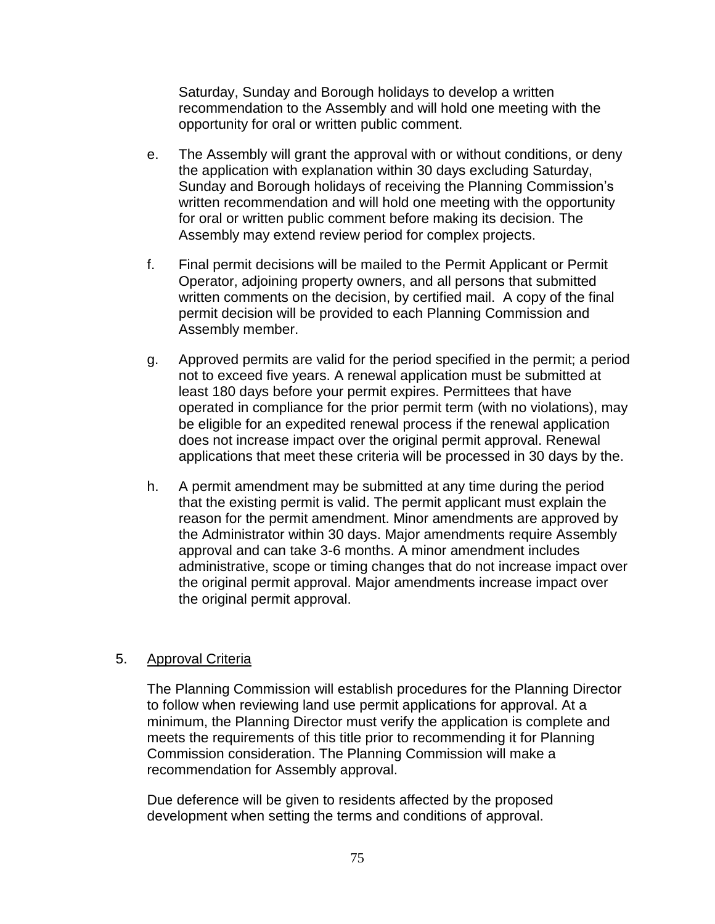Saturday, Sunday and Borough holidays to develop a written recommendation to the Assembly and will hold one meeting with the opportunity for oral or written public comment.

- e. The Assembly will grant the approval with or without conditions, or deny the application with explanation within 30 days excluding Saturday, Sunday and Borough holidays of receiving the Planning Commission's written recommendation and will hold one meeting with the opportunity for oral or written public comment before making its decision. The Assembly may extend review period for complex projects.
- f. Final permit decisions will be mailed to the Permit Applicant or Permit Operator, adjoining property owners, and all persons that submitted written comments on the decision, by certified mail. A copy of the final permit decision will be provided to each Planning Commission and Assembly member.
- g. Approved permits are valid for the period specified in the permit; a period not to exceed five years. A renewal application must be submitted at least 180 days before your permit expires. Permittees that have operated in compliance for the prior permit term (with no violations), may be eligible for an expedited renewal process if the renewal application does not increase impact over the original permit approval. Renewal applications that meet these criteria will be processed in 30 days by the.
- h. A permit amendment may be submitted at any time during the period that the existing permit is valid. The permit applicant must explain the reason for the permit amendment. Minor amendments are approved by the Administrator within 30 days. Major amendments require Assembly approval and can take 3-6 months. A minor amendment includes administrative, scope or timing changes that do not increase impact over the original permit approval. Major amendments increase impact over the original permit approval.

# 5. Approval Criteria

The Planning Commission will establish procedures for the Planning Director to follow when reviewing land use permit applications for approval. At a minimum, the Planning Director must verify the application is complete and meets the requirements of this title prior to recommending it for Planning Commission consideration. The Planning Commission will make a recommendation for Assembly approval.

Due deference will be given to residents affected by the proposed development when setting the terms and conditions of approval.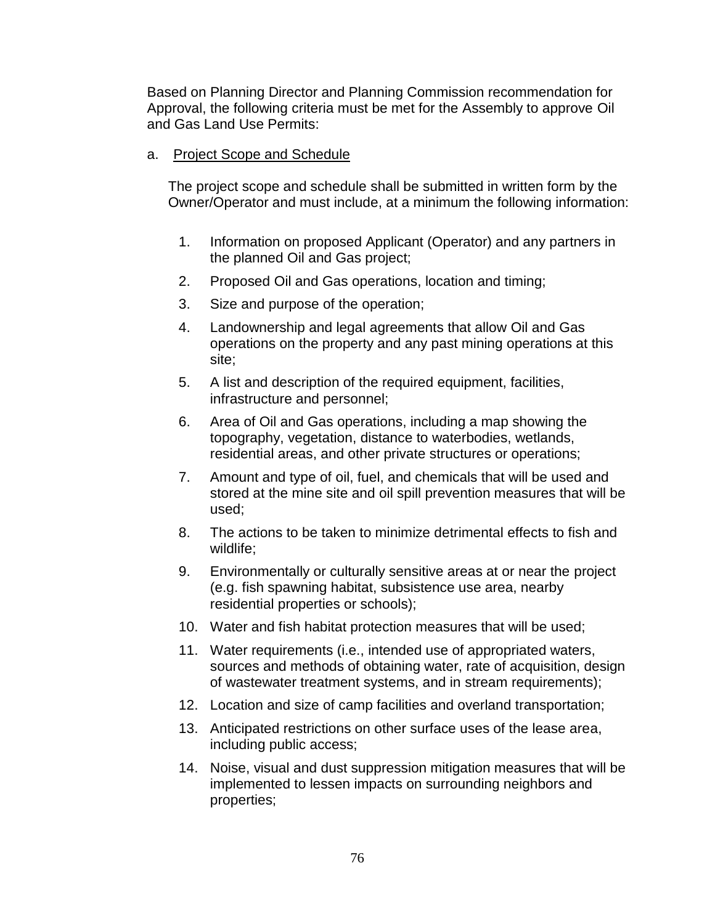Based on Planning Director and Planning Commission recommendation for Approval, the following criteria must be met for the Assembly to approve Oil and Gas Land Use Permits:

a. Project Scope and Schedule

The project scope and schedule shall be submitted in written form by the Owner/Operator and must include, at a minimum the following information:

- 1. Information on proposed Applicant (Operator) and any partners in the planned Oil and Gas project;
- 2. Proposed Oil and Gas operations, location and timing;
- 3. Size and purpose of the operation;
- 4. Landownership and legal agreements that allow Oil and Gas operations on the property and any past mining operations at this site;
- 5. A list and description of the required equipment, facilities, infrastructure and personnel;
- 6. Area of Oil and Gas operations, including a map showing the topography, vegetation, distance to waterbodies, wetlands, residential areas, and other private structures or operations;
- 7. Amount and type of oil, fuel, and chemicals that will be used and stored at the mine site and oil spill prevention measures that will be used;
- 8. The actions to be taken to minimize detrimental effects to fish and wildlife;
- 9. Environmentally or culturally sensitive areas at or near the project (e.g. fish spawning habitat, subsistence use area, nearby residential properties or schools);
- 10. Water and fish habitat protection measures that will be used;
- 11. Water requirements (i.e., intended use of appropriated waters, sources and methods of obtaining water, rate of acquisition, design of wastewater treatment systems, and in stream requirements);
- 12. Location and size of camp facilities and overland transportation;
- 13. Anticipated restrictions on other surface uses of the lease area, including public access;
- 14. Noise, visual and dust suppression mitigation measures that will be implemented to lessen impacts on surrounding neighbors and properties;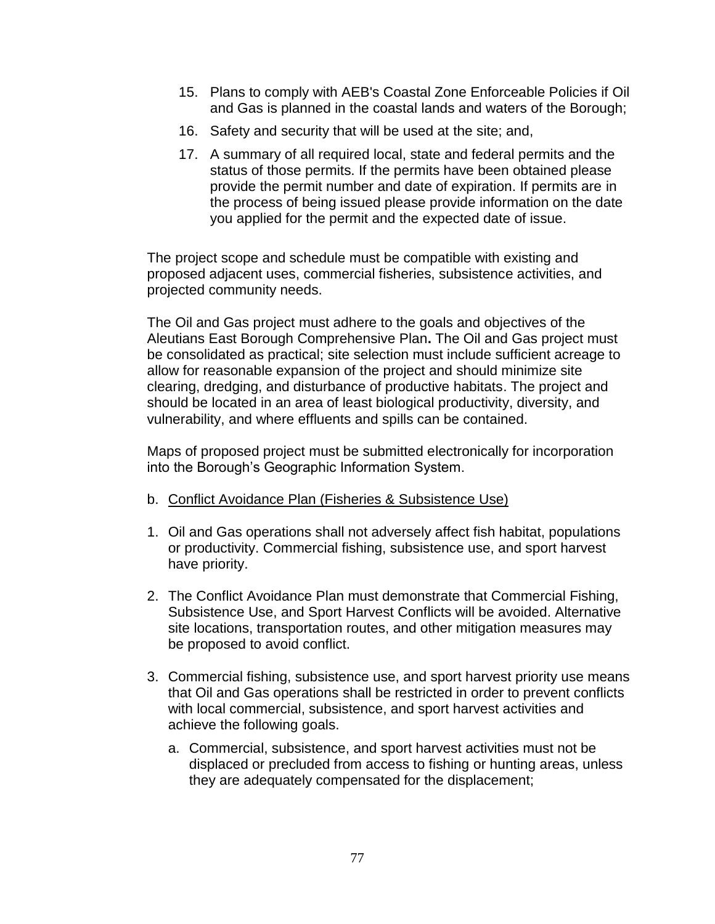- 15. Plans to comply with AEB's Coastal Zone Enforceable Policies if Oil and Gas is planned in the coastal lands and waters of the Borough;
- 16. Safety and security that will be used at the site; and,
- 17. A summary of all required local, state and federal permits and the status of those permits. If the permits have been obtained please provide the permit number and date of expiration. If permits are in the process of being issued please provide information on the date you applied for the permit and the expected date of issue.

The project scope and schedule must be compatible with existing and proposed adjacent uses, commercial fisheries, subsistence activities, and projected community needs.

The Oil and Gas project must adhere to the goals and objectives of the Aleutians East Borough Comprehensive Plan**.** The Oil and Gas project must be consolidated as practical; site selection must include sufficient acreage to allow for reasonable expansion of the project and should minimize site clearing, dredging, and disturbance of productive habitats. The project and should be located in an area of least biological productivity, diversity, and vulnerability, and where effluents and spills can be contained.

Maps of proposed project must be submitted electronically for incorporation into the Borough's Geographic Information System.

- b. Conflict Avoidance Plan (Fisheries & Subsistence Use)
- 1. Oil and Gas operations shall not adversely affect fish habitat, populations or productivity. Commercial fishing, subsistence use, and sport harvest have priority.
- 2. The Conflict Avoidance Plan must demonstrate that Commercial Fishing, Subsistence Use, and Sport Harvest Conflicts will be avoided. Alternative site locations, transportation routes, and other mitigation measures may be proposed to avoid conflict.
- 3. Commercial fishing, subsistence use, and sport harvest priority use means that Oil and Gas operations shall be restricted in order to prevent conflicts with local commercial, subsistence, and sport harvest activities and achieve the following goals.
	- a. Commercial, subsistence, and sport harvest activities must not be displaced or precluded from access to fishing or hunting areas, unless they are adequately compensated for the displacement;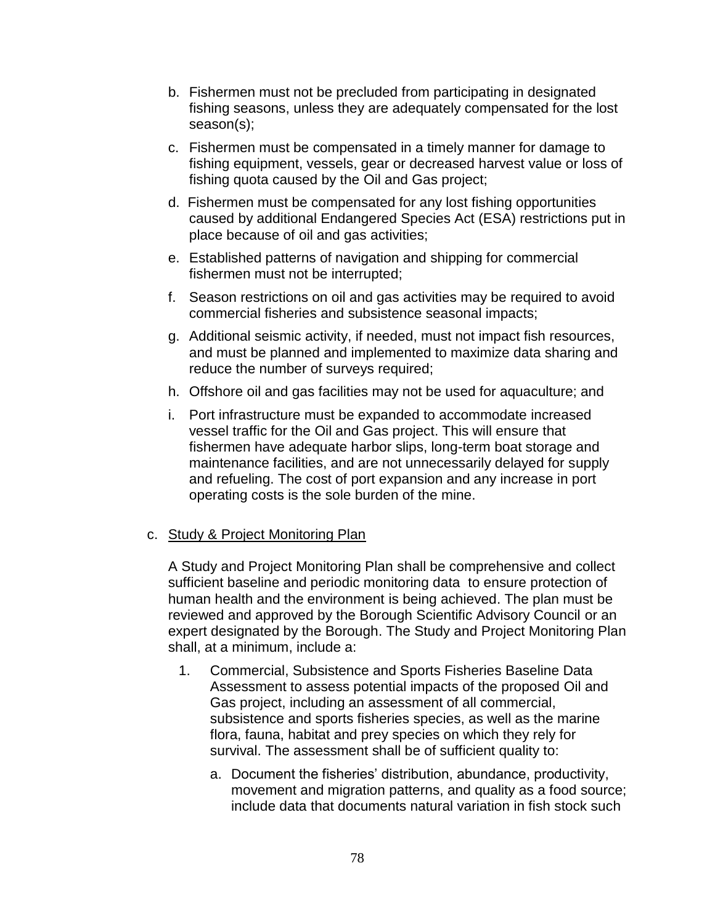- b. Fishermen must not be precluded from participating in designated fishing seasons, unless they are adequately compensated for the lost season(s);
- c. Fishermen must be compensated in a timely manner for damage to fishing equipment, vessels, gear or decreased harvest value or loss of fishing quota caused by the Oil and Gas project;
- d. Fishermen must be compensated for any lost fishing opportunities caused by additional Endangered Species Act (ESA) restrictions put in place because of oil and gas activities;
- e. Established patterns of navigation and shipping for commercial fishermen must not be interrupted;
- f. Season restrictions on oil and gas activities may be required to avoid commercial fisheries and subsistence seasonal impacts;
- g. Additional seismic activity, if needed, must not impact fish resources, and must be planned and implemented to maximize data sharing and reduce the number of surveys required;
- h. Offshore oil and gas facilities may not be used for aquaculture; and
- i. Port infrastructure must be expanded to accommodate increased vessel traffic for the Oil and Gas project. This will ensure that fishermen have adequate harbor slips, long-term boat storage and maintenance facilities, and are not unnecessarily delayed for supply and refueling. The cost of port expansion and any increase in port operating costs is the sole burden of the mine.

# c. Study & Project Monitoring Plan

A Study and Project Monitoring Plan shall be comprehensive and collect sufficient baseline and periodic monitoring data to ensure protection of human health and the environment is being achieved. The plan must be reviewed and approved by the Borough Scientific Advisory Council or an expert designated by the Borough. The Study and Project Monitoring Plan shall, at a minimum, include a:

- 1. Commercial, Subsistence and Sports Fisheries Baseline Data Assessment to assess potential impacts of the proposed Oil and Gas project, including an assessment of all commercial, subsistence and sports fisheries species, as well as the marine flora, fauna, habitat and prey species on which they rely for survival. The assessment shall be of sufficient quality to:
	- a. Document the fisheries' distribution, abundance, productivity, movement and migration patterns, and quality as a food source; include data that documents natural variation in fish stock such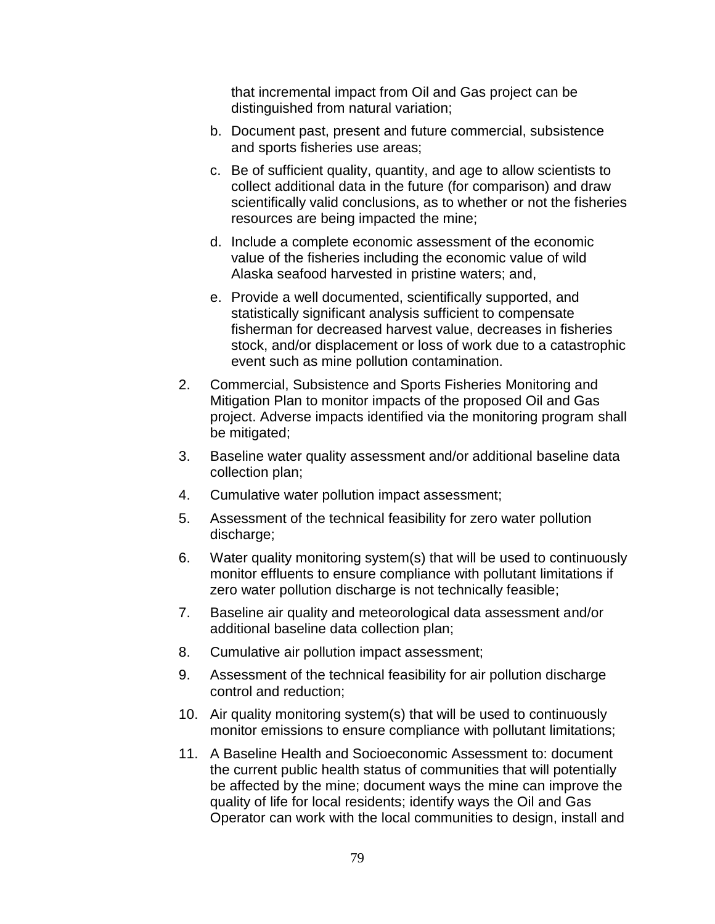that incremental impact from Oil and Gas project can be distinguished from natural variation;

- b. Document past, present and future commercial, subsistence and sports fisheries use areas;
- c. Be of sufficient quality, quantity, and age to allow scientists to collect additional data in the future (for comparison) and draw scientifically valid conclusions, as to whether or not the fisheries resources are being impacted the mine;
- d. Include a complete economic assessment of the economic value of the fisheries including the economic value of wild Alaska seafood harvested in pristine waters; and,
- e. Provide a well documented, scientifically supported, and statistically significant analysis sufficient to compensate fisherman for decreased harvest value, decreases in fisheries stock, and/or displacement or loss of work due to a catastrophic event such as mine pollution contamination.
- 2. Commercial, Subsistence and Sports Fisheries Monitoring and Mitigation Plan to monitor impacts of the proposed Oil and Gas project. Adverse impacts identified via the monitoring program shall be mitigated;
- 3. Baseline water quality assessment and/or additional baseline data collection plan;
- 4. Cumulative water pollution impact assessment;
- 5. Assessment of the technical feasibility for zero water pollution discharge;
- 6. Water quality monitoring system(s) that will be used to continuously monitor effluents to ensure compliance with pollutant limitations if zero water pollution discharge is not technically feasible;
- 7. Baseline air quality and meteorological data assessment and/or additional baseline data collection plan;
- 8. Cumulative air pollution impact assessment;
- 9. Assessment of the technical feasibility for air pollution discharge control and reduction;
- 10. Air quality monitoring system(s) that will be used to continuously monitor emissions to ensure compliance with pollutant limitations;
- 11. A Baseline Health and Socioeconomic Assessment to: document the current public health status of communities that will potentially be affected by the mine; document ways the mine can improve the quality of life for local residents; identify ways the Oil and Gas Operator can work with the local communities to design, install and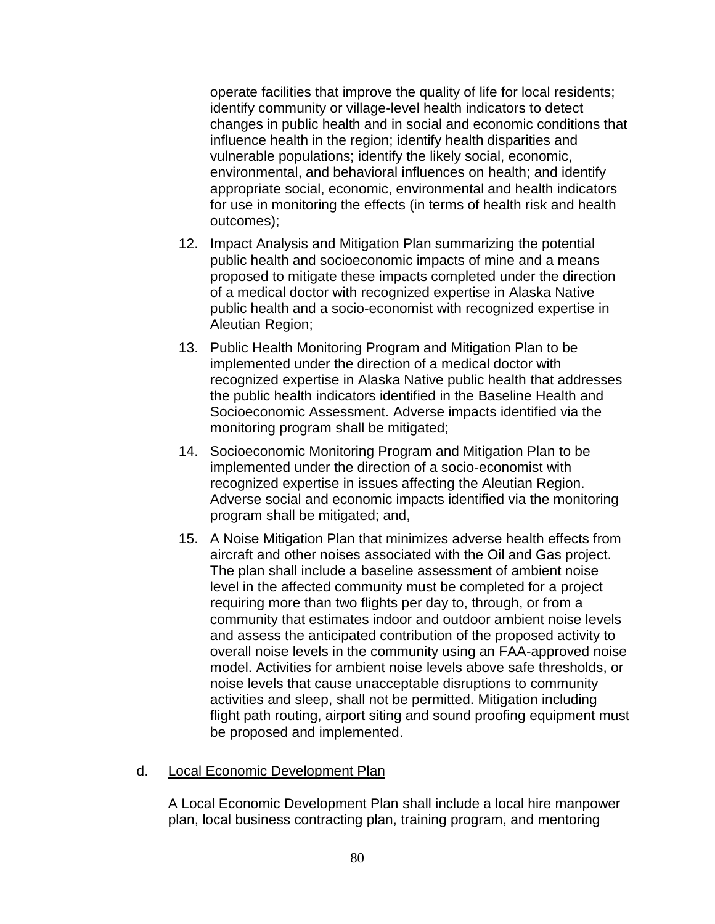operate facilities that improve the quality of life for local residents; identify community or village-level health indicators to detect changes in public health and in social and economic conditions that influence health in the region; identify health disparities and vulnerable populations; identify the likely social, economic, environmental, and behavioral influences on health; and identify appropriate social, economic, environmental and health indicators for use in monitoring the effects (in terms of health risk and health outcomes);

- 12. Impact Analysis and Mitigation Plan summarizing the potential public health and socioeconomic impacts of mine and a means proposed to mitigate these impacts completed under the direction of a medical doctor with recognized expertise in Alaska Native public health and a socio-economist with recognized expertise in Aleutian Region;
- 13. Public Health Monitoring Program and Mitigation Plan to be implemented under the direction of a medical doctor with recognized expertise in Alaska Native public health that addresses the public health indicators identified in the Baseline Health and Socioeconomic Assessment. Adverse impacts identified via the monitoring program shall be mitigated;
- 14. Socioeconomic Monitoring Program and Mitigation Plan to be implemented under the direction of a socio-economist with recognized expertise in issues affecting the Aleutian Region. Adverse social and economic impacts identified via the monitoring program shall be mitigated; and,
- 15. A Noise Mitigation Plan that minimizes adverse health effects from aircraft and other noises associated with the Oil and Gas project. The plan shall include a baseline assessment of ambient noise level in the affected community must be completed for a project requiring more than two flights per day to, through, or from a community that estimates indoor and outdoor ambient noise levels and assess the anticipated contribution of the proposed activity to overall noise levels in the community using an FAA-approved noise model. Activities for ambient noise levels above safe thresholds, or noise levels that cause unacceptable disruptions to community activities and sleep, shall not be permitted. Mitigation including flight path routing, airport siting and sound proofing equipment must be proposed and implemented.

# d. Local Economic Development Plan

A Local Economic Development Plan shall include a local hire manpower plan, local business contracting plan, training program, and mentoring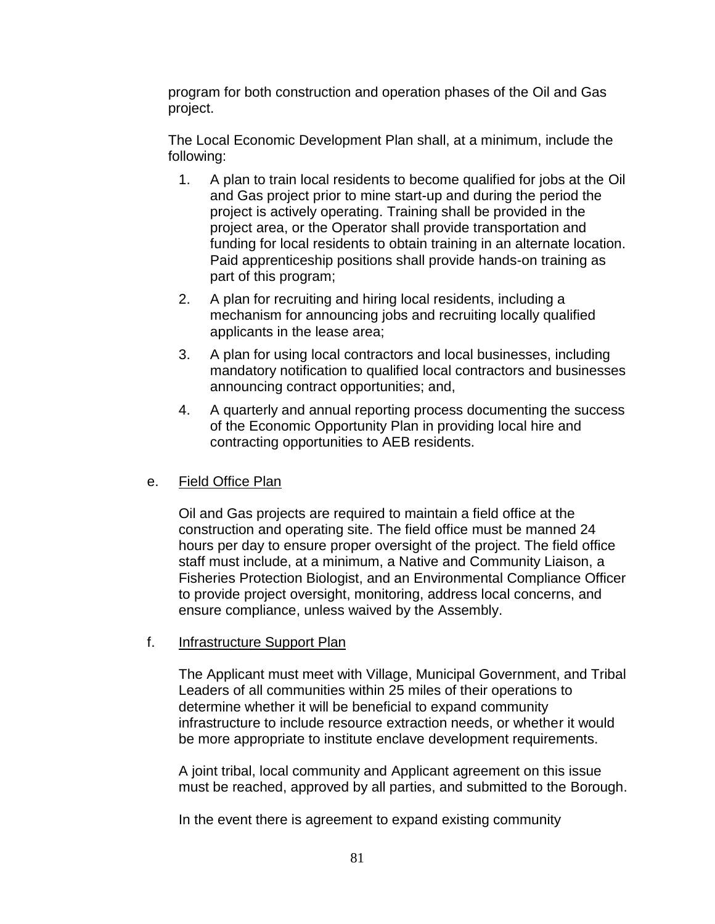program for both construction and operation phases of the Oil and Gas project.

The Local Economic Development Plan shall, at a minimum, include the following:

- 1. A plan to train local residents to become qualified for jobs at the Oil and Gas project prior to mine start-up and during the period the project is actively operating. Training shall be provided in the project area, or the Operator shall provide transportation and funding for local residents to obtain training in an alternate location. Paid apprenticeship positions shall provide hands-on training as part of this program;
- 2. A plan for recruiting and hiring local residents, including a mechanism for announcing jobs and recruiting locally qualified applicants in the lease area;
- 3. A plan for using local contractors and local businesses, including mandatory notification to qualified local contractors and businesses announcing contract opportunities; and,
- 4. A quarterly and annual reporting process documenting the success of the Economic Opportunity Plan in providing local hire and contracting opportunities to AEB residents.

# e. Field Office Plan

Oil and Gas projects are required to maintain a field office at the construction and operating site. The field office must be manned 24 hours per day to ensure proper oversight of the project. The field office staff must include, at a minimum, a Native and Community Liaison, a Fisheries Protection Biologist, and an Environmental Compliance Officer to provide project oversight, monitoring, address local concerns, and ensure compliance, unless waived by the Assembly.

# f. Infrastructure Support Plan

The Applicant must meet with Village, Municipal Government, and Tribal Leaders of all communities within 25 miles of their operations to determine whether it will be beneficial to expand community infrastructure to include resource extraction needs, or whether it would be more appropriate to institute enclave development requirements.

A joint tribal, local community and Applicant agreement on this issue must be reached, approved by all parties, and submitted to the Borough.

In the event there is agreement to expand existing community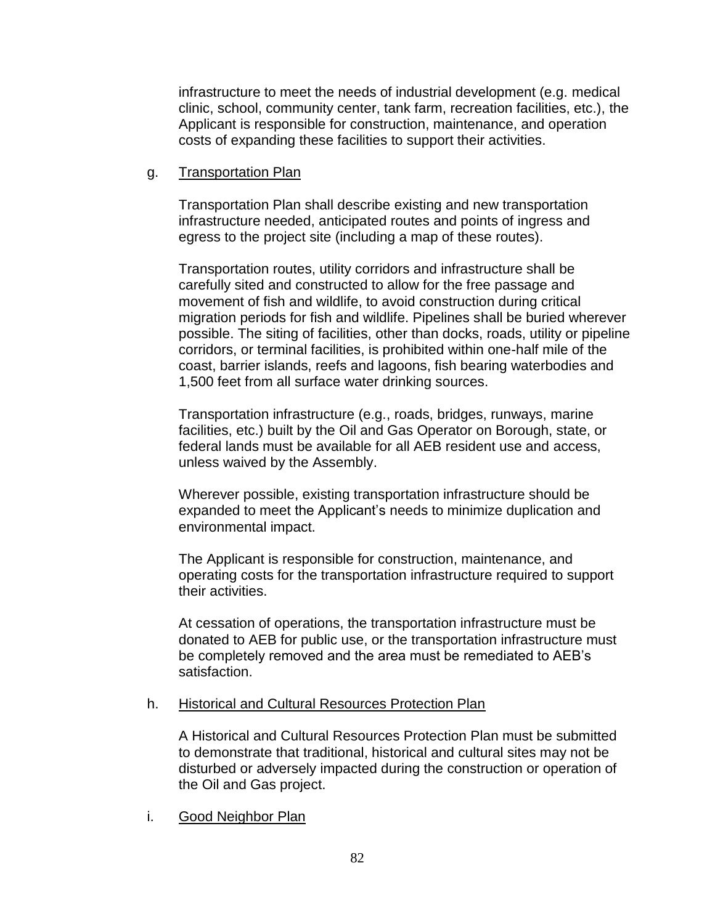infrastructure to meet the needs of industrial development (e.g. medical clinic, school, community center, tank farm, recreation facilities, etc.), the Applicant is responsible for construction, maintenance, and operation costs of expanding these facilities to support their activities.

## g. Transportation Plan

Transportation Plan shall describe existing and new transportation infrastructure needed, anticipated routes and points of ingress and egress to the project site (including a map of these routes).

Transportation routes, utility corridors and infrastructure shall be carefully sited and constructed to allow for the free passage and movement of fish and wildlife, to avoid construction during critical migration periods for fish and wildlife. Pipelines shall be buried wherever possible. The siting of facilities, other than docks, roads, utility or pipeline corridors, or terminal facilities, is prohibited within one-half mile of the coast, barrier islands, reefs and lagoons, fish bearing waterbodies and 1,500 feet from all surface water drinking sources.

Transportation infrastructure (e.g., roads, bridges, runways, marine facilities, etc.) built by the Oil and Gas Operator on Borough, state, or federal lands must be available for all AEB resident use and access, unless waived by the Assembly.

Wherever possible, existing transportation infrastructure should be expanded to meet the Applicant's needs to minimize duplication and environmental impact.

The Applicant is responsible for construction, maintenance, and operating costs for the transportation infrastructure required to support their activities.

At cessation of operations, the transportation infrastructure must be donated to AEB for public use, or the transportation infrastructure must be completely removed and the area must be remediated to AEB's satisfaction.

### h. Historical and Cultural Resources Protection Plan

A Historical and Cultural Resources Protection Plan must be submitted to demonstrate that traditional, historical and cultural sites may not be disturbed or adversely impacted during the construction or operation of the Oil and Gas project.

i. Good Neighbor Plan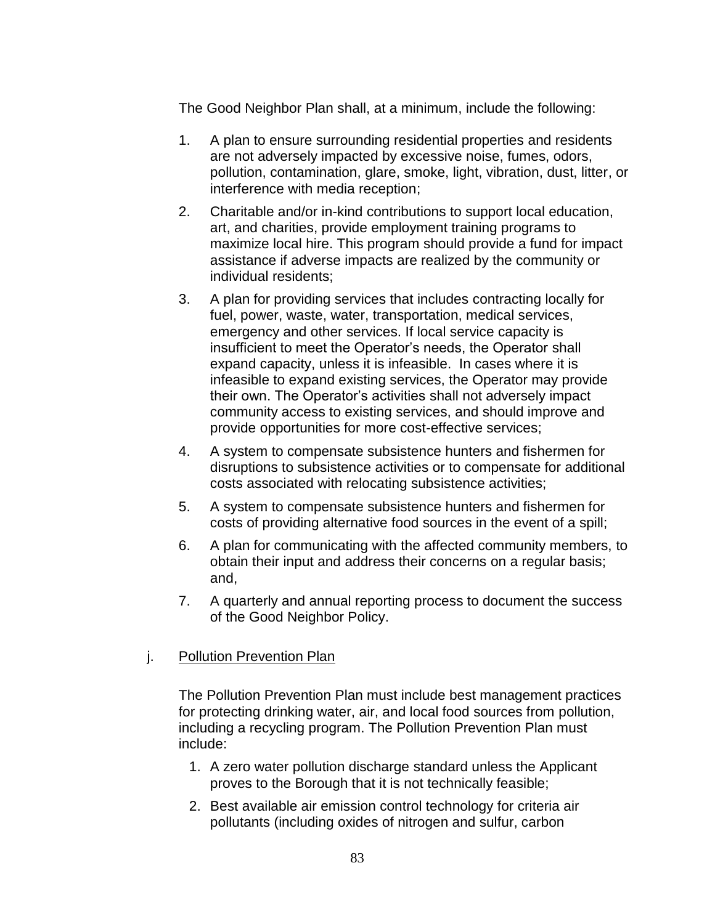The Good Neighbor Plan shall, at a minimum, include the following:

- 1. A plan to ensure surrounding residential properties and residents are not adversely impacted by excessive noise, fumes, odors, pollution, contamination, glare, smoke, light, vibration, dust, litter, or interference with media reception;
- 2. Charitable and/or in-kind contributions to support local education, art, and charities, provide employment training programs to maximize local hire. This program should provide a fund for impact assistance if adverse impacts are realized by the community or individual residents;
- 3. A plan for providing services that includes contracting locally for fuel, power, waste, water, transportation, medical services, emergency and other services. If local service capacity is insufficient to meet the Operator's needs, the Operator shall expand capacity, unless it is infeasible. In cases where it is infeasible to expand existing services, the Operator may provide their own. The Operator's activities shall not adversely impact community access to existing services, and should improve and provide opportunities for more cost-effective services;
- 4. A system to compensate subsistence hunters and fishermen for disruptions to subsistence activities or to compensate for additional costs associated with relocating subsistence activities;
- 5. A system to compensate subsistence hunters and fishermen for costs of providing alternative food sources in the event of a spill;
- 6. A plan for communicating with the affected community members, to obtain their input and address their concerns on a regular basis; and,
- 7. A quarterly and annual reporting process to document the success of the Good Neighbor Policy.

# j. Pollution Prevention Plan

The Pollution Prevention Plan must include best management practices for protecting drinking water, air, and local food sources from pollution, including a recycling program. The Pollution Prevention Plan must include:

- 1. A zero water pollution discharge standard unless the Applicant proves to the Borough that it is not technically feasible;
- 2. Best available air emission control technology for criteria air pollutants (including oxides of nitrogen and sulfur, carbon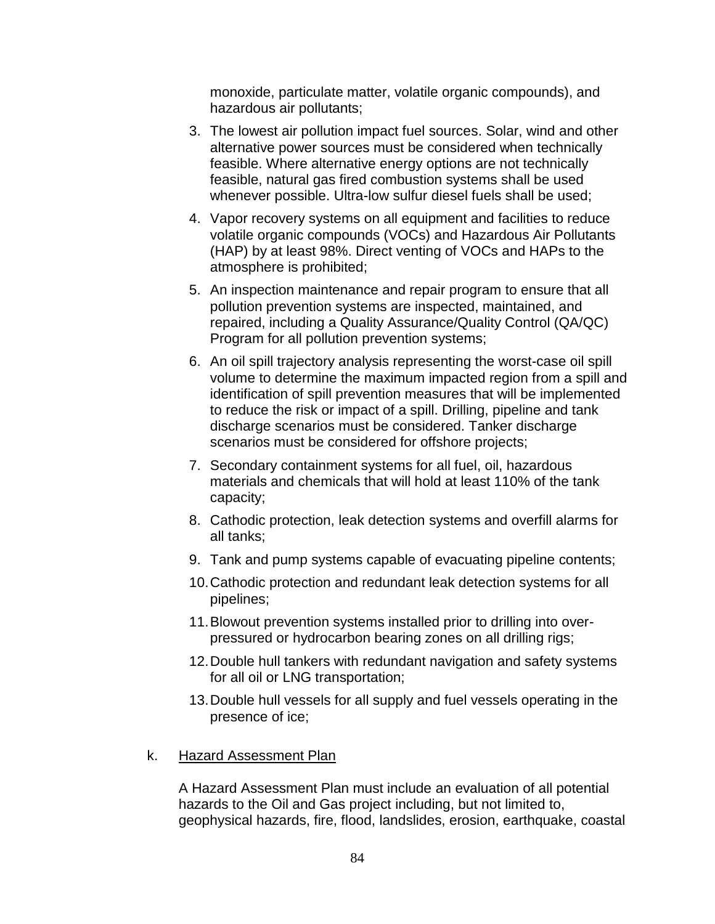monoxide, particulate matter, volatile organic compounds), and hazardous air pollutants;

- 3. The lowest air pollution impact fuel sources. Solar, wind and other alternative power sources must be considered when technically feasible. Where alternative energy options are not technically feasible, natural gas fired combustion systems shall be used whenever possible. Ultra-low sulfur diesel fuels shall be used;
- 4. Vapor recovery systems on all equipment and facilities to reduce volatile organic compounds (VOCs) and Hazardous Air Pollutants (HAP) by at least 98%. Direct venting of VOCs and HAPs to the atmosphere is prohibited;
- 5. An inspection maintenance and repair program to ensure that all pollution prevention systems are inspected, maintained, and repaired, including a Quality Assurance/Quality Control (QA/QC) Program for all pollution prevention systems;
- 6. An oil spill trajectory analysis representing the worst-case oil spill volume to determine the maximum impacted region from a spill and identification of spill prevention measures that will be implemented to reduce the risk or impact of a spill. Drilling, pipeline and tank discharge scenarios must be considered. Tanker discharge scenarios must be considered for offshore projects;
- 7. Secondary containment systems for all fuel, oil, hazardous materials and chemicals that will hold at least 110% of the tank capacity;
- 8. Cathodic protection, leak detection systems and overfill alarms for all tanks;
- 9. Tank and pump systems capable of evacuating pipeline contents;
- 10.Cathodic protection and redundant leak detection systems for all pipelines;
- 11.Blowout prevention systems installed prior to drilling into overpressured or hydrocarbon bearing zones on all drilling rigs;
- 12.Double hull tankers with redundant navigation and safety systems for all oil or LNG transportation;
- 13.Double hull vessels for all supply and fuel vessels operating in the presence of ice;

# k. Hazard Assessment Plan

A Hazard Assessment Plan must include an evaluation of all potential hazards to the Oil and Gas project including, but not limited to, geophysical hazards, fire, flood, landslides, erosion, earthquake, coastal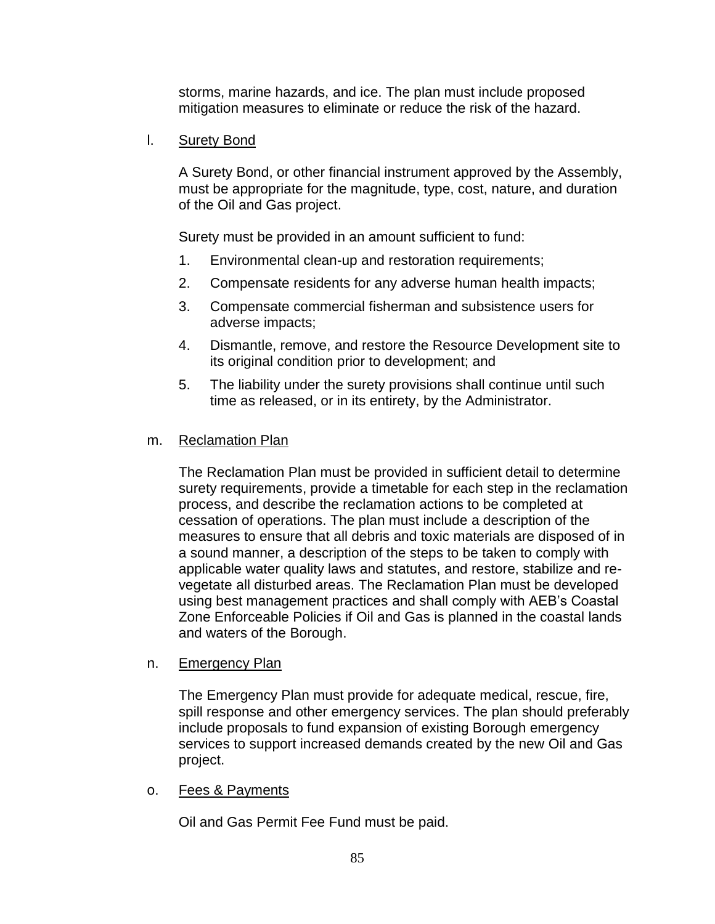storms, marine hazards, and ice. The plan must include proposed mitigation measures to eliminate or reduce the risk of the hazard.

l. Surety Bond

A Surety Bond, or other financial instrument approved by the Assembly, must be appropriate for the magnitude, type, cost, nature, and duration of the Oil and Gas project.

Surety must be provided in an amount sufficient to fund:

- 1. Environmental clean-up and restoration requirements;
- 2. Compensate residents for any adverse human health impacts;
- 3. Compensate commercial fisherman and subsistence users for adverse impacts;
- 4. Dismantle, remove, and restore the Resource Development site to its original condition prior to development; and
- 5. The liability under the surety provisions shall continue until such time as released, or in its entirety, by the Administrator.

### m. Reclamation Plan

The Reclamation Plan must be provided in sufficient detail to determine surety requirements, provide a timetable for each step in the reclamation process, and describe the reclamation actions to be completed at cessation of operations. The plan must include a description of the measures to ensure that all debris and toxic materials are disposed of in a sound manner, a description of the steps to be taken to comply with applicable water quality laws and statutes, and restore, stabilize and revegetate all disturbed areas. The Reclamation Plan must be developed using best management practices and shall comply with AEB's Coastal Zone Enforceable Policies if Oil and Gas is planned in the coastal lands and waters of the Borough.

### n. Emergency Plan

The Emergency Plan must provide for adequate medical, rescue, fire, spill response and other emergency services. The plan should preferably include proposals to fund expansion of existing Borough emergency services to support increased demands created by the new Oil and Gas project.

### o. Fees & Payments

Oil and Gas Permit Fee Fund must be paid.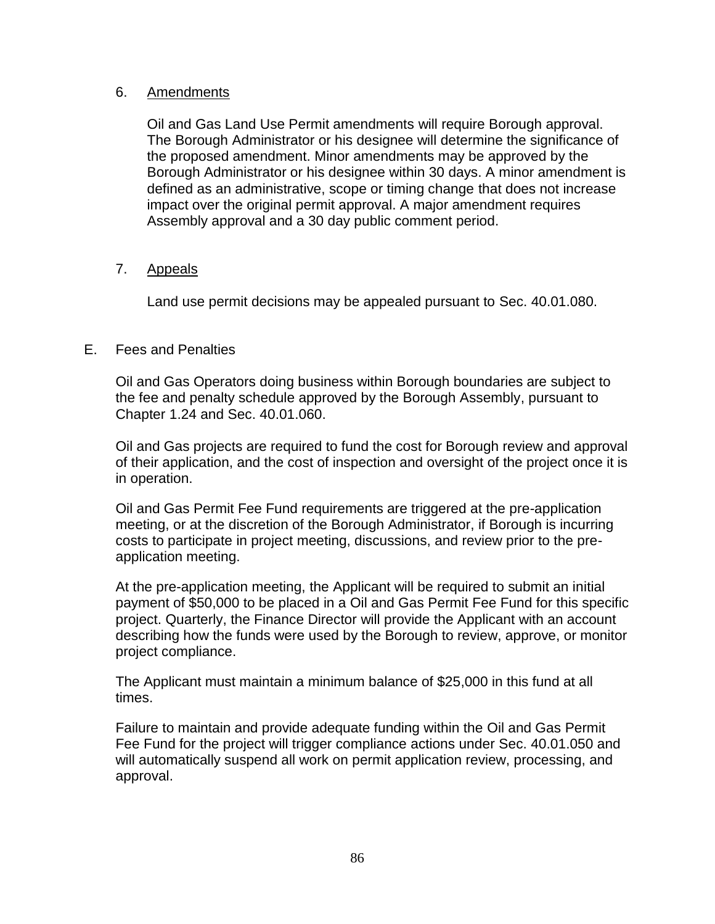# 6. Amendments

Oil and Gas Land Use Permit amendments will require Borough approval. The Borough Administrator or his designee will determine the significance of the proposed amendment. Minor amendments may be approved by the Borough Administrator or his designee within 30 days. A minor amendment is defined as an administrative, scope or timing change that does not increase impact over the original permit approval. A major amendment requires Assembly approval and a 30 day public comment period.

# 7. Appeals

Land use permit decisions may be appealed pursuant to Sec. 40.01.080.

# E. Fees and Penalties

Oil and Gas Operators doing business within Borough boundaries are subject to the fee and penalty schedule approved by the Borough Assembly, pursuant to Chapter 1.24 and Sec. 40.01.060.

Oil and Gas projects are required to fund the cost for Borough review and approval of their application, and the cost of inspection and oversight of the project once it is in operation.

Oil and Gas Permit Fee Fund requirements are triggered at the pre-application meeting, or at the discretion of the Borough Administrator, if Borough is incurring costs to participate in project meeting, discussions, and review prior to the preapplication meeting.

At the pre-application meeting, the Applicant will be required to submit an initial payment of \$50,000 to be placed in a Oil and Gas Permit Fee Fund for this specific project. Quarterly, the Finance Director will provide the Applicant with an account describing how the funds were used by the Borough to review, approve, or monitor project compliance.

The Applicant must maintain a minimum balance of \$25,000 in this fund at all times.

Failure to maintain and provide adequate funding within the Oil and Gas Permit Fee Fund for the project will trigger compliance actions under Sec. 40.01.050 and will automatically suspend all work on permit application review, processing, and approval.